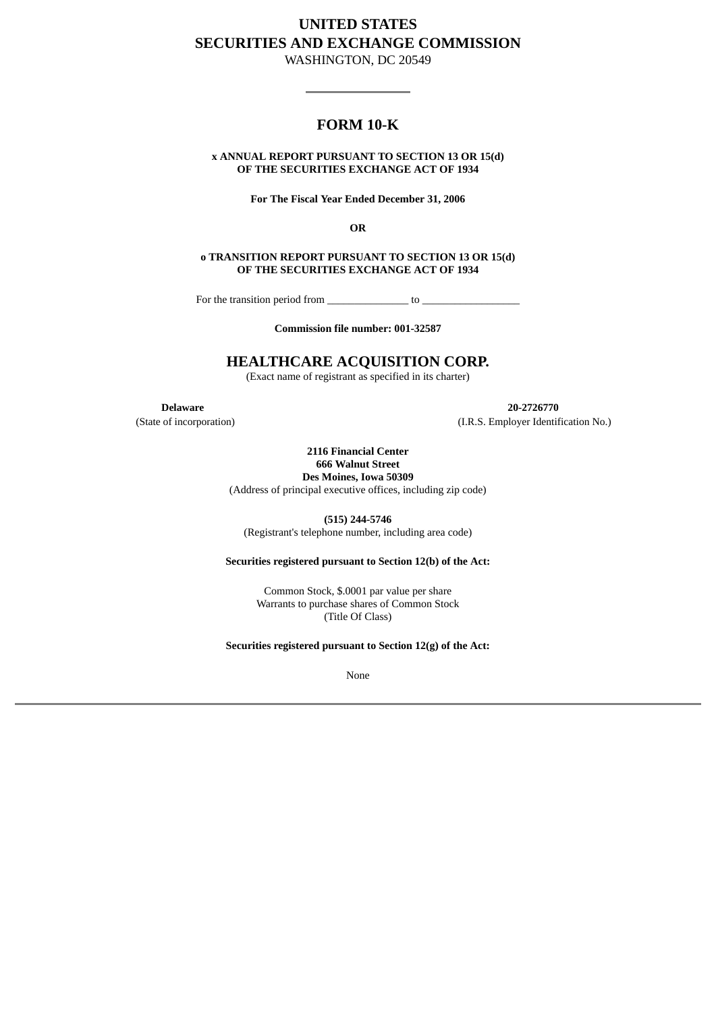# **UNITED STATES SECURITIES AND EXCHANGE COMMISSION**

WASHINGTON, DC 20549

## **FORM 10-K**

## **x ANNUAL REPORT PURSUANT TO SECTION 13 OR 15(d) OF THE SECURITIES EXCHANGE ACT OF 1934**

**For The Fiscal Year Ended December 31, 2006**

**OR**

**o TRANSITION REPORT PURSUANT TO SECTION 13 OR 15(d) OF THE SECURITIES EXCHANGE ACT OF 1934**

For the transition period from  $\Box$  to  $\Box$ 

**Commission file number: 001-32587**

## **HEALTHCARE ACQUISITION CORP.**

(Exact name of registrant as specified in its charter)

**Delaware 20-2726770** (State of incorporation) (I.R.S. Employer Identification No.)

> **2116 Financial Center 666 Walnut Street Des Moines, Iowa 50309**

(Address of principal executive offices, including zip code)

**(515) 244-5746**

(Registrant's telephone number, including area code)

## **Securities registered pursuant to Section 12(b) of the Act:**

Common Stock, \$.0001 par value per share Warrants to purchase shares of Common Stock (Title Of Class)

**Securities registered pursuant to Section 12(g) of the Act:**

None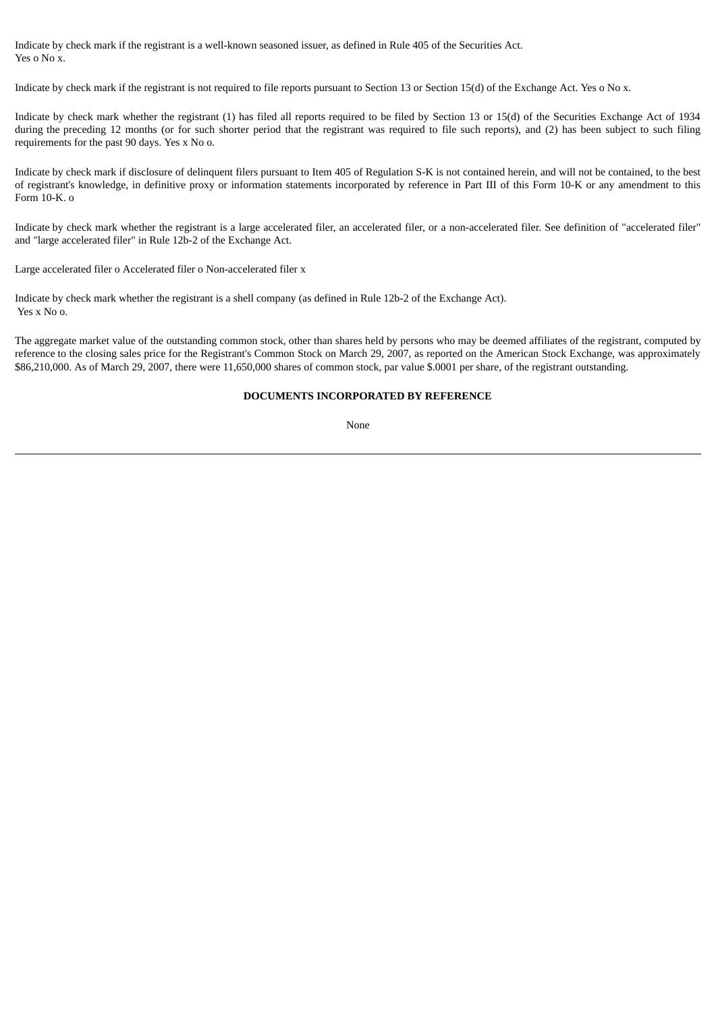Indicate by check mark if the registrant is a well-known seasoned issuer, as defined in Rule 405 of the Securities Act. Yes o No x.

Indicate by check mark if the registrant is not required to file reports pursuant to Section 13 or Section 15(d) of the Exchange Act. Yes o No x.

Indicate by check mark whether the registrant (1) has filed all reports required to be filed by Section 13 or 15(d) of the Securities Exchange Act of 1934 during the preceding 12 months (or for such shorter period that the registrant was required to file such reports), and (2) has been subject to such filing requirements for the past 90 days. Yes x No o.

Indicate by check mark if disclosure of delinquent filers pursuant to Item 405 of Regulation S-K is not contained herein, and will not be contained, to the best of registrant's knowledge, in definitive proxy or information statements incorporated by reference in Part III of this Form 10-K or any amendment to this Form 10-K. o

Indicate by check mark whether the registrant is a large accelerated filer, an accelerated filer, or a non-accelerated filer. See definition of "accelerated filer" and "large accelerated filer" in Rule 12b-2 of the Exchange Act.

Large accelerated filer o Accelerated filer o Non-accelerated filer x

Indicate by check mark whether the registrant is a shell company (as defined in Rule 12b-2 of the Exchange Act). Yes x No o.

The aggregate market value of the outstanding common stock, other than shares held by persons who may be deemed affiliates of the registrant, computed by reference to the closing sales price for the Registrant's Common Stock on March 29, 2007, as reported on the American Stock Exchange, was approximately \$86,210,000. As of March 29, 2007, there were 11,650,000 shares of common stock, par value \$.0001 per share, of the registrant outstanding.

## **DOCUMENTS INCORPORATED BY REFERENCE**

None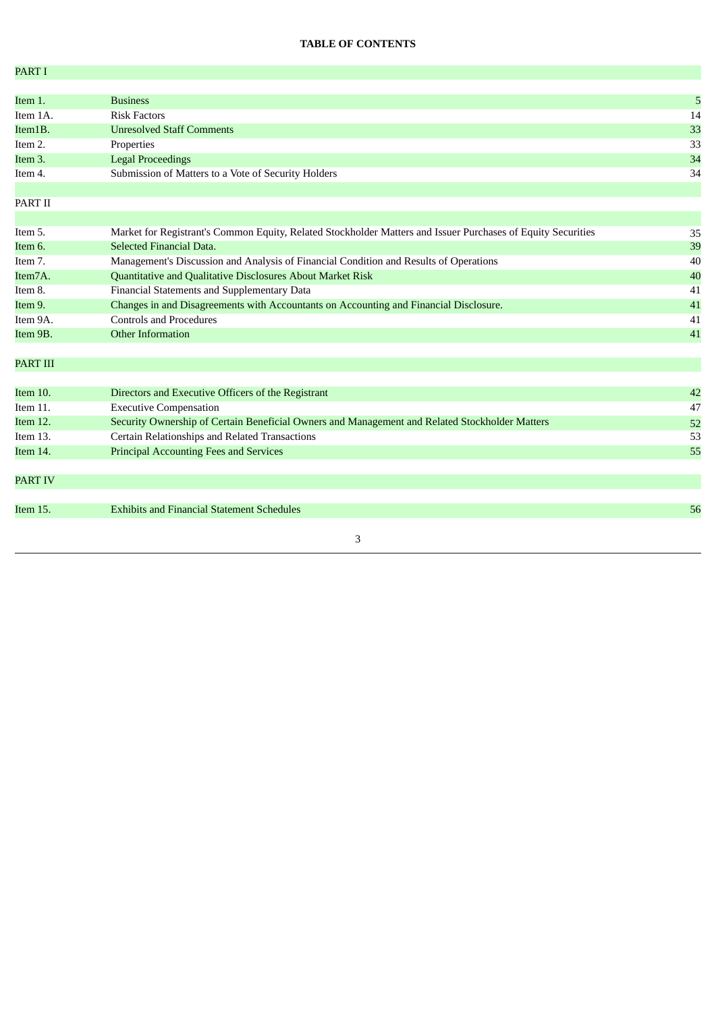## **TABLE OF CONTENTS**

| PART I          |                                                                                                              |    |
|-----------------|--------------------------------------------------------------------------------------------------------------|----|
|                 |                                                                                                              |    |
| Item 1.         | <b>Business</b>                                                                                              | 5  |
| Item 1A.        | <b>Risk Factors</b>                                                                                          | 14 |
| Item1B.         | <b>Unresolved Staff Comments</b>                                                                             | 33 |
| Item 2.         | Properties                                                                                                   | 33 |
| Item 3.         | <b>Legal Proceedings</b>                                                                                     | 34 |
| Item 4.         | Submission of Matters to a Vote of Security Holders                                                          | 34 |
| PART II         |                                                                                                              |    |
| Item 5.         | Market for Registrant's Common Equity, Related Stockholder Matters and Issuer Purchases of Equity Securities | 35 |
| Item 6.         | Selected Financial Data.                                                                                     | 39 |
| Item 7.         | Management's Discussion and Analysis of Financial Condition and Results of Operations                        | 40 |
| Item7A.         | Quantitative and Qualitative Disclosures About Market Risk                                                   | 40 |
| Item 8.         | Financial Statements and Supplementary Data                                                                  | 41 |
| Item 9.         | Changes in and Disagreements with Accountants on Accounting and Financial Disclosure.                        | 41 |
| Item 9A.        | <b>Controls and Procedures</b>                                                                               | 41 |
| Item 9B.        | <b>Other Information</b>                                                                                     | 41 |
| <b>PART III</b> |                                                                                                              |    |
| Item 10.        | Directors and Executive Officers of the Registrant                                                           | 42 |
| Item 11.        | <b>Executive Compensation</b>                                                                                | 47 |
| Item 12.        | Security Ownership of Certain Beneficial Owners and Management and Related Stockholder Matters               | 52 |
| Item 13.        | Certain Relationships and Related Transactions                                                               | 53 |
| Item 14.        | <b>Principal Accounting Fees and Services</b>                                                                | 55 |
| <b>PART IV</b>  |                                                                                                              |    |
| Item 15.        | <b>Exhibits and Financial Statement Schedules</b>                                                            | 56 |
|                 | 3                                                                                                            |    |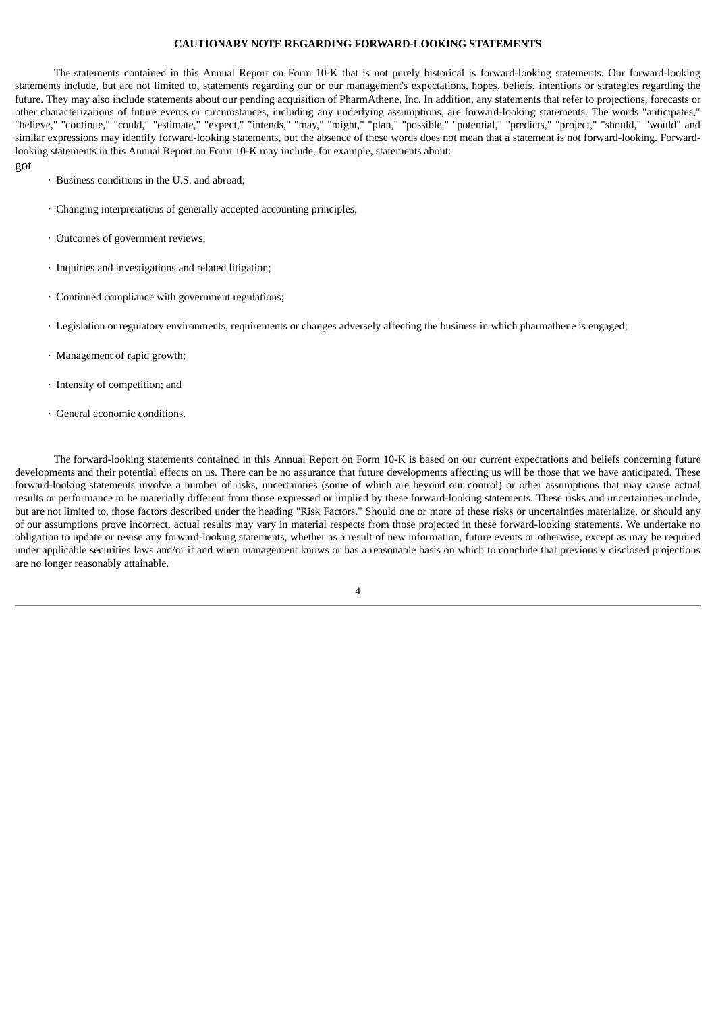#### **CAUTIONARY NOTE REGARDING FORWARD-LOOKING STATEMENTS**

The statements contained in this Annual Report on Form 10-K that is not purely historical is forward-looking statements. Our forward-looking statements include, but are not limited to, statements regarding our or our management's expectations, hopes, beliefs, intentions or strategies regarding the future. They may also include statements about our pending acquisition of PharmAthene, Inc. In addition, any statements that refer to projections, forecasts or other characterizations of future events or circumstances, including any underlying assumptions, are forward-looking statements. The words "anticipates," "believe," "continue," "could," "estimate," "expect," "intends," "may," "might," "plan," "possible," "potential," "predicts," "project," "should," "would" and similar expressions may identify forward-looking statements, but the absence of these words does not mean that a statement is not forward-looking. Forwardlooking statements in this Annual Report on Form 10-K may include, for example, statements about:

· Business conditions in the U.S. and abroad;

got

- · Changing interpretations of generally accepted accounting principles;
- · Outcomes of government reviews;
- · Inquiries and investigations and related litigation;
- · Continued compliance with government regulations;
- · Legislation or regulatory environments, requirements or changes adversely affecting the business in which pharmathene is engaged;
- · Management of rapid growth;
- · Intensity of competition; and
- · General economic conditions.

The forward-looking statements contained in this Annual Report on Form 10-K is based on our current expectations and beliefs concerning future developments and their potential effects on us. There can be no assurance that future developments affecting us will be those that we have anticipated. These forward-looking statements involve a number of risks, uncertainties (some of which are beyond our control) or other assumptions that may cause actual results or performance to be materially different from those expressed or implied by these forward-looking statements. These risks and uncertainties include, but are not limited to, those factors described under the heading "Risk Factors." Should one or more of these risks or uncertainties materialize, or should any of our assumptions prove incorrect, actual results may vary in material respects from those projected in these forward-looking statements. We undertake no obligation to update or revise any forward-looking statements, whether as a result of new information, future events or otherwise, except as may be required under applicable securities laws and/or if and when management knows or has a reasonable basis on which to conclude that previously disclosed projections are no longer reasonably attainable.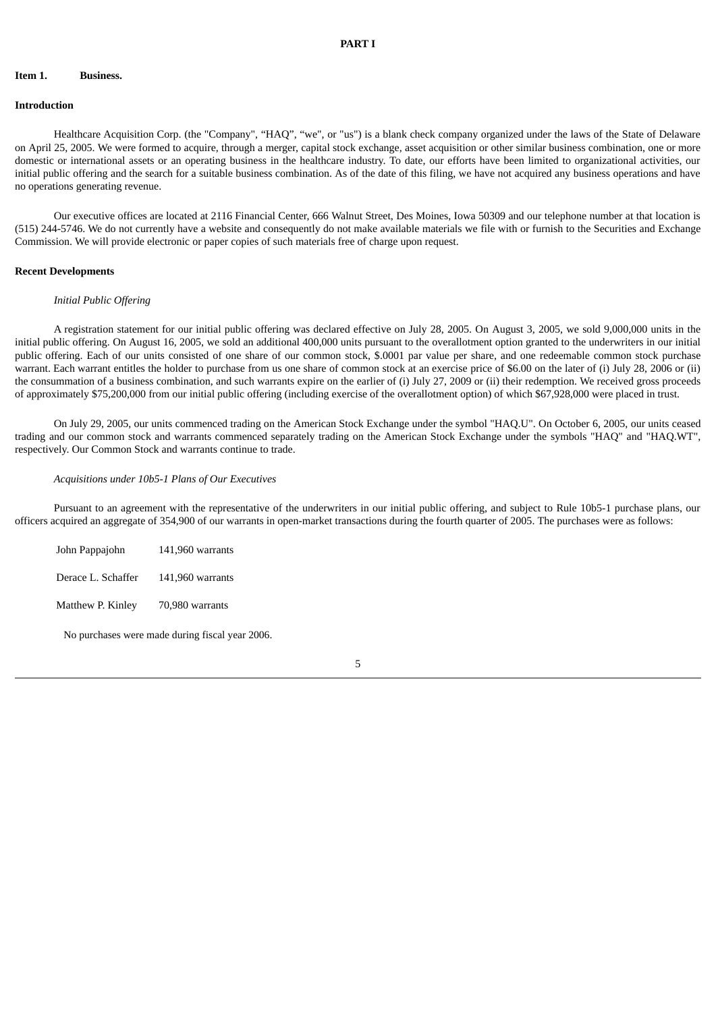#### **Item 1. Business.**

#### **Introduction**

Healthcare Acquisition Corp. (the "Company", "HAQ", "we", or "us") is a blank check company organized under the laws of the State of Delaware on April 25, 2005. We were formed to acquire, through a merger, capital stock exchange, asset acquisition or other similar business combination, one or more domestic or international assets or an operating business in the healthcare industry. To date, our efforts have been limited to organizational activities, our initial public offering and the search for a suitable business combination. As of the date of this filing, we have not acquired any business operations and have no operations generating revenue.

Our executive offices are located at 2116 Financial Center, 666 Walnut Street, Des Moines, Iowa 50309 and our telephone number at that location is (515) 244-5746. We do not currently have a website and consequently do not make available materials we file with or furnish to the Securities and Exchange Commission. We will provide electronic or paper copies of such materials free of charge upon request.

#### **Recent Developments**

#### *Initial Public Offering*

A registration statement for our initial public offering was declared effective on July 28, 2005. On August 3, 2005, we sold 9,000,000 units in the initial public offering. On August 16, 2005, we sold an additional 400,000 units pursuant to the overallotment option granted to the underwriters in our initial public offering. Each of our units consisted of one share of our common stock, \$.0001 par value per share, and one redeemable common stock purchase warrant. Each warrant entitles the holder to purchase from us one share of common stock at an exercise price of \$6.00 on the later of (i) July 28, 2006 or (ii) the consummation of a business combination, and such warrants expire on the earlier of (i) July 27, 2009 or (ii) their redemption. We received gross proceeds of approximately \$75,200,000 from our initial public offering (including exercise of the overallotment option) of which \$67,928,000 were placed in trust.

On July 29, 2005, our units commenced trading on the American Stock Exchange under the symbol "HAQ.U". On October 6, 2005, our units ceased trading and our common stock and warrants commenced separately trading on the American Stock Exchange under the symbols "HAQ" and "HAQ.WT", respectively. Our Common Stock and warrants continue to trade.

#### *Acquisitions under 10b5-1 Plans of Our Executives*

Pursuant to an agreement with the representative of the underwriters in our initial public offering, and subject to Rule 10b5-1 purchase plans, our officers acquired an aggregate of 354,900 of our warrants in open-market transactions during the fourth quarter of 2005. The purchases were as follows:

| John Pappajohn     | 141,960 warrants   |
|--------------------|--------------------|
| Derace L. Schaffer | $141,960$ warrants |
| Matthew P. Kinley  | 70,980 warrants    |

No purchases were made during fiscal year 2006.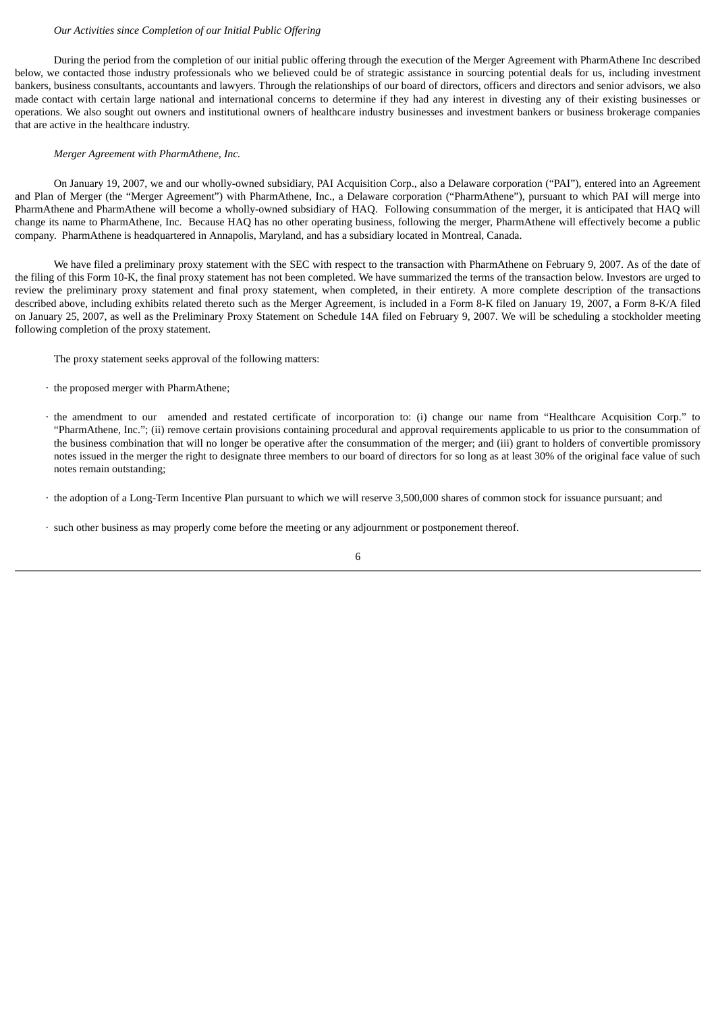#### *Our Activities since Completion of our Initial Public Offering*

During the period from the completion of our initial public offering through the execution of the Merger Agreement with PharmAthene Inc described below, we contacted those industry professionals who we believed could be of strategic assistance in sourcing potential deals for us, including investment bankers, business consultants, accountants and lawyers. Through the relationships of our board of directors, officers and directors and senior advisors, we also made contact with certain large national and international concerns to determine if they had any interest in divesting any of their existing businesses or operations. We also sought out owners and institutional owners of healthcare industry businesses and investment bankers or business brokerage companies that are active in the healthcare industry.

#### *Merger Agreement with PharmAthene, Inc.*

On January 19, 2007, we and our wholly-owned subsidiary, PAI Acquisition Corp., also a Delaware corporation ("PAI"), entered into an Agreement and Plan of Merger (the "Merger Agreement") with PharmAthene, Inc., a Delaware corporation ("PharmAthene"), pursuant to which PAI will merge into PharmAthene and PharmAthene will become a wholly-owned subsidiary of HAQ. Following consummation of the merger, it is anticipated that HAQ will change its name to PharmAthene, Inc. Because HAQ has no other operating business, following the merger, PharmAthene will effectively become a public company. PharmAthene is headquartered in Annapolis, Maryland, and has a subsidiary located in Montreal, Canada.

We have filed a preliminary proxy statement with the SEC with respect to the transaction with PharmAthene on February 9, 2007. As of the date of the filing of this Form 10-K, the final proxy statement has not been completed. We have summarized the terms of the transaction below. Investors are urged to review the preliminary proxy statement and final proxy statement, when completed, in their entirety. A more complete description of the transactions described above, including exhibits related thereto such as the Merger Agreement, is included in a Form 8-K filed on January 19, 2007, a Form 8-K/A filed on January 25, 2007, as well as the Preliminary Proxy Statement on Schedule 14A filed on February 9, 2007. We will be scheduling a stockholder meeting following completion of the proxy statement.

The proxy statement seeks approval of the following matters:

- · the proposed merger with PharmAthene;
- · the amendment to our amended and restated certificate of incorporation to: (i) change our name from "Healthcare Acquisition Corp." to "PharmAthene, Inc."; (ii) remove certain provisions containing procedural and approval requirements applicable to us prior to the consummation of the business combination that will no longer be operative after the consummation of the merger; and (iii) grant to holders of convertible promissory notes issued in the merger the right to designate three members to our board of directors for so long as at least 30% of the original face value of such notes remain outstanding;
- · the adoption of a Long-Term Incentive Plan pursuant to which we will reserve 3,500,000 shares of common stock for issuance pursuant; and
- · such other business as may properly come before the meeting or any adjournment or postponement thereof.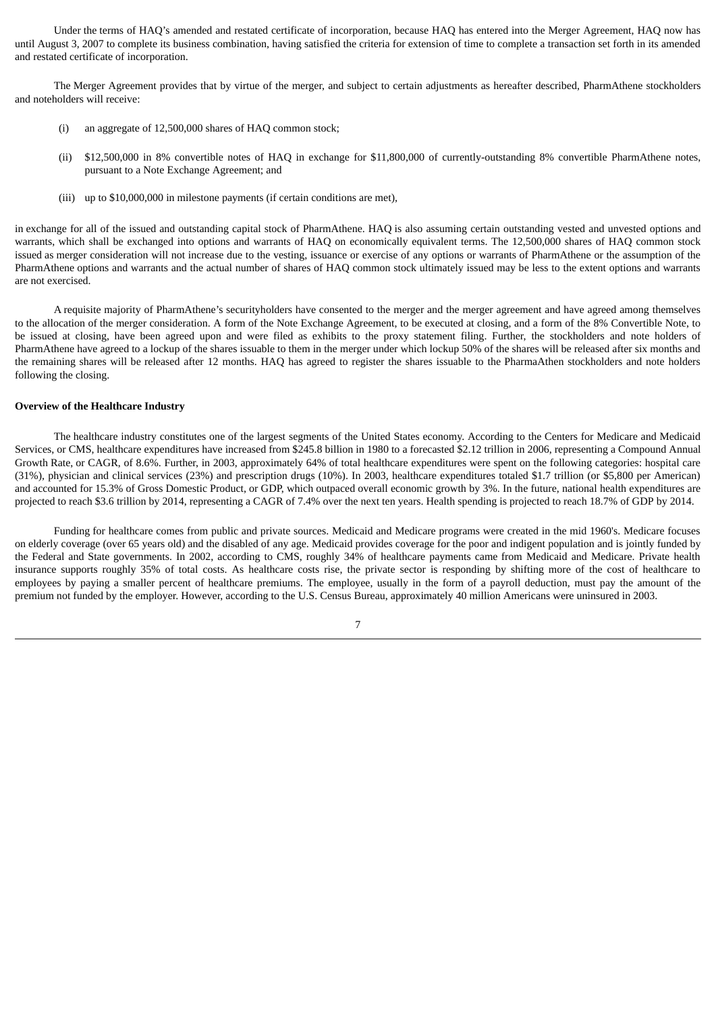Under the terms of HAQ's amended and restated certificate of incorporation, because HAQ has entered into the Merger Agreement, HAQ now has until August 3, 2007 to complete its business combination, having satisfied the criteria for extension of time to complete a transaction set forth in its amended and restated certificate of incorporation.

The Merger Agreement provides that by virtue of the merger, and subject to certain adjustments as hereafter described, PharmAthene stockholders and noteholders will receive:

- (i) an aggregate of 12,500,000 shares of HAQ common stock;
- (ii) \$12,500,000 in 8% convertible notes of HAQ in exchange for \$11,800,000 of currently-outstanding 8% convertible PharmAthene notes, pursuant to a Note Exchange Agreement; and
- (iii) up to \$10,000,000 in milestone payments (if certain conditions are met),

in exchange for all of the issued and outstanding capital stock of PharmAthene. HAQ is also assuming certain outstanding vested and unvested options and warrants, which shall be exchanged into options and warrants of HAQ on economically equivalent terms. The 12,500,000 shares of HAQ common stock issued as merger consideration will not increase due to the vesting, issuance or exercise of any options or warrants of PharmAthene or the assumption of the PharmAthene options and warrants and the actual number of shares of HAQ common stock ultimately issued may be less to the extent options and warrants are not exercised.

A requisite majority of PharmAthene's securityholders have consented to the merger and the merger agreement and have agreed among themselves to the allocation of the merger consideration. A form of the Note Exchange Agreement, to be executed at closing, and a form of the 8% Convertible Note, to be issued at closing, have been agreed upon and were filed as exhibits to the proxy statement filing. Further, the stockholders and note holders of PharmAthene have agreed to a lockup of the shares issuable to them in the merger under which lockup 50% of the shares will be released after six months and the remaining shares will be released after 12 months. HAQ has agreed to register the shares issuable to the PharmaAthen stockholders and note holders following the closing.

#### **Overview of the Healthcare Industry**

The healthcare industry constitutes one of the largest segments of the United States economy. According to the Centers for Medicare and Medicaid Services, or CMS, healthcare expenditures have increased from \$245.8 billion in 1980 to a forecasted \$2.12 trillion in 2006, representing a Compound Annual Growth Rate, or CAGR, of 8.6%. Further, in 2003, approximately 64% of total healthcare expenditures were spent on the following categories: hospital care (31%), physician and clinical services (23%) and prescription drugs (10%). In 2003, healthcare expenditures totaled \$1.7 trillion (or \$5,800 per American) and accounted for 15.3% of Gross Domestic Product, or GDP, which outpaced overall economic growth by 3%. In the future, national health expenditures are projected to reach \$3.6 trillion by 2014, representing a CAGR of 7.4% over the next ten years. Health spending is projected to reach 18.7% of GDP by 2014.

Funding for healthcare comes from public and private sources. Medicaid and Medicare programs were created in the mid 1960's. Medicare focuses on elderly coverage (over 65 years old) and the disabled of any age. Medicaid provides coverage for the poor and indigent population and is jointly funded by the Federal and State governments. In 2002, according to CMS, roughly 34% of healthcare payments came from Medicaid and Medicare. Private health insurance supports roughly 35% of total costs. As healthcare costs rise, the private sector is responding by shifting more of the cost of healthcare to employees by paying a smaller percent of healthcare premiums. The employee, usually in the form of a payroll deduction, must pay the amount of the premium not funded by the employer. However, according to the U.S. Census Bureau, approximately 40 million Americans were uninsured in 2003.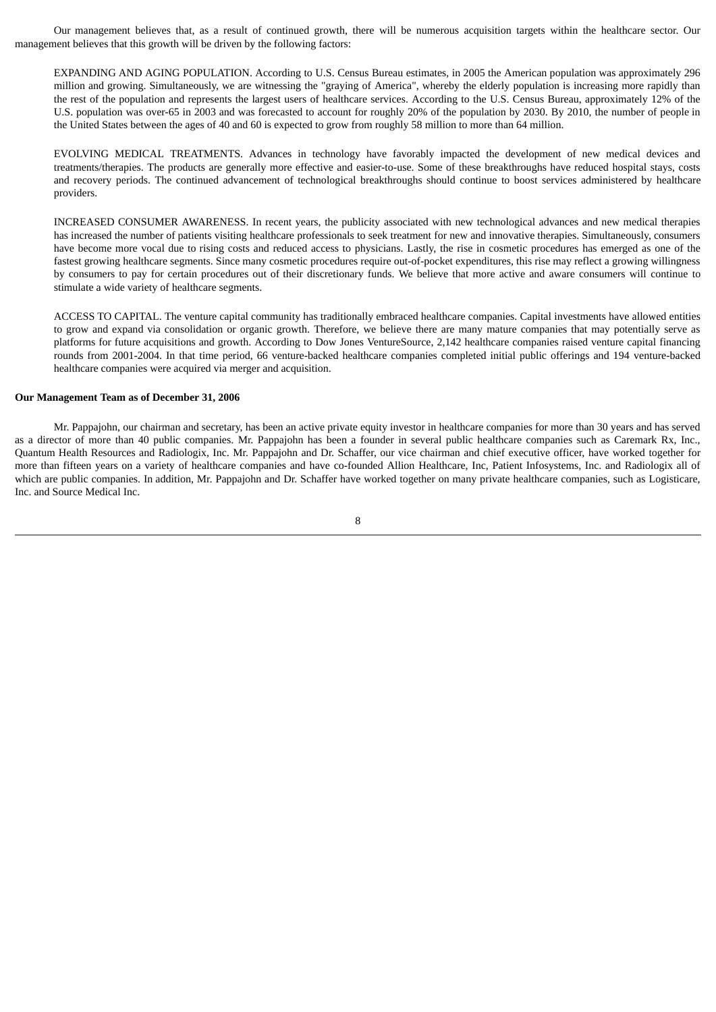Our management believes that, as a result of continued growth, there will be numerous acquisition targets within the healthcare sector. Our management believes that this growth will be driven by the following factors:

EXPANDING AND AGING POPULATION. According to U.S. Census Bureau estimates, in 2005 the American population was approximately 296 million and growing. Simultaneously, we are witnessing the "graying of America", whereby the elderly population is increasing more rapidly than the rest of the population and represents the largest users of healthcare services. According to the U.S. Census Bureau, approximately 12% of the U.S. population was over-65 in 2003 and was forecasted to account for roughly 20% of the population by 2030. By 2010, the number of people in the United States between the ages of 40 and 60 is expected to grow from roughly 58 million to more than 64 million.

EVOLVING MEDICAL TREATMENTS. Advances in technology have favorably impacted the development of new medical devices and treatments/therapies. The products are generally more effective and easier-to-use. Some of these breakthroughs have reduced hospital stays, costs and recovery periods. The continued advancement of technological breakthroughs should continue to boost services administered by healthcare providers.

INCREASED CONSUMER AWARENESS. In recent years, the publicity associated with new technological advances and new medical therapies has increased the number of patients visiting healthcare professionals to seek treatment for new and innovative therapies. Simultaneously, consumers have become more vocal due to rising costs and reduced access to physicians. Lastly, the rise in cosmetic procedures has emerged as one of the fastest growing healthcare segments. Since many cosmetic procedures require out-of-pocket expenditures, this rise may reflect a growing willingness by consumers to pay for certain procedures out of their discretionary funds. We believe that more active and aware consumers will continue to stimulate a wide variety of healthcare segments.

ACCESS TO CAPITAL. The venture capital community has traditionally embraced healthcare companies. Capital investments have allowed entities to grow and expand via consolidation or organic growth. Therefore, we believe there are many mature companies that may potentially serve as platforms for future acquisitions and growth. According to Dow Jones VentureSource, 2,142 healthcare companies raised venture capital financing rounds from 2001-2004. In that time period, 66 venture-backed healthcare companies completed initial public offerings and 194 venture-backed healthcare companies were acquired via merger and acquisition.

#### **Our Management Team as of December 31, 2006**

Mr. Pappajohn, our chairman and secretary, has been an active private equity investor in healthcare companies for more than 30 years and has served as a director of more than 40 public companies. Mr. Pappajohn has been a founder in several public healthcare companies such as Caremark Rx, Inc., Quantum Health Resources and Radiologix, Inc. Mr. Pappajohn and Dr. Schaffer, our vice chairman and chief executive officer, have worked together for more than fifteen years on a variety of healthcare companies and have co-founded Allion Healthcare, Inc, Patient Infosystems, Inc. and Radiologix all of which are public companies. In addition, Mr. Pappajohn and Dr. Schaffer have worked together on many private healthcare companies, such as Logisticare, Inc. and Source Medical Inc.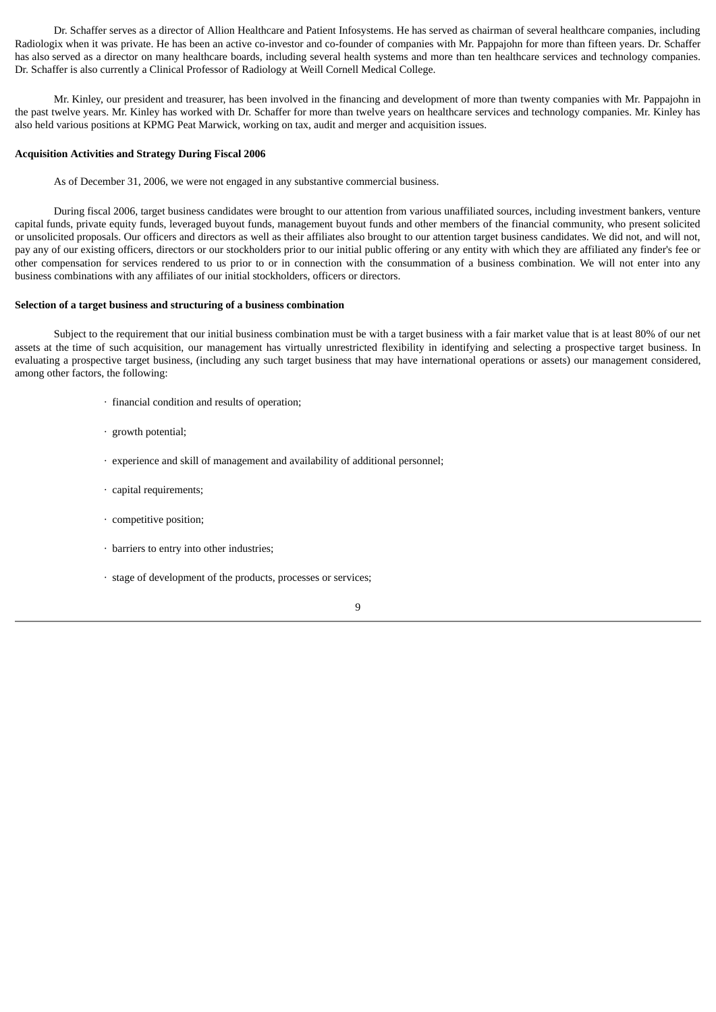Dr. Schaffer serves as a director of Allion Healthcare and Patient Infosystems. He has served as chairman of several healthcare companies, including Radiologix when it was private. He has been an active co-investor and co-founder of companies with Mr. Pappajohn for more than fifteen years. Dr. Schaffer has also served as a director on many healthcare boards, including several health systems and more than ten healthcare services and technology companies. Dr. Schaffer is also currently a Clinical Professor of Radiology at Weill Cornell Medical College.

Mr. Kinley, our president and treasurer, has been involved in the financing and development of more than twenty companies with Mr. Pappajohn in the past twelve years. Mr. Kinley has worked with Dr. Schaffer for more than twelve years on healthcare services and technology companies. Mr. Kinley has also held various positions at KPMG Peat Marwick, working on tax, audit and merger and acquisition issues.

#### **Acquisition Activities and Strategy During Fiscal 2006**

As of December 31, 2006, we were not engaged in any substantive commercial business.

During fiscal 2006, target business candidates were brought to our attention from various unaffiliated sources, including investment bankers, venture capital funds, private equity funds, leveraged buyout funds, management buyout funds and other members of the financial community, who present solicited or unsolicited proposals. Our officers and directors as well as their affiliates also brought to our attention target business candidates. We did not, and will not, pay any of our existing officers, directors or our stockholders prior to our initial public offering or any entity with which they are affiliated any finder's fee or other compensation for services rendered to us prior to or in connection with the consummation of a business combination. We will not enter into any business combinations with any affiliates of our initial stockholders, officers or directors.

#### **Selection of a target business and structuring of a business combination**

Subject to the requirement that our initial business combination must be with a target business with a fair market value that is at least 80% of our net assets at the time of such acquisition, our management has virtually unrestricted flexibility in identifying and selecting a prospective target business. In evaluating a prospective target business, (including any such target business that may have international operations or assets) our management considered, among other factors, the following:

- · financial condition and results of operation;
- · growth potential;
- · experience and skill of management and availability of additional personnel;
- · capital requirements;
- · competitive position;
- · barriers to entry into other industries;
- · stage of development of the products, processes or services;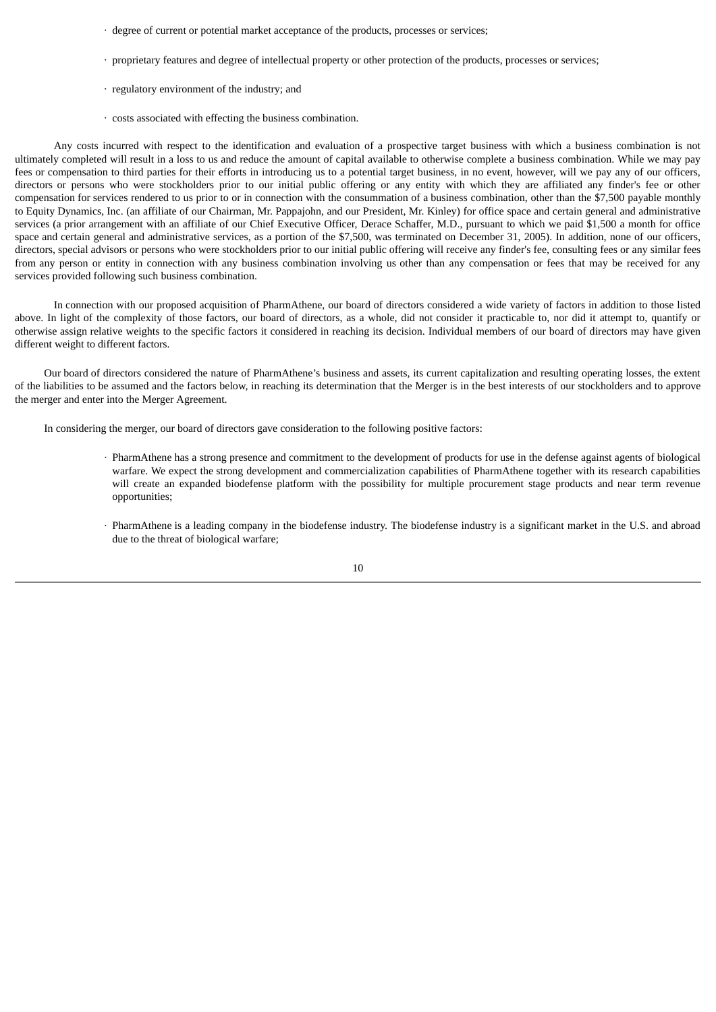- · degree of current or potential market acceptance of the products, processes or services;
- · proprietary features and degree of intellectual property or other protection of the products, processes or services;
- · regulatory environment of the industry; and
- · costs associated with effecting the business combination.

Any costs incurred with respect to the identification and evaluation of a prospective target business with which a business combination is not ultimately completed will result in a loss to us and reduce the amount of capital available to otherwise complete a business combination. While we may pay fees or compensation to third parties for their efforts in introducing us to a potential target business, in no event, however, will we pay any of our officers, directors or persons who were stockholders prior to our initial public offering or any entity with which they are affiliated any finder's fee or other compensation for services rendered to us prior to or in connection with the consummation of a business combination, other than the \$7,500 payable monthly to Equity Dynamics, Inc. (an affiliate of our Chairman, Mr. Pappajohn, and our President, Mr. Kinley) for office space and certain general and administrative services (a prior arrangement with an affiliate of our Chief Executive Officer, Derace Schaffer, M.D., pursuant to which we paid \$1,500 a month for office space and certain general and administrative services, as a portion of the \$7,500, was terminated on December 31, 2005). In addition, none of our officers, directors, special advisors or persons who were stockholders prior to our initial public offering will receive any finder's fee, consulting fees or any similar fees from any person or entity in connection with any business combination involving us other than any compensation or fees that may be received for any services provided following such business combination.

In connection with our proposed acquisition of PharmAthene, our board of directors considered a wide variety of factors in addition to those listed above. In light of the complexity of those factors, our board of directors, as a whole, did not consider it practicable to, nor did it attempt to, quantify or otherwise assign relative weights to the specific factors it considered in reaching its decision. Individual members of our board of directors may have given different weight to different factors.

Our board of directors considered the nature of PharmAthene's business and assets, its current capitalization and resulting operating losses, the extent of the liabilities to be assumed and the factors below, in reaching its determination that the Merger is in the best interests of our stockholders and to approve the merger and enter into the Merger Agreement.

In considering the merger, our board of directors gave consideration to the following positive factors:

- · PharmAthene has a strong presence and commitment to the development of products for use in the defense against agents of biological warfare. We expect the strong development and commercialization capabilities of PharmAthene together with its research capabilities will create an expanded biodefense platform with the possibility for multiple procurement stage products and near term revenue opportunities;
- PharmAthene is a leading company in the biodefense industry. The biodefense industry is a significant market in the U.S. and abroad due to the threat of biological warfare;

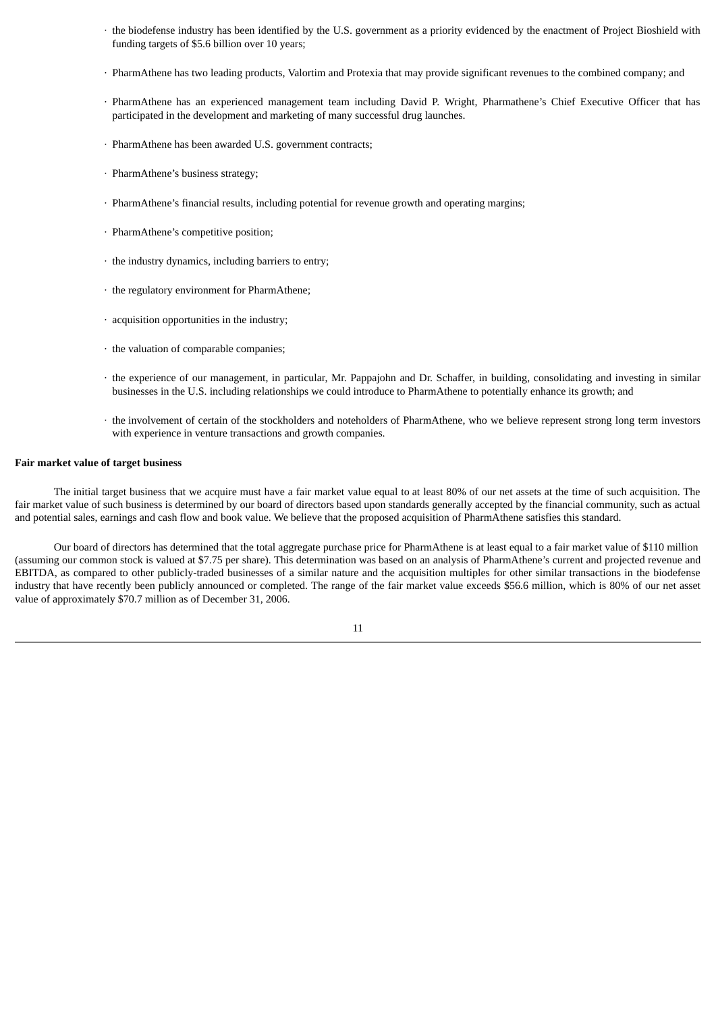- · the biodefense industry has been identified by the U.S. government as a priority evidenced by the enactment of Project Bioshield with funding targets of \$5.6 billion over 10 years;
- · PharmAthene has two leading products, Valortim and Protexia that may provide significant revenues to the combined company; and
- · PharmAthene has an experienced management team including David P. Wright, Pharmathene's Chief Executive Officer that has participated in the development and marketing of many successful drug launches.
- · PharmAthene has been awarded U.S. government contracts;
- · PharmAthene's business strategy;
- · PharmAthene's financial results, including potential for revenue growth and operating margins;
- · PharmAthene's competitive position;
- · the industry dynamics, including barriers to entry;
- · the regulatory environment for PharmAthene;
- · acquisition opportunities in the industry;
- · the valuation of comparable companies;
- · the experience of our management, in particular, Mr. Pappajohn and Dr. Schaffer, in building, consolidating and investing in similar businesses in the U.S. including relationships we could introduce to PharmAthene to potentially enhance its growth; and
- · the involvement of certain of the stockholders and noteholders of PharmAthene, who we believe represent strong long term investors with experience in venture transactions and growth companies.

### **Fair market value of target business**

The initial target business that we acquire must have a fair market value equal to at least 80% of our net assets at the time of such acquisition. The fair market value of such business is determined by our board of directors based upon standards generally accepted by the financial community, such as actual and potential sales, earnings and cash flow and book value. We believe that the proposed acquisition of PharmAthene satisfies this standard.

Our board of directors has determined that the total aggregate purchase price for PharmAthene is at least equal to a fair market value of \$110 million (assuming our common stock is valued at \$7.75 per share). This determination was based on an analysis of PharmAthene's current and projected revenue and EBITDA, as compared to other publicly-traded businesses of a similar nature and the acquisition multiples for other similar transactions in the biodefense industry that have recently been publicly announced or completed. The range of the fair market value exceeds \$56.6 million, which is 80% of our net asset value of approximately \$70.7 million as of December 31, 2006.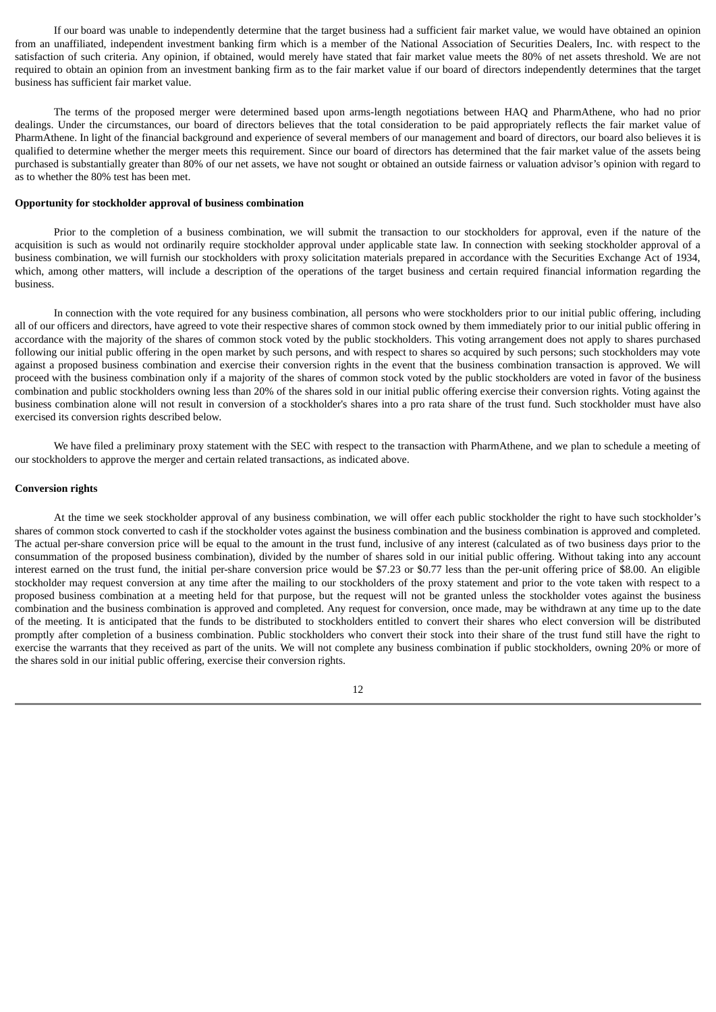If our board was unable to independently determine that the target business had a sufficient fair market value, we would have obtained an opinion from an unaffiliated, independent investment banking firm which is a member of the National Association of Securities Dealers, Inc. with respect to the satisfaction of such criteria. Any opinion, if obtained, would merely have stated that fair market value meets the 80% of net assets threshold. We are not required to obtain an opinion from an investment banking firm as to the fair market value if our board of directors independently determines that the target business has sufficient fair market value.

The terms of the proposed merger were determined based upon arms-length negotiations between HAQ and PharmAthene, who had no prior dealings. Under the circumstances, our board of directors believes that the total consideration to be paid appropriately reflects the fair market value of PharmAthene. In light of the financial background and experience of several members of our management and board of directors, our board also believes it is qualified to determine whether the merger meets this requirement. Since our board of directors has determined that the fair market value of the assets being purchased is substantially greater than 80% of our net assets, we have not sought or obtained an outside fairness or valuation advisor's opinion with regard to as to whether the 80% test has been met.

## **Opportunity for stockholder approval of business combination**

Prior to the completion of a business combination, we will submit the transaction to our stockholders for approval, even if the nature of the acquisition is such as would not ordinarily require stockholder approval under applicable state law. In connection with seeking stockholder approval of a business combination, we will furnish our stockholders with proxy solicitation materials prepared in accordance with the Securities Exchange Act of 1934, which, among other matters, will include a description of the operations of the target business and certain required financial information regarding the business.

In connection with the vote required for any business combination, all persons who were stockholders prior to our initial public offering, including all of our officers and directors, have agreed to vote their respective shares of common stock owned by them immediately prior to our initial public offering in accordance with the majority of the shares of common stock voted by the public stockholders. This voting arrangement does not apply to shares purchased following our initial public offering in the open market by such persons, and with respect to shares so acquired by such persons; such stockholders may vote against a proposed business combination and exercise their conversion rights in the event that the business combination transaction is approved. We will proceed with the business combination only if a majority of the shares of common stock voted by the public stockholders are voted in favor of the business combination and public stockholders owning less than 20% of the shares sold in our initial public offering exercise their conversion rights. Voting against the business combination alone will not result in conversion of a stockholder's shares into a pro rata share of the trust fund. Such stockholder must have also exercised its conversion rights described below.

We have filed a preliminary proxy statement with the SEC with respect to the transaction with PharmAthene, and we plan to schedule a meeting of our stockholders to approve the merger and certain related transactions, as indicated above.

#### **Conversion rights**

At the time we seek stockholder approval of any business combination, we will offer each public stockholder the right to have such stockholder's shares of common stock converted to cash if the stockholder votes against the business combination and the business combination is approved and completed. The actual per-share conversion price will be equal to the amount in the trust fund, inclusive of any interest (calculated as of two business days prior to the consummation of the proposed business combination), divided by the number of shares sold in our initial public offering. Without taking into any account interest earned on the trust fund, the initial per-share conversion price would be \$7.23 or \$0.77 less than the per-unit offering price of \$8.00. An eligible stockholder may request conversion at any time after the mailing to our stockholders of the proxy statement and prior to the vote taken with respect to a proposed business combination at a meeting held for that purpose, but the request will not be granted unless the stockholder votes against the business combination and the business combination is approved and completed. Any request for conversion, once made, may be withdrawn at any time up to the date of the meeting. It is anticipated that the funds to be distributed to stockholders entitled to convert their shares who elect conversion will be distributed promptly after completion of a business combination. Public stockholders who convert their stock into their share of the trust fund still have the right to exercise the warrants that they received as part of the units. We will not complete any business combination if public stockholders, owning 20% or more of the shares sold in our initial public offering, exercise their conversion rights.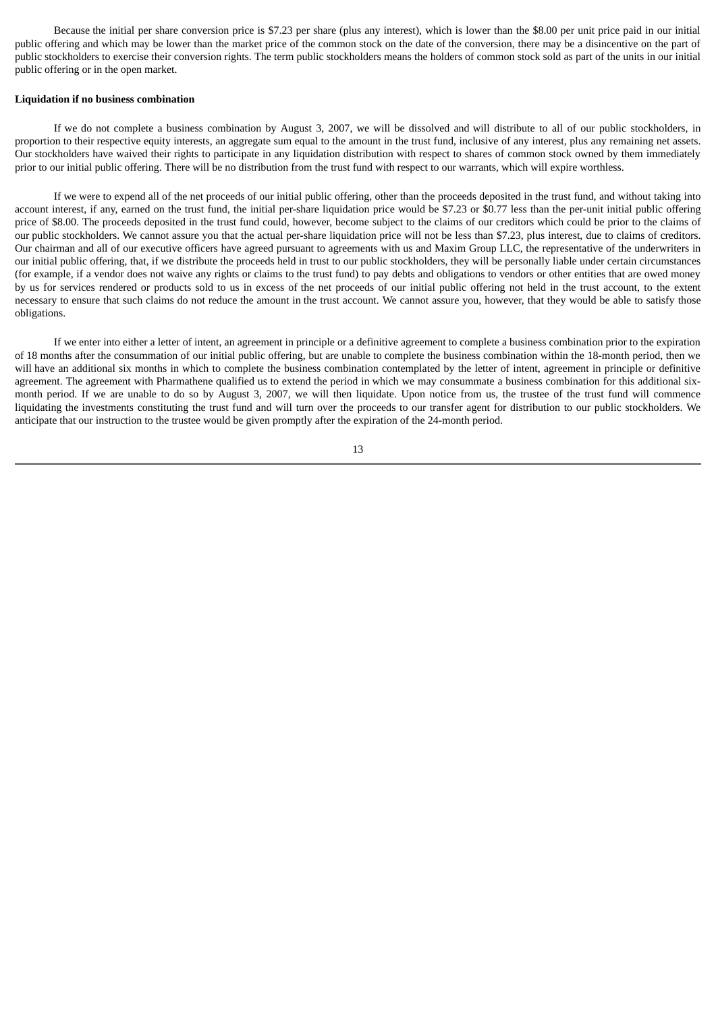Because the initial per share conversion price is \$7.23 per share (plus any interest), which is lower than the \$8.00 per unit price paid in our initial public offering and which may be lower than the market price of the common stock on the date of the conversion, there may be a disincentive on the part of public stockholders to exercise their conversion rights. The term public stockholders means the holders of common stock sold as part of the units in our initial public offering or in the open market.

#### **Liquidation if no business combination**

If we do not complete a business combination by August 3, 2007, we will be dissolved and will distribute to all of our public stockholders, in proportion to their respective equity interests, an aggregate sum equal to the amount in the trust fund, inclusive of any interest, plus any remaining net assets. Our stockholders have waived their rights to participate in any liquidation distribution with respect to shares of common stock owned by them immediately prior to our initial public offering. There will be no distribution from the trust fund with respect to our warrants, which will expire worthless.

If we were to expend all of the net proceeds of our initial public offering, other than the proceeds deposited in the trust fund, and without taking into account interest, if any, earned on the trust fund, the initial per-share liquidation price would be \$7.23 or \$0.77 less than the per-unit initial public offering price of \$8.00. The proceeds deposited in the trust fund could, however, become subject to the claims of our creditors which could be prior to the claims of our public stockholders. We cannot assure you that the actual per-share liquidation price will not be less than \$7.23, plus interest, due to claims of creditors. Our chairman and all of our executive officers have agreed pursuant to agreements with us and Maxim Group LLC, the representative of the underwriters in our initial public offering, that, if we distribute the proceeds held in trust to our public stockholders, they will be personally liable under certain circumstances (for example, if a vendor does not waive any rights or claims to the trust fund) to pay debts and obligations to vendors or other entities that are owed money by us for services rendered or products sold to us in excess of the net proceeds of our initial public offering not held in the trust account, to the extent necessary to ensure that such claims do not reduce the amount in the trust account. We cannot assure you, however, that they would be able to satisfy those obligations.

If we enter into either a letter of intent, an agreement in principle or a definitive agreement to complete a business combination prior to the expiration of 18 months after the consummation of our initial public offering, but are unable to complete the business combination within the 18-month period, then we will have an additional six months in which to complete the business combination contemplated by the letter of intent, agreement in principle or definitive agreement. The agreement with Pharmathene qualified us to extend the period in which we may consummate a business combination for this additional sixmonth period. If we are unable to do so by August 3, 2007, we will then liquidate. Upon notice from us, the trustee of the trust fund will commence liquidating the investments constituting the trust fund and will turn over the proceeds to our transfer agent for distribution to our public stockholders. We anticipate that our instruction to the trustee would be given promptly after the expiration of the 24-month period.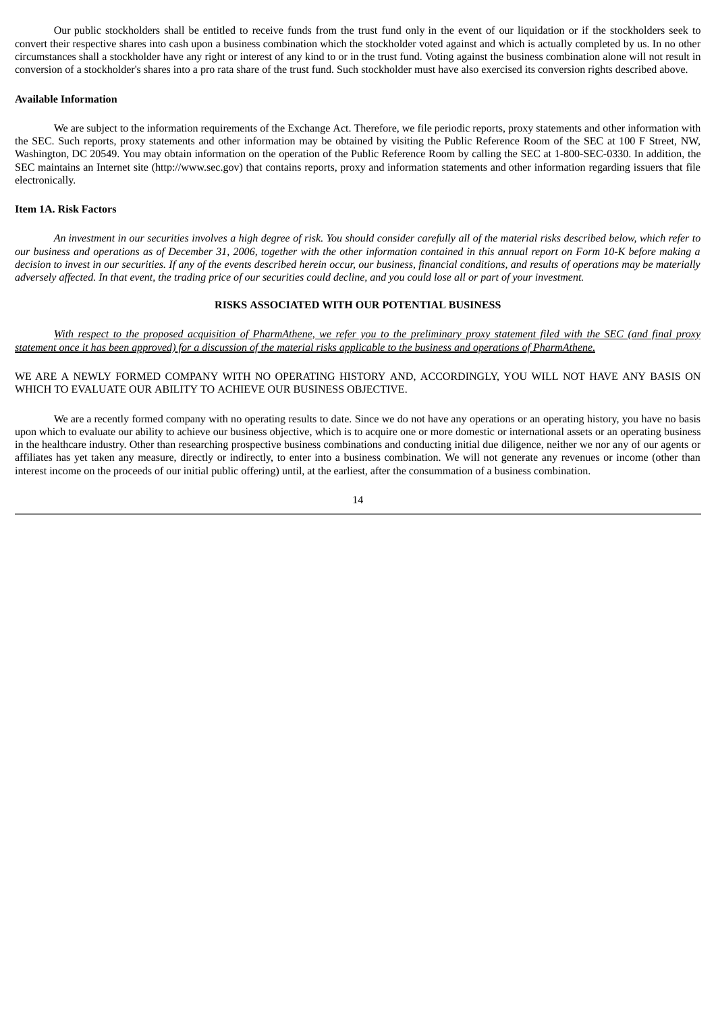Our public stockholders shall be entitled to receive funds from the trust fund only in the event of our liquidation or if the stockholders seek to convert their respective shares into cash upon a business combination which the stockholder voted against and which is actually completed by us. In no other circumstances shall a stockholder have any right or interest of any kind to or in the trust fund. Voting against the business combination alone will not result in conversion of a stockholder's shares into a pro rata share of the trust fund. Such stockholder must have also exercised its conversion rights described above.

#### **Available Information**

We are subject to the information requirements of the Exchange Act. Therefore, we file periodic reports, proxy statements and other information with the SEC. Such reports, proxy statements and other information may be obtained by visiting the Public Reference Room of the SEC at 100 F Street, NW, Washington, DC 20549. You may obtain information on the operation of the Public Reference Room by calling the SEC at 1-800-SEC-0330. In addition, the SEC maintains an Internet site (http://www.sec.gov) that contains reports, proxy and information statements and other information regarding issuers that file electronically.

## **Item 1A. Risk Factors**

An investment in our securities involves a high degree of risk. You should consider carefully all of the material risks described below, which refer to our business and operations as of December 31, 2006, together with the other information contained in this annual report on Form 10-K before making a decision to invest in our securities. If any of the events described herein occur, our business, financial conditions, and results of operations may be materially adversely affected. In that event, the trading price of our securities could decline, and you could lose all or part of your investment.

#### **RISKS ASSOCIATED WITH OUR POTENTIAL BUSINESS**

With respect to the proposed acquisition of PharmAthene, we refer you to the preliminary proxy statement filed with the SEC (and final proxy statement once it has been approved) for a discussion of the material risks applicable to the business and operations of PharmAthene.

#### WE ARE A NEWLY FORMED COMPANY WITH NO OPERATING HISTORY AND, ACCORDINGLY, YOU WILL NOT HAVE ANY BASIS ON WHICH TO EVALUATE OUR ABILITY TO ACHIEVE OUR BUSINESS OBJECTIVE.

We are a recently formed company with no operating results to date. Since we do not have any operations or an operating history, you have no basis upon which to evaluate our ability to achieve our business objective, which is to acquire one or more domestic or international assets or an operating business in the healthcare industry. Other than researching prospective business combinations and conducting initial due diligence, neither we nor any of our agents or affiliates has yet taken any measure, directly or indirectly, to enter into a business combination. We will not generate any revenues or income (other than interest income on the proceeds of our initial public offering) until, at the earliest, after the consummation of a business combination.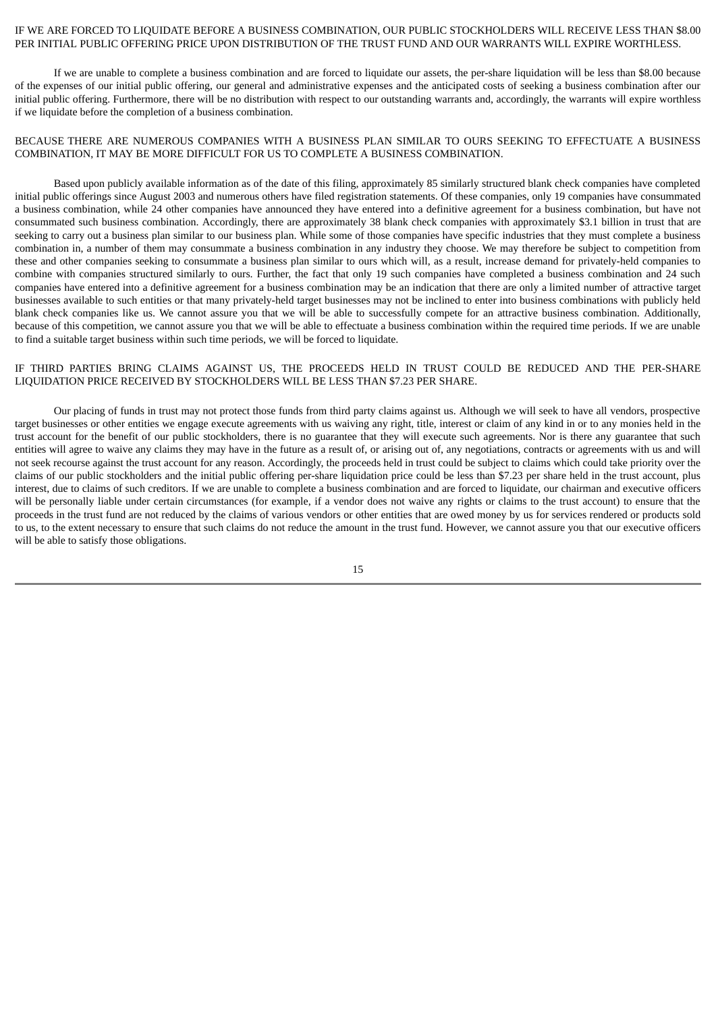#### IF WE ARE FORCED TO LIQUIDATE BEFORE A BUSINESS COMBINATION, OUR PUBLIC STOCKHOLDERS WILL RECEIVE LESS THAN \$8.00 PER INITIAL PUBLIC OFFERING PRICE UPON DISTRIBUTION OF THE TRUST FUND AND OUR WARRANTS WILL EXPIRE WORTHLESS.

If we are unable to complete a business combination and are forced to liquidate our assets, the per-share liquidation will be less than \$8.00 because of the expenses of our initial public offering, our general and administrative expenses and the anticipated costs of seeking a business combination after our initial public offering. Furthermore, there will be no distribution with respect to our outstanding warrants and, accordingly, the warrants will expire worthless if we liquidate before the completion of a business combination.

## BECAUSE THERE ARE NUMEROUS COMPANIES WITH A BUSINESS PLAN SIMILAR TO OURS SEEKING TO EFFECTUATE A BUSINESS COMBINATION, IT MAY BE MORE DIFFICULT FOR US TO COMPLETE A BUSINESS COMBINATION.

Based upon publicly available information as of the date of this filing, approximately 85 similarly structured blank check companies have completed initial public offerings since August 2003 and numerous others have filed registration statements. Of these companies, only 19 companies have consummated a business combination, while 24 other companies have announced they have entered into a definitive agreement for a business combination, but have not consummated such business combination. Accordingly, there are approximately 38 blank check companies with approximately \$3.1 billion in trust that are seeking to carry out a business plan similar to our business plan. While some of those companies have specific industries that they must complete a business combination in, a number of them may consummate a business combination in any industry they choose. We may therefore be subject to competition from these and other companies seeking to consummate a business plan similar to ours which will, as a result, increase demand for privately-held companies to combine with companies structured similarly to ours. Further, the fact that only 19 such companies have completed a business combination and 24 such companies have entered into a definitive agreement for a business combination may be an indication that there are only a limited number of attractive target businesses available to such entities or that many privately-held target businesses may not be inclined to enter into business combinations with publicly held blank check companies like us. We cannot assure you that we will be able to successfully compete for an attractive business combination. Additionally, because of this competition, we cannot assure you that we will be able to effectuate a business combination within the required time periods. If we are unable to find a suitable target business within such time periods, we will be forced to liquidate.

#### IF THIRD PARTIES BRING CLAIMS AGAINST US, THE PROCEEDS HELD IN TRUST COULD BE REDUCED AND THE PER-SHARE LIQUIDATION PRICE RECEIVED BY STOCKHOLDERS WILL BE LESS THAN \$7.23 PER SHARE.

Our placing of funds in trust may not protect those funds from third party claims against us. Although we will seek to have all vendors, prospective target businesses or other entities we engage execute agreements with us waiving any right, title, interest or claim of any kind in or to any monies held in the trust account for the benefit of our public stockholders, there is no guarantee that they will execute such agreements. Nor is there any guarantee that such entities will agree to waive any claims they may have in the future as a result of, or arising out of, any negotiations, contracts or agreements with us and will not seek recourse against the trust account for any reason. Accordingly, the proceeds held in trust could be subject to claims which could take priority over the claims of our public stockholders and the initial public offering per-share liquidation price could be less than \$7.23 per share held in the trust account, plus interest, due to claims of such creditors. If we are unable to complete a business combination and are forced to liquidate, our chairman and executive officers will be personally liable under certain circumstances (for example, if a vendor does not waive any rights or claims to the trust account) to ensure that the proceeds in the trust fund are not reduced by the claims of various vendors or other entities that are owed money by us for services rendered or products sold to us, to the extent necessary to ensure that such claims do not reduce the amount in the trust fund. However, we cannot assure you that our executive officers will be able to satisfy those obligations.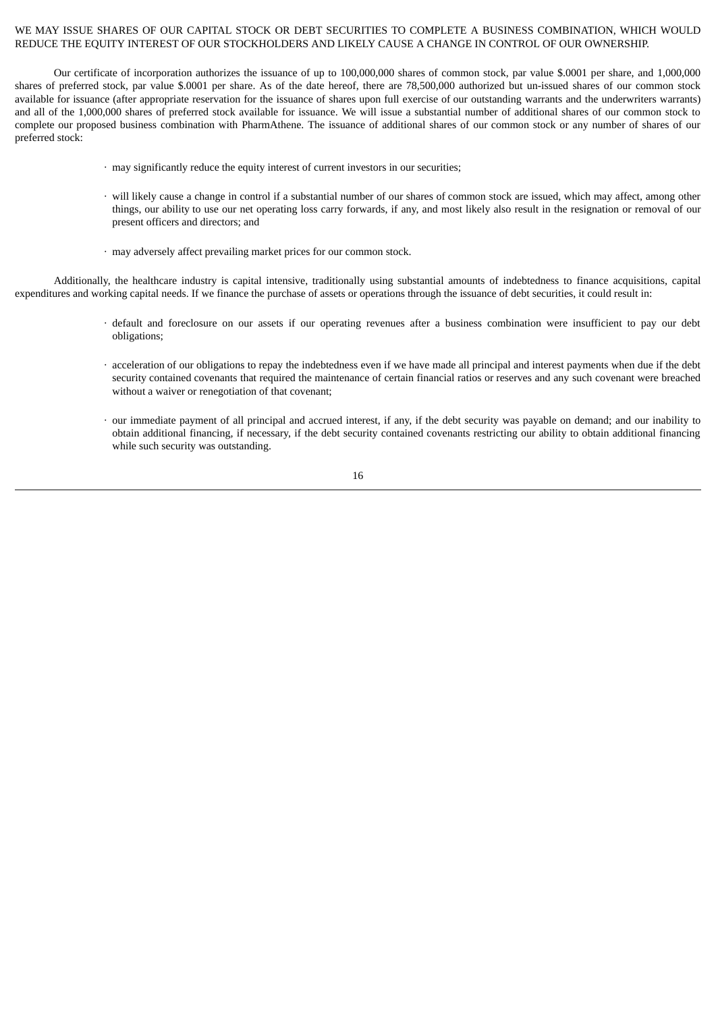## WE MAY ISSUE SHARES OF OUR CAPITAL STOCK OR DEBT SECURITIES TO COMPLETE A BUSINESS COMBINATION, WHICH WOULD REDUCE THE EQUITY INTEREST OF OUR STOCKHOLDERS AND LIKELY CAUSE A CHANGE IN CONTROL OF OUR OWNERSHIP.

Our certificate of incorporation authorizes the issuance of up to 100,000,000 shares of common stock, par value \$.0001 per share, and 1,000,000 shares of preferred stock, par value \$.0001 per share. As of the date hereof, there are 78,500,000 authorized but un-issued shares of our common stock available for issuance (after appropriate reservation for the issuance of shares upon full exercise of our outstanding warrants and the underwriters warrants) and all of the 1,000,000 shares of preferred stock available for issuance. We will issue a substantial number of additional shares of our common stock to complete our proposed business combination with PharmAthene. The issuance of additional shares of our common stock or any number of shares of our preferred stock:

- $\cdot$  may significantly reduce the equity interest of current investors in our securities;
- · will likely cause a change in control if a substantial number of our shares of common stock are issued, which may affect, among other things, our ability to use our net operating loss carry forwards, if any, and most likely also result in the resignation or removal of our present officers and directors; and
- · may adversely affect prevailing market prices for our common stock.

Additionally, the healthcare industry is capital intensive, traditionally using substantial amounts of indebtedness to finance acquisitions, capital expenditures and working capital needs. If we finance the purchase of assets or operations through the issuance of debt securities, it could result in:

- · default and foreclosure on our assets if our operating revenues after a business combination were insufficient to pay our debt obligations;
- · acceleration of our obligations to repay the indebtedness even if we have made all principal and interest payments when due if the debt security contained covenants that required the maintenance of certain financial ratios or reserves and any such covenant were breached without a waiver or renegotiation of that covenant;
- · our immediate payment of all principal and accrued interest, if any, if the debt security was payable on demand; and our inability to obtain additional financing, if necessary, if the debt security contained covenants restricting our ability to obtain additional financing while such security was outstanding.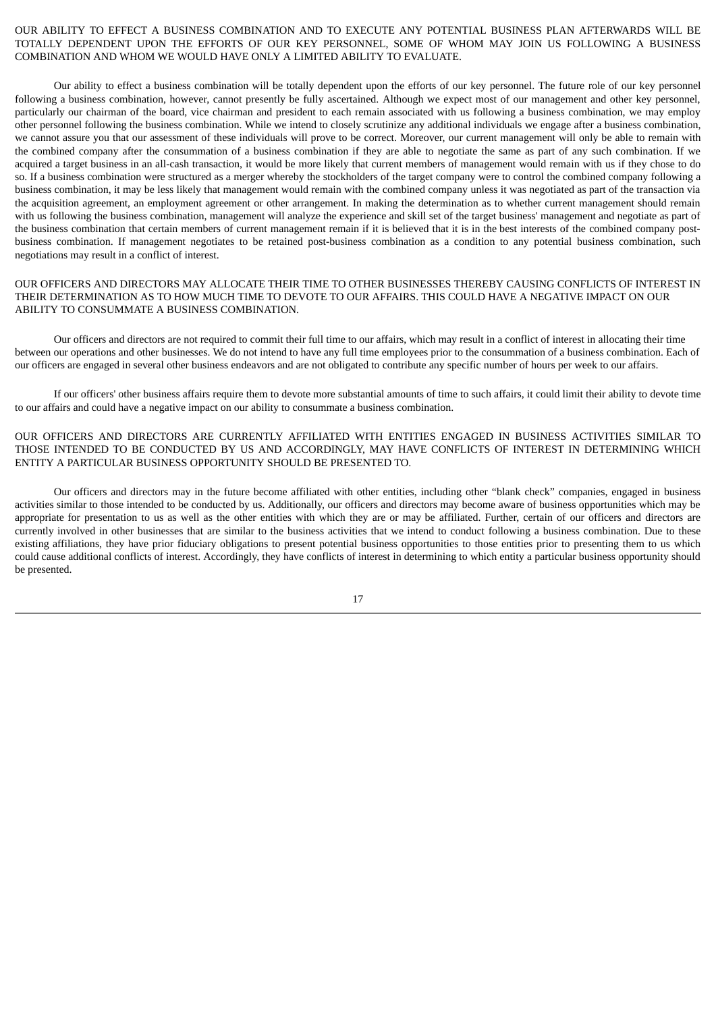## OUR ABILITY TO EFFECT A BUSINESS COMBINATION AND TO EXECUTE ANY POTENTIAL BUSINESS PLAN AFTERWARDS WILL BE TOTALLY DEPENDENT UPON THE EFFORTS OF OUR KEY PERSONNEL, SOME OF WHOM MAY JOIN US FOLLOWING A BUSINESS COMBINATION AND WHOM WE WOULD HAVE ONLY A LIMITED ABILITY TO EVALUATE.

Our ability to effect a business combination will be totally dependent upon the efforts of our key personnel. The future role of our key personnel following a business combination, however, cannot presently be fully ascertained. Although we expect most of our management and other key personnel, particularly our chairman of the board, vice chairman and president to each remain associated with us following a business combination, we may employ other personnel following the business combination. While we intend to closely scrutinize any additional individuals we engage after a business combination, we cannot assure you that our assessment of these individuals will prove to be correct. Moreover, our current management will only be able to remain with the combined company after the consummation of a business combination if they are able to negotiate the same as part of any such combination. If we acquired a target business in an all-cash transaction, it would be more likely that current members of management would remain with us if they chose to do so. If a business combination were structured as a merger whereby the stockholders of the target company were to control the combined company following a business combination, it may be less likely that management would remain with the combined company unless it was negotiated as part of the transaction via the acquisition agreement, an employment agreement or other arrangement. In making the determination as to whether current management should remain with us following the business combination, management will analyze the experience and skill set of the target business' management and negotiate as part of the business combination that certain members of current management remain if it is believed that it is in the best interests of the combined company postbusiness combination. If management negotiates to be retained post-business combination as a condition to any potential business combination, such negotiations may result in a conflict of interest.

## OUR OFFICERS AND DIRECTORS MAY ALLOCATE THEIR TIME TO OTHER BUSINESSES THEREBY CAUSING CONFLICTS OF INTEREST IN THEIR DETERMINATION AS TO HOW MUCH TIME TO DEVOTE TO OUR AFFAIRS. THIS COULD HAVE A NEGATIVE IMPACT ON OUR ABILITY TO CONSUMMATE A BUSINESS COMBINATION.

Our officers and directors are not required to commit their full time to our affairs, which may result in a conflict of interest in allocating their time between our operations and other businesses. We do not intend to have any full time employees prior to the consummation of a business combination. Each of our officers are engaged in several other business endeavors and are not obligated to contribute any specific number of hours per week to our affairs.

If our officers' other business affairs require them to devote more substantial amounts of time to such affairs, it could limit their ability to devote time to our affairs and could have a negative impact on our ability to consummate a business combination.

OUR OFFICERS AND DIRECTORS ARE CURRENTLY AFFILIATED WITH ENTITIES ENGAGED IN BUSINESS ACTIVITIES SIMILAR TO THOSE INTENDED TO BE CONDUCTED BY US AND ACCORDINGLY, MAY HAVE CONFLICTS OF INTEREST IN DETERMINING WHICH ENTITY A PARTICULAR BUSINESS OPPORTUNITY SHOULD BE PRESENTED TO.

Our officers and directors may in the future become affiliated with other entities, including other "blank check" companies, engaged in business activities similar to those intended to be conducted by us. Additionally, our officers and directors may become aware of business opportunities which may be appropriate for presentation to us as well as the other entities with which they are or may be affiliated. Further, certain of our officers and directors are currently involved in other businesses that are similar to the business activities that we intend to conduct following a business combination. Due to these existing affiliations, they have prior fiduciary obligations to present potential business opportunities to those entities prior to presenting them to us which could cause additional conflicts of interest. Accordingly, they have conflicts of interest in determining to which entity a particular business opportunity should be presented.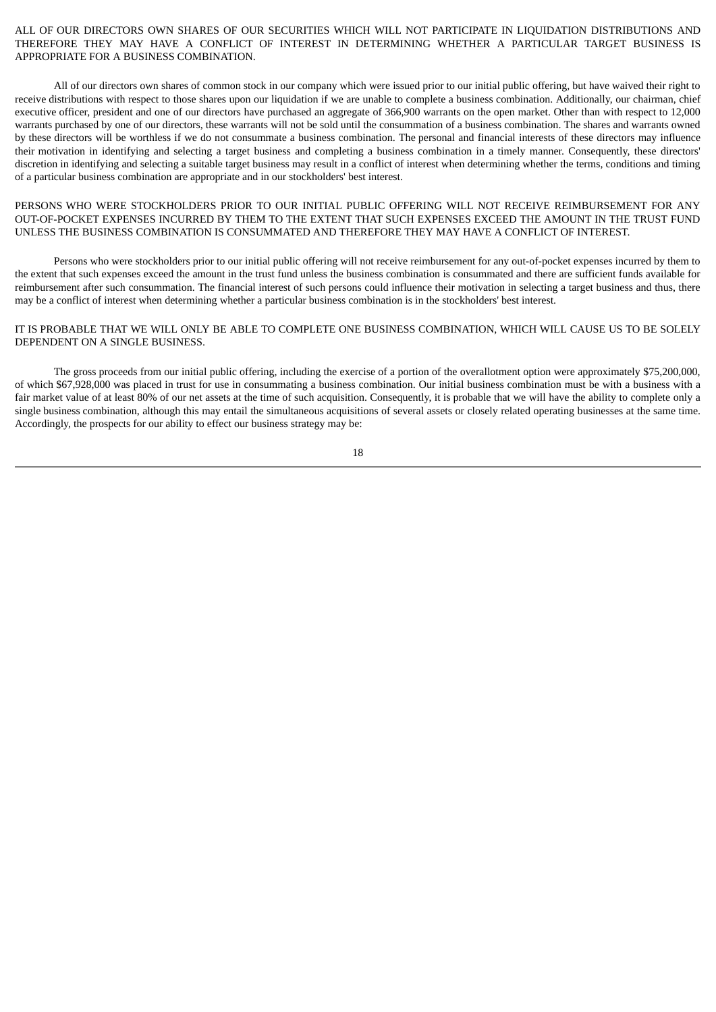ALL OF OUR DIRECTORS OWN SHARES OF OUR SECURITIES WHICH WILL NOT PARTICIPATE IN LIQUIDATION DISTRIBUTIONS AND THEREFORE THEY MAY HAVE A CONFLICT OF INTEREST IN DETERMINING WHETHER A PARTICULAR TARGET BUSINESS IS APPROPRIATE FOR A BUSINESS COMBINATION.

All of our directors own shares of common stock in our company which were issued prior to our initial public offering, but have waived their right to receive distributions with respect to those shares upon our liquidation if we are unable to complete a business combination. Additionally, our chairman, chief executive officer, president and one of our directors have purchased an aggregate of 366,900 warrants on the open market. Other than with respect to 12,000 warrants purchased by one of our directors, these warrants will not be sold until the consummation of a business combination. The shares and warrants owned by these directors will be worthless if we do not consummate a business combination. The personal and financial interests of these directors may influence their motivation in identifying and selecting a target business and completing a business combination in a timely manner. Consequently, these directors' discretion in identifying and selecting a suitable target business may result in a conflict of interest when determining whether the terms, conditions and timing of a particular business combination are appropriate and in our stockholders' best interest.

PERSONS WHO WERE STOCKHOLDERS PRIOR TO OUR INITIAL PUBLIC OFFERING WILL NOT RECEIVE REIMBURSEMENT FOR ANY OUT-OF-POCKET EXPENSES INCURRED BY THEM TO THE EXTENT THAT SUCH EXPENSES EXCEED THE AMOUNT IN THE TRUST FUND UNLESS THE BUSINESS COMBINATION IS CONSUMMATED AND THEREFORE THEY MAY HAVE A CONFLICT OF INTEREST.

Persons who were stockholders prior to our initial public offering will not receive reimbursement for any out-of-pocket expenses incurred by them to the extent that such expenses exceed the amount in the trust fund unless the business combination is consummated and there are sufficient funds available for reimbursement after such consummation. The financial interest of such persons could influence their motivation in selecting a target business and thus, there may be a conflict of interest when determining whether a particular business combination is in the stockholders' best interest.

IT IS PROBABLE THAT WE WILL ONLY BE ABLE TO COMPLETE ONE BUSINESS COMBINATION, WHICH WILL CAUSE US TO BE SOLELY DEPENDENT ON A SINGLE BUSINESS.

The gross proceeds from our initial public offering, including the exercise of a portion of the overallotment option were approximately \$75,200,000, of which \$67,928,000 was placed in trust for use in consummating a business combination. Our initial business combination must be with a business with a fair market value of at least 80% of our net assets at the time of such acquisition. Consequently, it is probable that we will have the ability to complete only a single business combination, although this may entail the simultaneous acquisitions of several assets or closely related operating businesses at the same time. Accordingly, the prospects for our ability to effect our business strategy may be: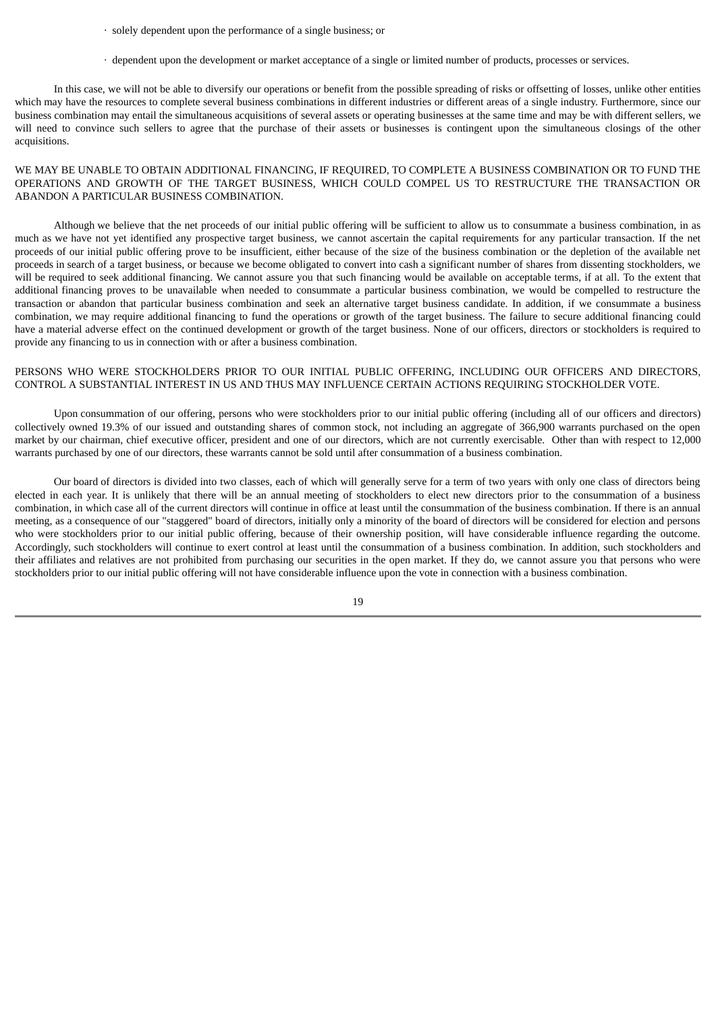- · solely dependent upon the performance of a single business; or
- · dependent upon the development or market acceptance of a single or limited number of products, processes or services.

In this case, we will not be able to diversify our operations or benefit from the possible spreading of risks or offsetting of losses, unlike other entities which may have the resources to complete several business combinations in different industries or different areas of a single industry. Furthermore, since our business combination may entail the simultaneous acquisitions of several assets or operating businesses at the same time and may be with different sellers, we will need to convince such sellers to agree that the purchase of their assets or businesses is contingent upon the simultaneous closings of the other acquisitions.

WE MAY BE UNABLE TO OBTAIN ADDITIONAL FINANCING, IF REQUIRED, TO COMPLETE A BUSINESS COMBINATION OR TO FUND THE OPERATIONS AND GROWTH OF THE TARGET BUSINESS, WHICH COULD COMPEL US TO RESTRUCTURE THE TRANSACTION OR ABANDON A PARTICULAR BUSINESS COMBINATION.

Although we believe that the net proceeds of our initial public offering will be sufficient to allow us to consummate a business combination, in as much as we have not yet identified any prospective target business, we cannot ascertain the capital requirements for any particular transaction. If the net proceeds of our initial public offering prove to be insufficient, either because of the size of the business combination or the depletion of the available net proceeds in search of a target business, or because we become obligated to convert into cash a significant number of shares from dissenting stockholders, we will be required to seek additional financing. We cannot assure you that such financing would be available on acceptable terms, if at all. To the extent that additional financing proves to be unavailable when needed to consummate a particular business combination, we would be compelled to restructure the transaction or abandon that particular business combination and seek an alternative target business candidate. In addition, if we consummate a business combination, we may require additional financing to fund the operations or growth of the target business. The failure to secure additional financing could have a material adverse effect on the continued development or growth of the target business. None of our officers, directors or stockholders is required to provide any financing to us in connection with or after a business combination.

## PERSONS WHO WERE STOCKHOLDERS PRIOR TO OUR INITIAL PUBLIC OFFERING, INCLUDING OUR OFFICERS AND DIRECTORS, CONTROL A SUBSTANTIAL INTEREST IN US AND THUS MAY INFLUENCE CERTAIN ACTIONS REQUIRING STOCKHOLDER VOTE.

Upon consummation of our offering, persons who were stockholders prior to our initial public offering (including all of our officers and directors) collectively owned 19.3% of our issued and outstanding shares of common stock, not including an aggregate of 366,900 warrants purchased on the open market by our chairman, chief executive officer, president and one of our directors, which are not currently exercisable. Other than with respect to 12,000 warrants purchased by one of our directors, these warrants cannot be sold until after consummation of a business combination.

Our board of directors is divided into two classes, each of which will generally serve for a term of two years with only one class of directors being elected in each year. It is unlikely that there will be an annual meeting of stockholders to elect new directors prior to the consummation of a business combination, in which case all of the current directors will continue in office at least until the consummation of the business combination. If there is an annual meeting, as a consequence of our "staggered" board of directors, initially only a minority of the board of directors will be considered for election and persons who were stockholders prior to our initial public offering, because of their ownership position, will have considerable influence regarding the outcome. Accordingly, such stockholders will continue to exert control at least until the consummation of a business combination. In addition, such stockholders and their affiliates and relatives are not prohibited from purchasing our securities in the open market. If they do, we cannot assure you that persons who were stockholders prior to our initial public offering will not have considerable influence upon the vote in connection with a business combination.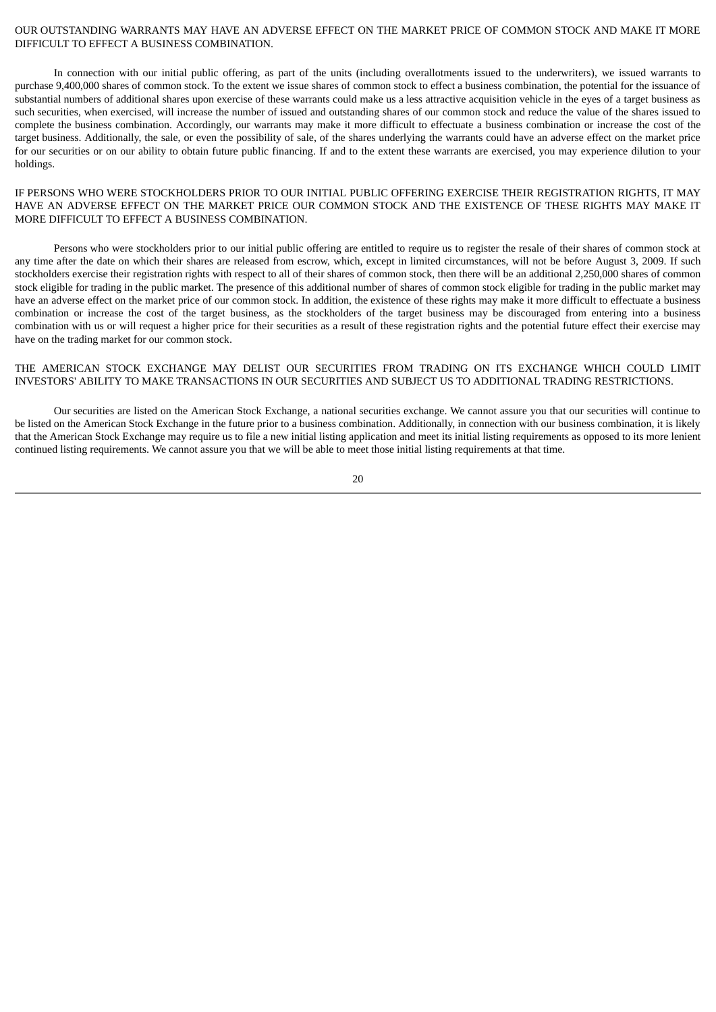### OUR OUTSTANDING WARRANTS MAY HAVE AN ADVERSE EFFECT ON THE MARKET PRICE OF COMMON STOCK AND MAKE IT MORE DIFFICULT TO EFFECT A BUSINESS COMBINATION.

In connection with our initial public offering, as part of the units (including overallotments issued to the underwriters), we issued warrants to purchase 9,400,000 shares of common stock. To the extent we issue shares of common stock to effect a business combination, the potential for the issuance of substantial numbers of additional shares upon exercise of these warrants could make us a less attractive acquisition vehicle in the eyes of a target business as such securities, when exercised, will increase the number of issued and outstanding shares of our common stock and reduce the value of the shares issued to complete the business combination. Accordingly, our warrants may make it more difficult to effectuate a business combination or increase the cost of the target business. Additionally, the sale, or even the possibility of sale, of the shares underlying the warrants could have an adverse effect on the market price for our securities or on our ability to obtain future public financing. If and to the extent these warrants are exercised, you may experience dilution to your holdings.

## IF PERSONS WHO WERE STOCKHOLDERS PRIOR TO OUR INITIAL PUBLIC OFFERING EXERCISE THEIR REGISTRATION RIGHTS, IT MAY HAVE AN ADVERSE EFFECT ON THE MARKET PRICE OUR COMMON STOCK AND THE EXISTENCE OF THESE RIGHTS MAY MAKE IT MORE DIFFICULT TO EFFECT A BUSINESS COMBINATION.

Persons who were stockholders prior to our initial public offering are entitled to require us to register the resale of their shares of common stock at any time after the date on which their shares are released from escrow, which, except in limited circumstances, will not be before August 3, 2009. If such stockholders exercise their registration rights with respect to all of their shares of common stock, then there will be an additional 2,250,000 shares of common stock eligible for trading in the public market. The presence of this additional number of shares of common stock eligible for trading in the public market may have an adverse effect on the market price of our common stock. In addition, the existence of these rights may make it more difficult to effectuate a business combination or increase the cost of the target business, as the stockholders of the target business may be discouraged from entering into a business combination with us or will request a higher price for their securities as a result of these registration rights and the potential future effect their exercise may have on the trading market for our common stock.

## THE AMERICAN STOCK EXCHANGE MAY DELIST OUR SECURITIES FROM TRADING ON ITS EXCHANGE WHICH COULD LIMIT INVESTORS' ABILITY TO MAKE TRANSACTIONS IN OUR SECURITIES AND SUBJECT US TO ADDITIONAL TRADING RESTRICTIONS.

Our securities are listed on the American Stock Exchange, a national securities exchange. We cannot assure you that our securities will continue to be listed on the American Stock Exchange in the future prior to a business combination. Additionally, in connection with our business combination, it is likely that the American Stock Exchange may require us to file a new initial listing application and meet its initial listing requirements as opposed to its more lenient continued listing requirements. We cannot assure you that we will be able to meet those initial listing requirements at that time.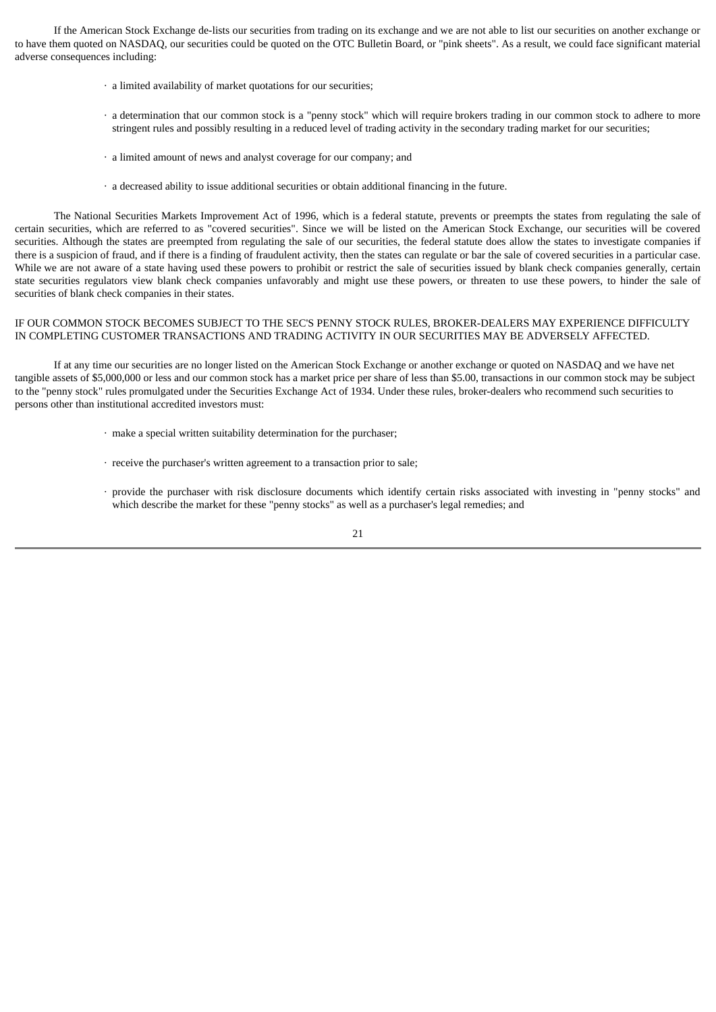If the American Stock Exchange de-lists our securities from trading on its exchange and we are not able to list our securities on another exchange or to have them quoted on NASDAQ, our securities could be quoted on the OTC Bulletin Board, or "pink sheets". As a result, we could face significant material adverse consequences including:

- · a limited availability of market quotations for our securities;
- · a determination that our common stock is a "penny stock" which will require brokers trading in our common stock to adhere to more stringent rules and possibly resulting in a reduced level of trading activity in the secondary trading market for our securities;
- · a limited amount of news and analyst coverage for our company; and
- · a decreased ability to issue additional securities or obtain additional financing in the future.

The National Securities Markets Improvement Act of 1996, which is a federal statute, prevents or preempts the states from regulating the sale of certain securities, which are referred to as "covered securities". Since we will be listed on the American Stock Exchange, our securities will be covered securities. Although the states are preempted from regulating the sale of our securities, the federal statute does allow the states to investigate companies if there is a suspicion of fraud, and if there is a finding of fraudulent activity, then the states can regulate or bar the sale of covered securities in a particular case. While we are not aware of a state having used these powers to prohibit or restrict the sale of securities issued by blank check companies generally, certain state securities regulators view blank check companies unfavorably and might use these powers, or threaten to use these powers, to hinder the sale of securities of blank check companies in their states.

## IF OUR COMMON STOCK BECOMES SUBJECT TO THE SEC'S PENNY STOCK RULES, BROKER-DEALERS MAY EXPERIENCE DIFFICULTY IN COMPLETING CUSTOMER TRANSACTIONS AND TRADING ACTIVITY IN OUR SECURITIES MAY BE ADVERSELY AFFECTED.

If at any time our securities are no longer listed on the American Stock Exchange or another exchange or quoted on NASDAQ and we have net tangible assets of \$5,000,000 or less and our common stock has a market price per share of less than \$5.00, transactions in our common stock may be subject to the "penny stock" rules promulgated under the Securities Exchange Act of 1934. Under these rules, broker-dealers who recommend such securities to persons other than institutional accredited investors must:

- · make a special written suitability determination for the purchaser;
- · receive the purchaser's written agreement to a transaction prior to sale;
- · provide the purchaser with risk disclosure documents which identify certain risks associated with investing in "penny stocks" and which describe the market for these "penny stocks" as well as a purchaser's legal remedies; and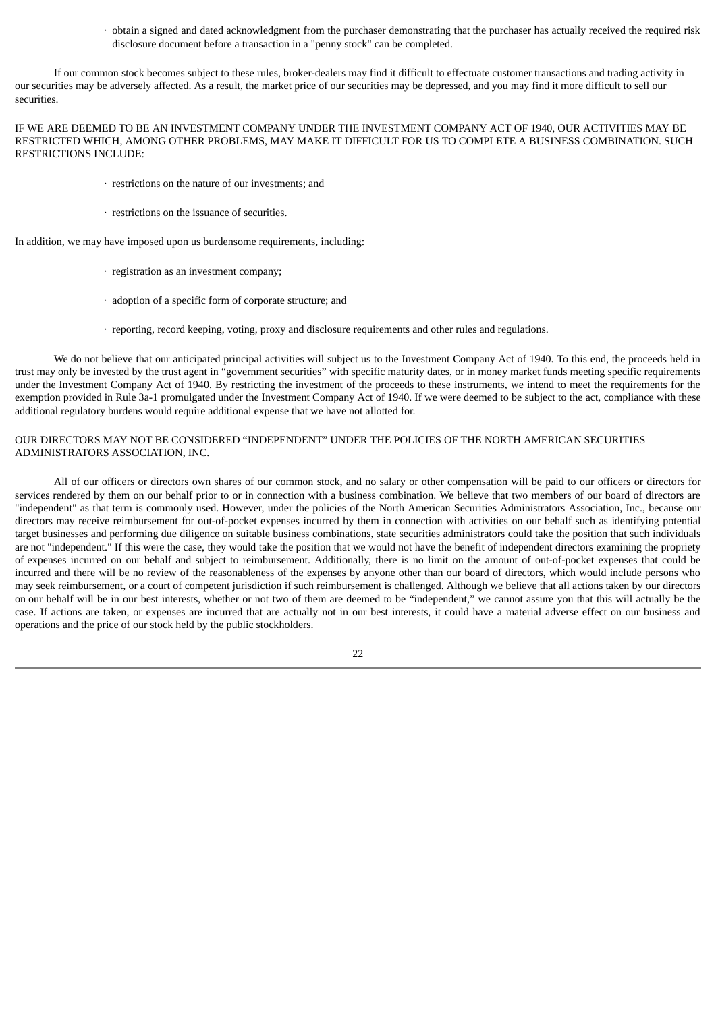· obtain a signed and dated acknowledgment from the purchaser demonstrating that the purchaser has actually received the required risk disclosure document before a transaction in a "penny stock" can be completed.

If our common stock becomes subject to these rules, broker-dealers may find it difficult to effectuate customer transactions and trading activity in our securities may be adversely affected. As a result, the market price of our securities may be depressed, and you may find it more difficult to sell our securities.

IF WE ARE DEEMED TO BE AN INVESTMENT COMPANY UNDER THE INVESTMENT COMPANY ACT OF 1940, OUR ACTIVITIES MAY BE RESTRICTED WHICH, AMONG OTHER PROBLEMS, MAY MAKE IT DIFFICULT FOR US TO COMPLETE A BUSINESS COMBINATION. SUCH RESTRICTIONS INCLUDE:

- · restrictions on the nature of our investments; and
- · restrictions on the issuance of securities.

In addition, we may have imposed upon us burdensome requirements, including:

- · registration as an investment company;
- · adoption of a specific form of corporate structure; and
- · reporting, record keeping, voting, proxy and disclosure requirements and other rules and regulations.

We do not believe that our anticipated principal activities will subject us to the Investment Company Act of 1940. To this end, the proceeds held in trust may only be invested by the trust agent in "government securities" with specific maturity dates, or in money market funds meeting specific requirements under the Investment Company Act of 1940. By restricting the investment of the proceeds to these instruments, we intend to meet the requirements for the exemption provided in Rule 3a-1 promulgated under the Investment Company Act of 1940. If we were deemed to be subject to the act, compliance with these additional regulatory burdens would require additional expense that we have not allotted for.

## OUR DIRECTORS MAY NOT BE CONSIDERED "INDEPENDENT" UNDER THE POLICIES OF THE NORTH AMERICAN SECURITIES ADMINISTRATORS ASSOCIATION, INC.

All of our officers or directors own shares of our common stock, and no salary or other compensation will be paid to our officers or directors for services rendered by them on our behalf prior to or in connection with a business combination. We believe that two members of our board of directors are "independent" as that term is commonly used. However, under the policies of the North American Securities Administrators Association, Inc., because our directors may receive reimbursement for out-of-pocket expenses incurred by them in connection with activities on our behalf such as identifying potential target businesses and performing due diligence on suitable business combinations, state securities administrators could take the position that such individuals are not "independent." If this were the case, they would take the position that we would not have the benefit of independent directors examining the propriety of expenses incurred on our behalf and subject to reimbursement. Additionally, there is no limit on the amount of out-of-pocket expenses that could be incurred and there will be no review of the reasonableness of the expenses by anyone other than our board of directors, which would include persons who may seek reimbursement, or a court of competent jurisdiction if such reimbursement is challenged. Although we believe that all actions taken by our directors on our behalf will be in our best interests, whether or not two of them are deemed to be "independent," we cannot assure you that this will actually be the case. If actions are taken, or expenses are incurred that are actually not in our best interests, it could have a material adverse effect on our business and operations and the price of our stock held by the public stockholders.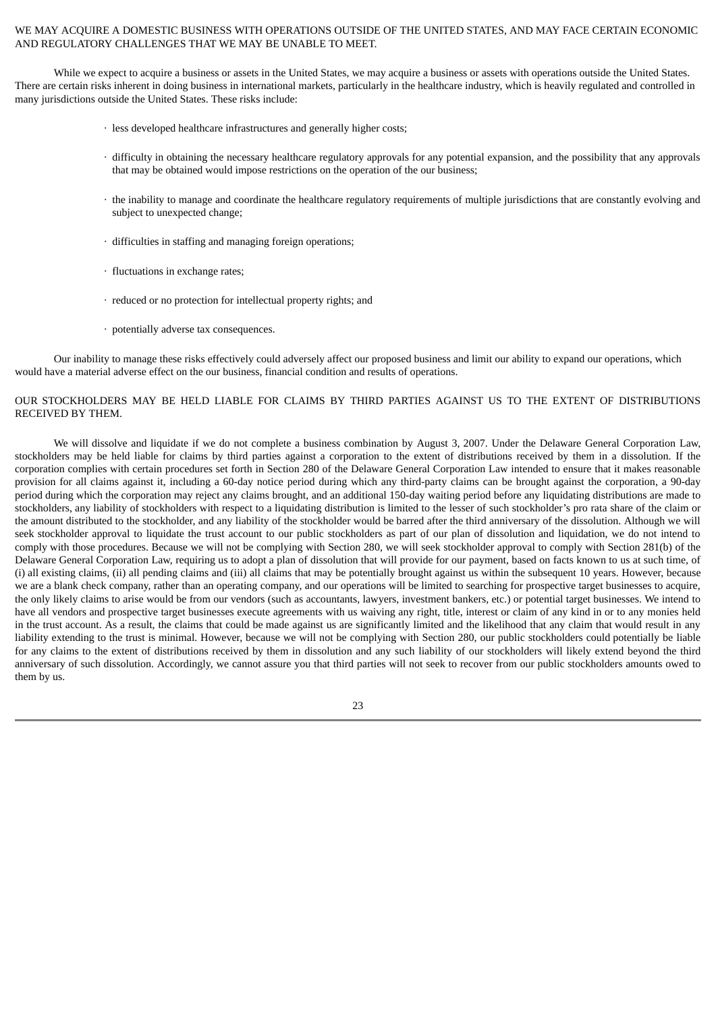## WE MAY ACQUIRE A DOMESTIC BUSINESS WITH OPERATIONS OUTSIDE OF THE UNITED STATES, AND MAY FACE CERTAIN ECONOMIC AND REGULATORY CHALLENGES THAT WE MAY BE UNABLE TO MEET.

While we expect to acquire a business or assets in the United States, we may acquire a business or assets with operations outside the United States. There are certain risks inherent in doing business in international markets, particularly in the healthcare industry, which is heavily regulated and controlled in many jurisdictions outside the United States. These risks include:

- · less developed healthcare infrastructures and generally higher costs;
- · difficulty in obtaining the necessary healthcare regulatory approvals for any potential expansion, and the possibility that any approvals that may be obtained would impose restrictions on the operation of the our business;
- · the inability to manage and coordinate the healthcare regulatory requirements of multiple jurisdictions that are constantly evolving and subject to unexpected change;
- · difficulties in staffing and managing foreign operations;
- · fluctuations in exchange rates;
- · reduced or no protection for intellectual property rights; and
- · potentially adverse tax consequences.

Our inability to manage these risks effectively could adversely affect our proposed business and limit our ability to expand our operations, which would have a material adverse effect on the our business, financial condition and results of operations.

## OUR STOCKHOLDERS MAY BE HELD LIABLE FOR CLAIMS BY THIRD PARTIES AGAINST US TO THE EXTENT OF DISTRIBUTIONS RECEIVED BY THEM.

We will dissolve and liquidate if we do not complete a business combination by August 3, 2007. Under the Delaware General Corporation Law, stockholders may be held liable for claims by third parties against a corporation to the extent of distributions received by them in a dissolution. If the corporation complies with certain procedures set forth in Section 280 of the Delaware General Corporation Law intended to ensure that it makes reasonable provision for all claims against it, including a 60-day notice period during which any third-party claims can be brought against the corporation, a 90-day period during which the corporation may reject any claims brought, and an additional 150-day waiting period before any liquidating distributions are made to stockholders, any liability of stockholders with respect to a liquidating distribution is limited to the lesser of such stockholder's pro rata share of the claim or the amount distributed to the stockholder, and any liability of the stockholder would be barred after the third anniversary of the dissolution. Although we will seek stockholder approval to liquidate the trust account to our public stockholders as part of our plan of dissolution and liquidation, we do not intend to comply with those procedures. Because we will not be complying with Section 280, we will seek stockholder approval to comply with Section 281(b) of the Delaware General Corporation Law, requiring us to adopt a plan of dissolution that will provide for our payment, based on facts known to us at such time, of (i) all existing claims, (ii) all pending claims and (iii) all claims that may be potentially brought against us within the subsequent 10 years. However, because we are a blank check company, rather than an operating company, and our operations will be limited to searching for prospective target businesses to acquire, the only likely claims to arise would be from our vendors (such as accountants, lawyers, investment bankers, etc.) or potential target businesses. We intend to have all vendors and prospective target businesses execute agreements with us waiving any right, title, interest or claim of any kind in or to any monies held in the trust account. As a result, the claims that could be made against us are significantly limited and the likelihood that any claim that would result in any liability extending to the trust is minimal. However, because we will not be complying with Section 280, our public stockholders could potentially be liable for any claims to the extent of distributions received by them in dissolution and any such liability of our stockholders will likely extend beyond the third anniversary of such dissolution. Accordingly, we cannot assure you that third parties will not seek to recover from our public stockholders amounts owed to them by us.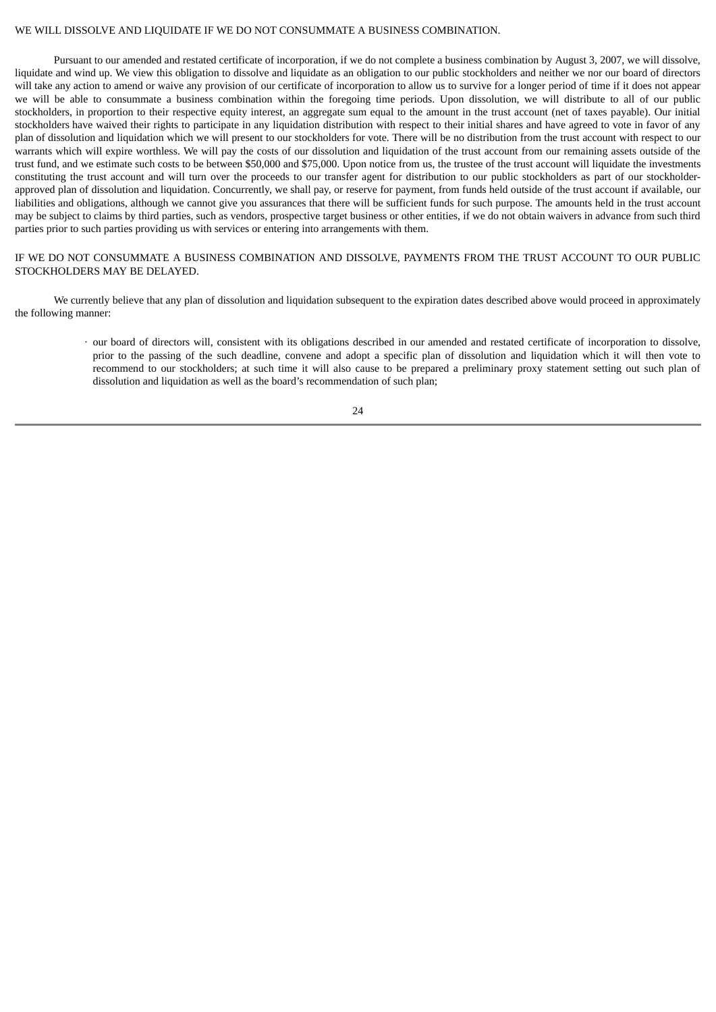#### WE WILL DISSOLVE AND LIQUIDATE IF WE DO NOT CONSUMMATE A BUSINESS COMBINATION.

Pursuant to our amended and restated certificate of incorporation, if we do not complete a business combination by August 3, 2007, we will dissolve, liquidate and wind up. We view this obligation to dissolve and liquidate as an obligation to our public stockholders and neither we nor our board of directors will take any action to amend or waive any provision of our certificate of incorporation to allow us to survive for a longer period of time if it does not appear we will be able to consummate a business combination within the foregoing time periods. Upon dissolution, we will distribute to all of our public stockholders, in proportion to their respective equity interest, an aggregate sum equal to the amount in the trust account (net of taxes payable). Our initial stockholders have waived their rights to participate in any liquidation distribution with respect to their initial shares and have agreed to vote in favor of any plan of dissolution and liquidation which we will present to our stockholders for vote. There will be no distribution from the trust account with respect to our warrants which will expire worthless. We will pay the costs of our dissolution and liquidation of the trust account from our remaining assets outside of the trust fund, and we estimate such costs to be between \$50,000 and \$75,000. Upon notice from us, the trustee of the trust account will liquidate the investments constituting the trust account and will turn over the proceeds to our transfer agent for distribution to our public stockholders as part of our stockholderapproved plan of dissolution and liquidation. Concurrently, we shall pay, or reserve for payment, from funds held outside of the trust account if available, our liabilities and obligations, although we cannot give you assurances that there will be sufficient funds for such purpose. The amounts held in the trust account may be subject to claims by third parties, such as vendors, prospective target business or other entities, if we do not obtain waivers in advance from such third parties prior to such parties providing us with services or entering into arrangements with them.

## IF WE DO NOT CONSUMMATE A BUSINESS COMBINATION AND DISSOLVE, PAYMENTS FROM THE TRUST ACCOUNT TO OUR PUBLIC STOCKHOLDERS MAY BE DELAYED.

We currently believe that any plan of dissolution and liquidation subsequent to the expiration dates described above would proceed in approximately the following manner:

### · our board of directors will, consistent with its obligations described in our amended and restated certificate of incorporation to dissolve, prior to the passing of the such deadline, convene and adopt a specific plan of dissolution and liquidation which it will then vote to recommend to our stockholders; at such time it will also cause to be prepared a preliminary proxy statement setting out such plan of dissolution and liquidation as well as the board's recommendation of such plan;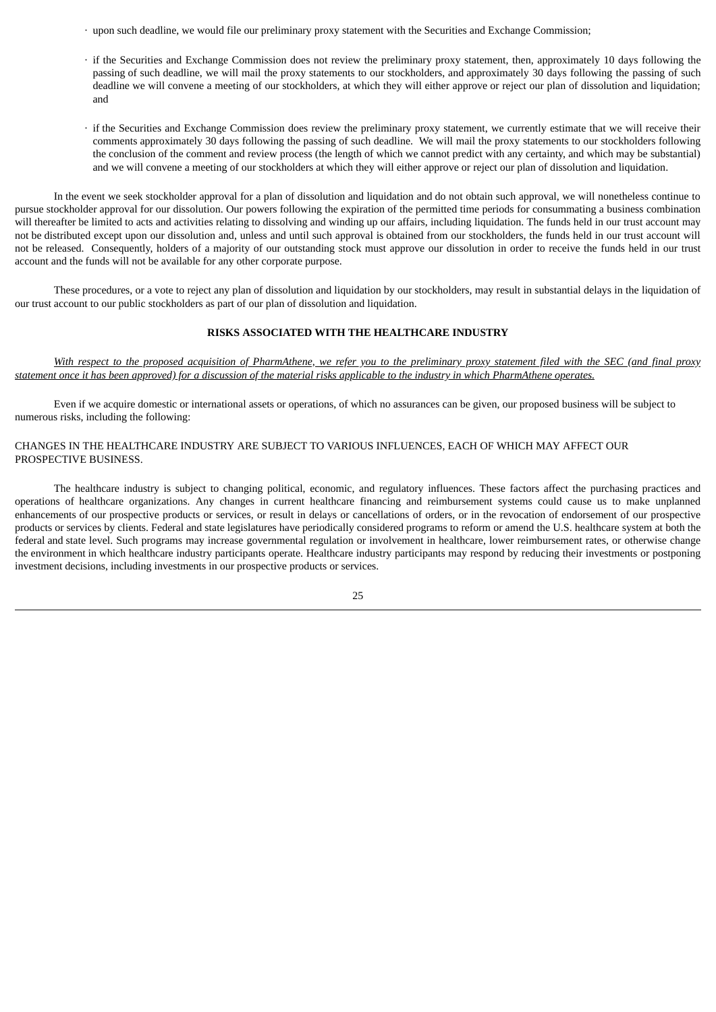- · upon such deadline, we would file our preliminary proxy statement with the Securities and Exchange Commission;
- · if the Securities and Exchange Commission does not review the preliminary proxy statement, then, approximately 10 days following the passing of such deadline, we will mail the proxy statements to our stockholders, and approximately 30 days following the passing of such deadline we will convene a meeting of our stockholders, at which they will either approve or reject our plan of dissolution and liquidation; and
- · if the Securities and Exchange Commission does review the preliminary proxy statement, we currently estimate that we will receive their comments approximately 30 days following the passing of such deadline. We will mail the proxy statements to our stockholders following the conclusion of the comment and review process (the length of which we cannot predict with any certainty, and which may be substantial) and we will convene a meeting of our stockholders at which they will either approve or reject our plan of dissolution and liquidation.

In the event we seek stockholder approval for a plan of dissolution and liquidation and do not obtain such approval, we will nonetheless continue to pursue stockholder approval for our dissolution. Our powers following the expiration of the permitted time periods for consummating a business combination will thereafter be limited to acts and activities relating to dissolving and winding up our affairs, including liquidation. The funds held in our trust account may not be distributed except upon our dissolution and, unless and until such approval is obtained from our stockholders, the funds held in our trust account will not be released. Consequently, holders of a majority of our outstanding stock must approve our dissolution in order to receive the funds held in our trust account and the funds will not be available for any other corporate purpose.

These procedures, or a vote to reject any plan of dissolution and liquidation by our stockholders, may result in substantial delays in the liquidation of our trust account to our public stockholders as part of our plan of dissolution and liquidation.

#### **RISKS ASSOCIATED WITH THE HEALTHCARE INDUSTRY**

With respect to the proposed acquisition of PharmAthene, we refer you to the preliminary proxy statement filed with the SEC (and final proxy statement once it has been approved) for a discussion of the material risks applicable to the industry in which PharmAthene operates.

Even if we acquire domestic or international assets or operations, of which no assurances can be given, our proposed business will be subject to numerous risks, including the following:

## CHANGES IN THE HEALTHCARE INDUSTRY ARE SUBJECT TO VARIOUS INFLUENCES, EACH OF WHICH MAY AFFECT OUR PROSPECTIVE BUSINESS.

The healthcare industry is subject to changing political, economic, and regulatory influences. These factors affect the purchasing practices and operations of healthcare organizations. Any changes in current healthcare financing and reimbursement systems could cause us to make unplanned enhancements of our prospective products or services, or result in delays or cancellations of orders, or in the revocation of endorsement of our prospective products or services by clients. Federal and state legislatures have periodically considered programs to reform or amend the U.S. healthcare system at both the federal and state level. Such programs may increase governmental regulation or involvement in healthcare, lower reimbursement rates, or otherwise change the environment in which healthcare industry participants operate. Healthcare industry participants may respond by reducing their investments or postponing investment decisions, including investments in our prospective products or services.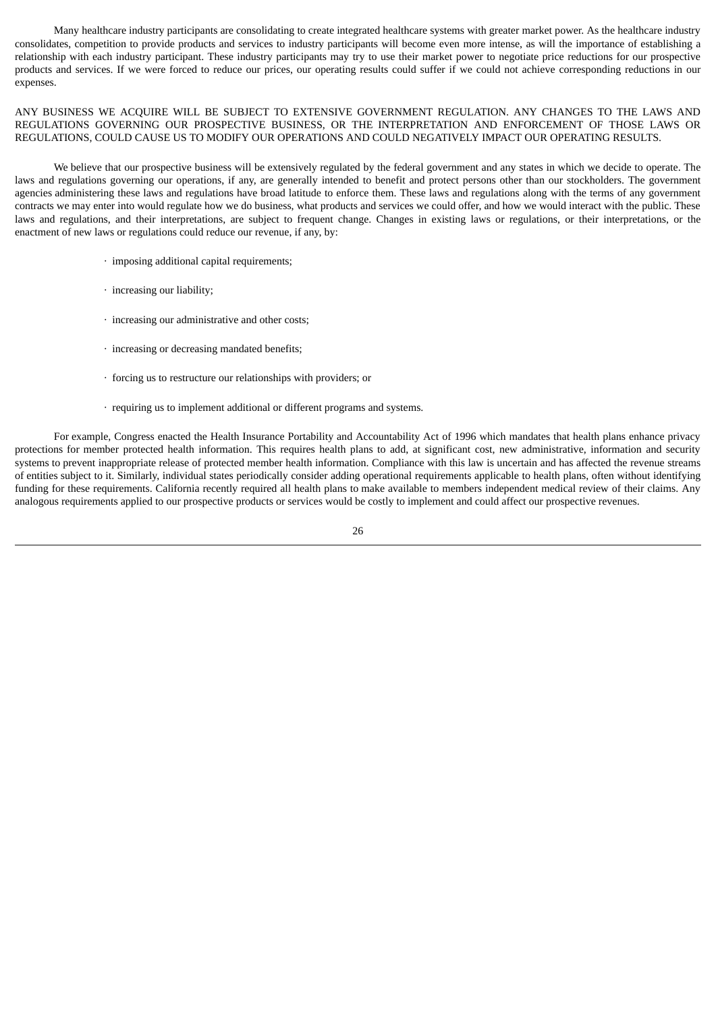Many healthcare industry participants are consolidating to create integrated healthcare systems with greater market power. As the healthcare industry consolidates, competition to provide products and services to industry participants will become even more intense, as will the importance of establishing a relationship with each industry participant. These industry participants may try to use their market power to negotiate price reductions for our prospective products and services. If we were forced to reduce our prices, our operating results could suffer if we could not achieve corresponding reductions in our expenses.

ANY BUSINESS WE ACQUIRE WILL BE SUBJECT TO EXTENSIVE GOVERNMENT REGULATION. ANY CHANGES TO THE LAWS AND REGULATIONS GOVERNING OUR PROSPECTIVE BUSINESS, OR THE INTERPRETATION AND ENFORCEMENT OF THOSE LAWS OR REGULATIONS, COULD CAUSE US TO MODIFY OUR OPERATIONS AND COULD NEGATIVELY IMPACT OUR OPERATING RESULTS.

We believe that our prospective business will be extensively regulated by the federal government and any states in which we decide to operate. The laws and regulations governing our operations, if any, are generally intended to benefit and protect persons other than our stockholders. The government agencies administering these laws and regulations have broad latitude to enforce them. These laws and regulations along with the terms of any government contracts we may enter into would regulate how we do business, what products and services we could offer, and how we would interact with the public. These laws and regulations, and their interpretations, are subject to frequent change. Changes in existing laws or regulations, or their interpretations, or the enactment of new laws or regulations could reduce our revenue, if any, by:

- · imposing additional capital requirements;
- · increasing our liability;
- · increasing our administrative and other costs;
- · increasing or decreasing mandated benefits;
- · forcing us to restructure our relationships with providers; or
- · requiring us to implement additional or different programs and systems.

For example, Congress enacted the Health Insurance Portability and Accountability Act of 1996 which mandates that health plans enhance privacy protections for member protected health information. This requires health plans to add, at significant cost, new administrative, information and security systems to prevent inappropriate release of protected member health information. Compliance with this law is uncertain and has affected the revenue streams of entities subject to it. Similarly, individual states periodically consider adding operational requirements applicable to health plans, often without identifying funding for these requirements. California recently required all health plans to make available to members independent medical review of their claims. Any analogous requirements applied to our prospective products or services would be costly to implement and could affect our prospective revenues.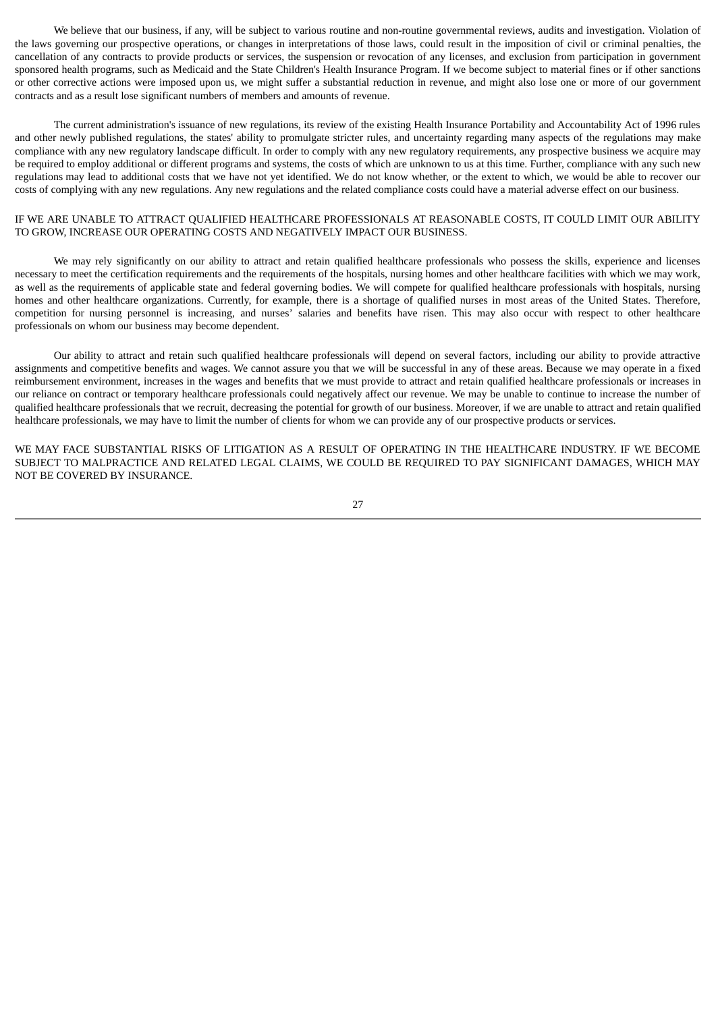We believe that our business, if any, will be subject to various routine and non-routine governmental reviews, audits and investigation. Violation of the laws governing our prospective operations, or changes in interpretations of those laws, could result in the imposition of civil or criminal penalties, the cancellation of any contracts to provide products or services, the suspension or revocation of any licenses, and exclusion from participation in government sponsored health programs, such as Medicaid and the State Children's Health Insurance Program. If we become subject to material fines or if other sanctions or other corrective actions were imposed upon us, we might suffer a substantial reduction in revenue, and might also lose one or more of our government contracts and as a result lose significant numbers of members and amounts of revenue.

The current administration's issuance of new regulations, its review of the existing Health Insurance Portability and Accountability Act of 1996 rules and other newly published regulations, the states' ability to promulgate stricter rules, and uncertainty regarding many aspects of the regulations may make compliance with any new regulatory landscape difficult. In order to comply with any new regulatory requirements, any prospective business we acquire may be required to employ additional or different programs and systems, the costs of which are unknown to us at this time. Further, compliance with any such new regulations may lead to additional costs that we have not yet identified. We do not know whether, or the extent to which, we would be able to recover our costs of complying with any new regulations. Any new regulations and the related compliance costs could have a material adverse effect on our business.

## IF WE ARE UNABLE TO ATTRACT QUALIFIED HEALTHCARE PROFESSIONALS AT REASONABLE COSTS, IT COULD LIMIT OUR ABILITY TO GROW, INCREASE OUR OPERATING COSTS AND NEGATIVELY IMPACT OUR BUSINESS.

We may rely significantly on our ability to attract and retain qualified healthcare professionals who possess the skills, experience and licenses necessary to meet the certification requirements and the requirements of the hospitals, nursing homes and other healthcare facilities with which we may work, as well as the requirements of applicable state and federal governing bodies. We will compete for qualified healthcare professionals with hospitals, nursing homes and other healthcare organizations. Currently, for example, there is a shortage of qualified nurses in most areas of the United States. Therefore, competition for nursing personnel is increasing, and nurses' salaries and benefits have risen. This may also occur with respect to other healthcare professionals on whom our business may become dependent.

Our ability to attract and retain such qualified healthcare professionals will depend on several factors, including our ability to provide attractive assignments and competitive benefits and wages. We cannot assure you that we will be successful in any of these areas. Because we may operate in a fixed reimbursement environment, increases in the wages and benefits that we must provide to attract and retain qualified healthcare professionals or increases in our reliance on contract or temporary healthcare professionals could negatively affect our revenue. We may be unable to continue to increase the number of qualified healthcare professionals that we recruit, decreasing the potential for growth of our business. Moreover, if we are unable to attract and retain qualified healthcare professionals, we may have to limit the number of clients for whom we can provide any of our prospective products or services.

WE MAY FACE SUBSTANTIAL RISKS OF LITIGATION AS A RESULT OF OPERATING IN THE HEALTHCARE INDUSTRY. IF WE BECOME SUBJECT TO MALPRACTICE AND RELATED LEGAL CLAIMS, WE COULD BE REQUIRED TO PAY SIGNIFICANT DAMAGES, WHICH MAY NOT BE COVERED BY INSURANCE.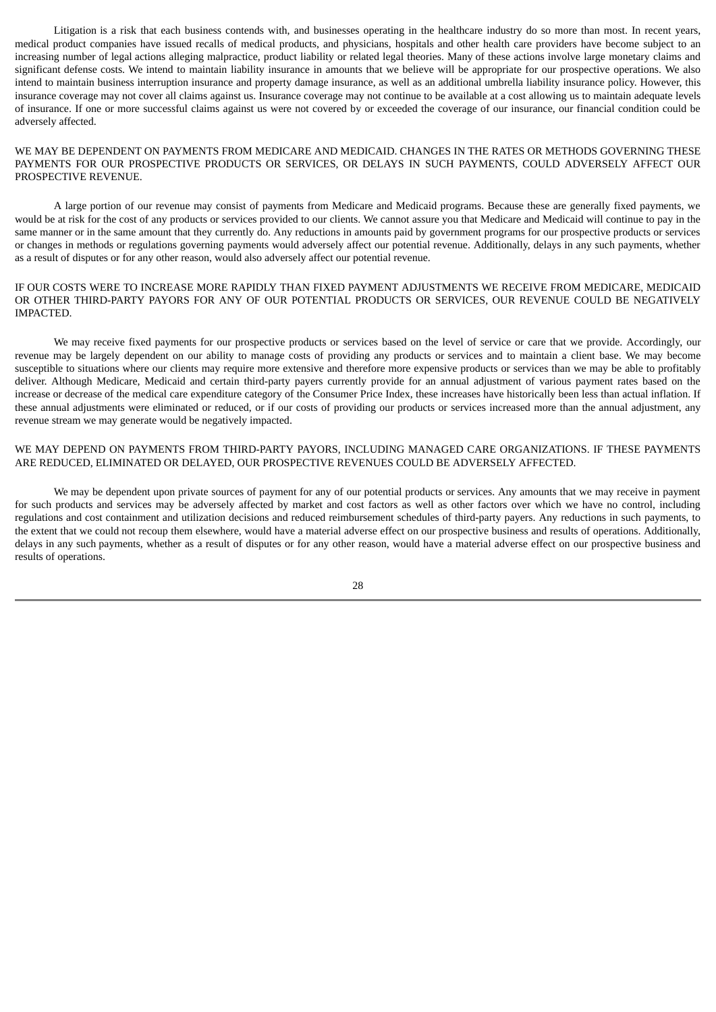Litigation is a risk that each business contends with, and businesses operating in the healthcare industry do so more than most. In recent years, medical product companies have issued recalls of medical products, and physicians, hospitals and other health care providers have become subject to an increasing number of legal actions alleging malpractice, product liability or related legal theories. Many of these actions involve large monetary claims and significant defense costs. We intend to maintain liability insurance in amounts that we believe will be appropriate for our prospective operations. We also intend to maintain business interruption insurance and property damage insurance, as well as an additional umbrella liability insurance policy. However, this insurance coverage may not cover all claims against us. Insurance coverage may not continue to be available at a cost allowing us to maintain adequate levels of insurance. If one or more successful claims against us were not covered by or exceeded the coverage of our insurance, our financial condition could be adversely affected.

WE MAY BE DEPENDENT ON PAYMENTS FROM MEDICARE AND MEDICAID. CHANGES IN THE RATES OR METHODS GOVERNING THESE PAYMENTS FOR OUR PROSPECTIVE PRODUCTS OR SERVICES, OR DELAYS IN SUCH PAYMENTS, COULD ADVERSELY AFFECT OUR PROSPECTIVE REVENUE.

A large portion of our revenue may consist of payments from Medicare and Medicaid programs. Because these are generally fixed payments, we would be at risk for the cost of any products or services provided to our clients. We cannot assure you that Medicare and Medicaid will continue to pay in the same manner or in the same amount that they currently do. Any reductions in amounts paid by government programs for our prospective products or services or changes in methods or regulations governing payments would adversely affect our potential revenue. Additionally, delays in any such payments, whether as a result of disputes or for any other reason, would also adversely affect our potential revenue.

## IF OUR COSTS WERE TO INCREASE MORE RAPIDLY THAN FIXED PAYMENT ADJUSTMENTS WE RECEIVE FROM MEDICARE, MEDICAID OR OTHER THIRD-PARTY PAYORS FOR ANY OF OUR POTENTIAL PRODUCTS OR SERVICES, OUR REVENUE COULD BE NEGATIVELY IMPACTED.

We may receive fixed payments for our prospective products or services based on the level of service or care that we provide. Accordingly, our revenue may be largely dependent on our ability to manage costs of providing any products or services and to maintain a client base. We may become susceptible to situations where our clients may require more extensive and therefore more expensive products or services than we may be able to profitably deliver. Although Medicare, Medicaid and certain third-party payers currently provide for an annual adjustment of various payment rates based on the increase or decrease of the medical care expenditure category of the Consumer Price Index, these increases have historically been less than actual inflation. If these annual adjustments were eliminated or reduced, or if our costs of providing our products or services increased more than the annual adjustment, any revenue stream we may generate would be negatively impacted.

#### WE MAY DEPEND ON PAYMENTS FROM THIRD-PARTY PAYORS, INCLUDING MANAGED CARE ORGANIZATIONS. IF THESE PAYMENTS ARE REDUCED, ELIMINATED OR DELAYED, OUR PROSPECTIVE REVENUES COULD BE ADVERSELY AFFECTED.

We may be dependent upon private sources of payment for any of our potential products or services. Any amounts that we may receive in payment for such products and services may be adversely affected by market and cost factors as well as other factors over which we have no control, including regulations and cost containment and utilization decisions and reduced reimbursement schedules of third-party payers. Any reductions in such payments, to the extent that we could not recoup them elsewhere, would have a material adverse effect on our prospective business and results of operations. Additionally, delays in any such payments, whether as a result of disputes or for any other reason, would have a material adverse effect on our prospective business and results of operations.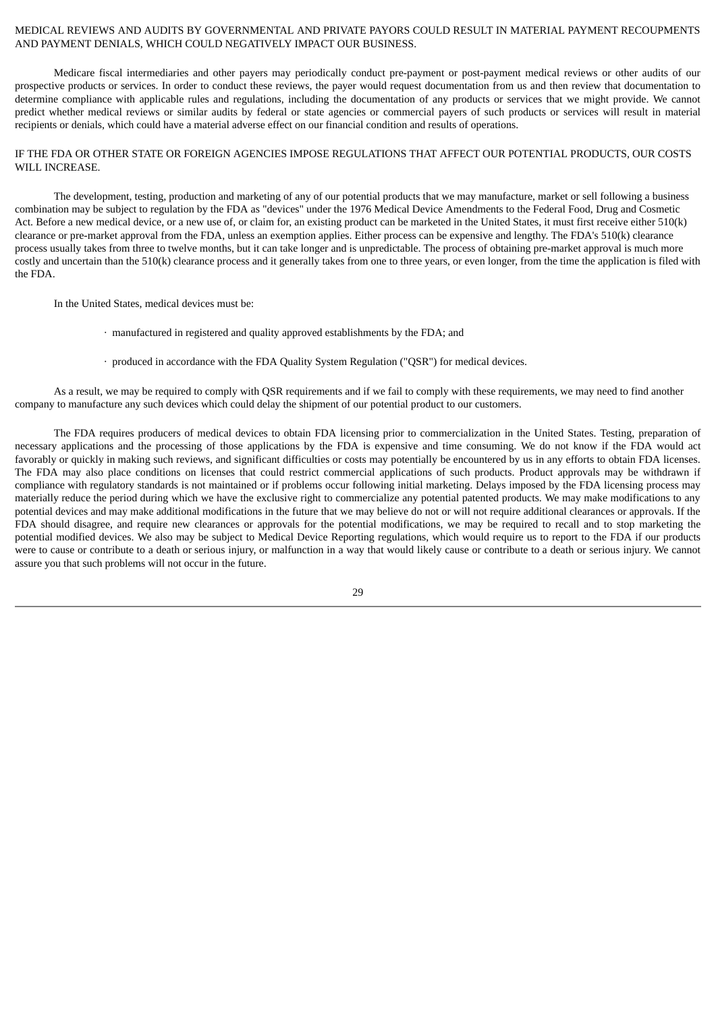## MEDICAL REVIEWS AND AUDITS BY GOVERNMENTAL AND PRIVATE PAYORS COULD RESULT IN MATERIAL PAYMENT RECOUPMENTS AND PAYMENT DENIALS, WHICH COULD NEGATIVELY IMPACT OUR BUSINESS.

Medicare fiscal intermediaries and other payers may periodically conduct pre-payment or post-payment medical reviews or other audits of our prospective products or services. In order to conduct these reviews, the payer would request documentation from us and then review that documentation to determine compliance with applicable rules and regulations, including the documentation of any products or services that we might provide. We cannot predict whether medical reviews or similar audits by federal or state agencies or commercial payers of such products or services will result in material recipients or denials, which could have a material adverse effect on our financial condition and results of operations.

## IF THE FDA OR OTHER STATE OR FOREIGN AGENCIES IMPOSE REGULATIONS THAT AFFECT OUR POTENTIAL PRODUCTS, OUR COSTS WILL INCREASE.

The development, testing, production and marketing of any of our potential products that we may manufacture, market or sell following a business combination may be subject to regulation by the FDA as "devices" under the 1976 Medical Device Amendments to the Federal Food, Drug and Cosmetic Act. Before a new medical device, or a new use of, or claim for, an existing product can be marketed in the United States, it must first receive either 510(k) clearance or pre-market approval from the FDA, unless an exemption applies. Either process can be expensive and lengthy. The FDA's 510(k) clearance process usually takes from three to twelve months, but it can take longer and is unpredictable. The process of obtaining pre-market approval is much more costly and uncertain than the 510(k) clearance process and it generally takes from one to three years, or even longer, from the time the application is filed with the FDA.

In the United States, medical devices must be:

- · manufactured in registered and quality approved establishments by the FDA; and
- · produced in accordance with the FDA Quality System Regulation ("QSR") for medical devices.

As a result, we may be required to comply with QSR requirements and if we fail to comply with these requirements, we may need to find another company to manufacture any such devices which could delay the shipment of our potential product to our customers.

The FDA requires producers of medical devices to obtain FDA licensing prior to commercialization in the United States. Testing, preparation of necessary applications and the processing of those applications by the FDA is expensive and time consuming. We do not know if the FDA would act favorably or quickly in making such reviews, and significant difficulties or costs may potentially be encountered by us in any efforts to obtain FDA licenses. The FDA may also place conditions on licenses that could restrict commercial applications of such products. Product approvals may be withdrawn if compliance with regulatory standards is not maintained or if problems occur following initial marketing. Delays imposed by the FDA licensing process may materially reduce the period during which we have the exclusive right to commercialize any potential patented products. We may make modifications to any potential devices and may make additional modifications in the future that we may believe do not or will not require additional clearances or approvals. If the FDA should disagree, and require new clearances or approvals for the potential modifications, we may be required to recall and to stop marketing the potential modified devices. We also may be subject to Medical Device Reporting regulations, which would require us to report to the FDA if our products were to cause or contribute to a death or serious injury, or malfunction in a way that would likely cause or contribute to a death or serious injury. We cannot assure you that such problems will not occur in the future.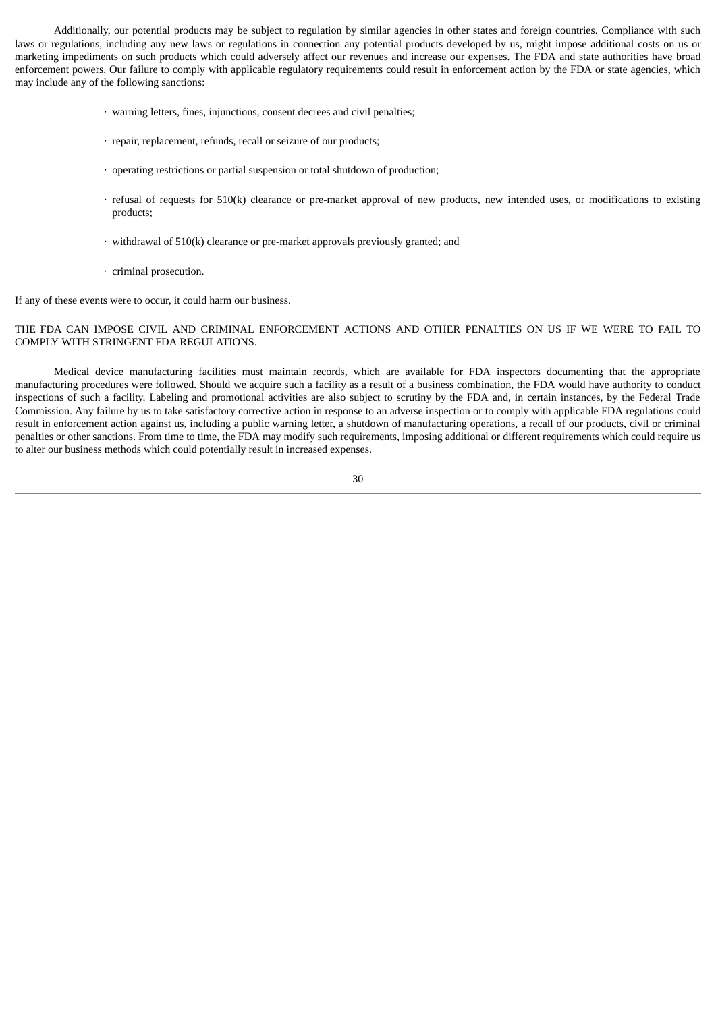Additionally, our potential products may be subject to regulation by similar agencies in other states and foreign countries. Compliance with such laws or regulations, including any new laws or regulations in connection any potential products developed by us, might impose additional costs on us or marketing impediments on such products which could adversely affect our revenues and increase our expenses. The FDA and state authorities have broad enforcement powers. Our failure to comply with applicable regulatory requirements could result in enforcement action by the FDA or state agencies, which may include any of the following sanctions:

- · warning letters, fines, injunctions, consent decrees and civil penalties;
- · repair, replacement, refunds, recall or seizure of our products;
- · operating restrictions or partial suspension or total shutdown of production;
- · refusal of requests for 510(k) clearance or pre-market approval of new products, new intended uses, or modifications to existing products;
- · withdrawal of 510(k) clearance or pre-market approvals previously granted; and
- · criminal prosecution.

If any of these events were to occur, it could harm our business.

## THE FDA CAN IMPOSE CIVIL AND CRIMINAL ENFORCEMENT ACTIONS AND OTHER PENALTIES ON US IF WE WERE TO FAIL TO COMPLY WITH STRINGENT FDA REGULATIONS.

Medical device manufacturing facilities must maintain records, which are available for FDA inspectors documenting that the appropriate manufacturing procedures were followed. Should we acquire such a facility as a result of a business combination, the FDA would have authority to conduct inspections of such a facility. Labeling and promotional activities are also subject to scrutiny by the FDA and, in certain instances, by the Federal Trade Commission. Any failure by us to take satisfactory corrective action in response to an adverse inspection or to comply with applicable FDA regulations could result in enforcement action against us, including a public warning letter, a shutdown of manufacturing operations, a recall of our products, civil or criminal penalties or other sanctions. From time to time, the FDA may modify such requirements, imposing additional or different requirements which could require us to alter our business methods which could potentially result in increased expenses.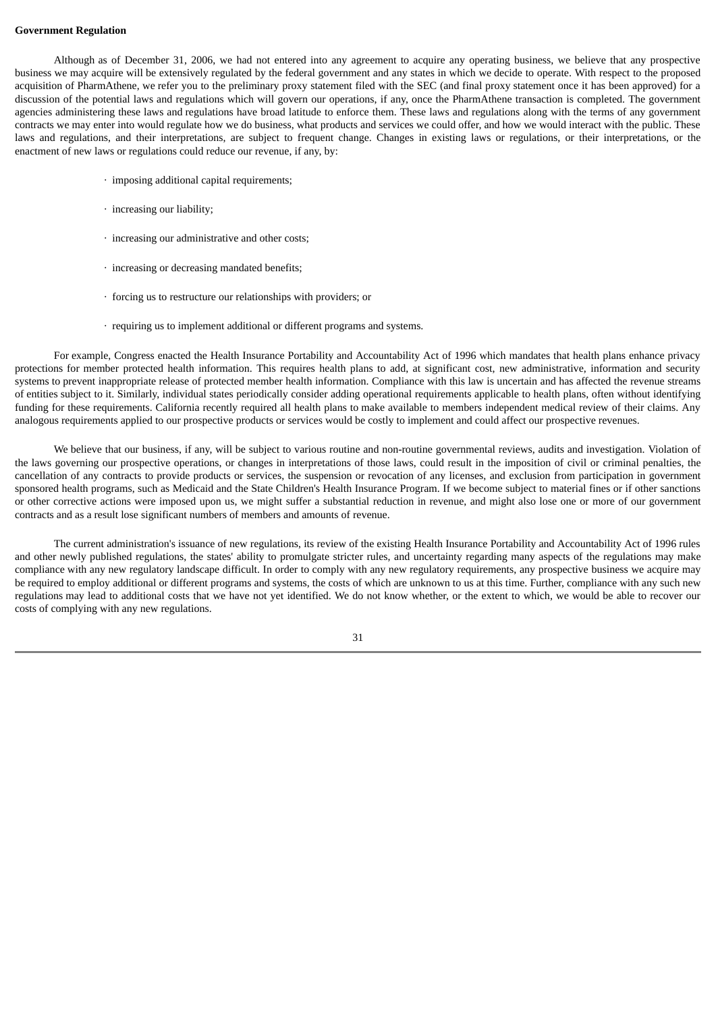#### **Government Regulation**

Although as of December 31, 2006, we had not entered into any agreement to acquire any operating business, we believe that any prospective business we may acquire will be extensively regulated by the federal government and any states in which we decide to operate. With respect to the proposed acquisition of PharmAthene, we refer you to the preliminary proxy statement filed with the SEC (and final proxy statement once it has been approved) for a discussion of the potential laws and regulations which will govern our operations, if any, once the PharmAthene transaction is completed. The government agencies administering these laws and regulations have broad latitude to enforce them. These laws and regulations along with the terms of any government contracts we may enter into would regulate how we do business, what products and services we could offer, and how we would interact with the public. These laws and regulations, and their interpretations, are subject to frequent change. Changes in existing laws or regulations, or their interpretations, or the enactment of new laws or regulations could reduce our revenue, if any, by:

- · imposing additional capital requirements;
- · increasing our liability;
- · increasing our administrative and other costs;
- · increasing or decreasing mandated benefits;
- · forcing us to restructure our relationships with providers; or
- · requiring us to implement additional or different programs and systems.

For example, Congress enacted the Health Insurance Portability and Accountability Act of 1996 which mandates that health plans enhance privacy protections for member protected health information. This requires health plans to add, at significant cost, new administrative, information and security systems to prevent inappropriate release of protected member health information. Compliance with this law is uncertain and has affected the revenue streams of entities subject to it. Similarly, individual states periodically consider adding operational requirements applicable to health plans, often without identifying funding for these requirements. California recently required all health plans to make available to members independent medical review of their claims. Any analogous requirements applied to our prospective products or services would be costly to implement and could affect our prospective revenues.

We believe that our business, if any, will be subject to various routine and non-routine governmental reviews, audits and investigation. Violation of the laws governing our prospective operations, or changes in interpretations of those laws, could result in the imposition of civil or criminal penalties, the cancellation of any contracts to provide products or services, the suspension or revocation of any licenses, and exclusion from participation in government sponsored health programs, such as Medicaid and the State Children's Health Insurance Program. If we become subject to material fines or if other sanctions or other corrective actions were imposed upon us, we might suffer a substantial reduction in revenue, and might also lose one or more of our government contracts and as a result lose significant numbers of members and amounts of revenue.

The current administration's issuance of new regulations, its review of the existing Health Insurance Portability and Accountability Act of 1996 rules and other newly published regulations, the states' ability to promulgate stricter rules, and uncertainty regarding many aspects of the regulations may make compliance with any new regulatory landscape difficult. In order to comply with any new regulatory requirements, any prospective business we acquire may be required to employ additional or different programs and systems, the costs of which are unknown to us at this time. Further, compliance with any such new regulations may lead to additional costs that we have not yet identified. We do not know whether, or the extent to which, we would be able to recover our costs of complying with any new regulations.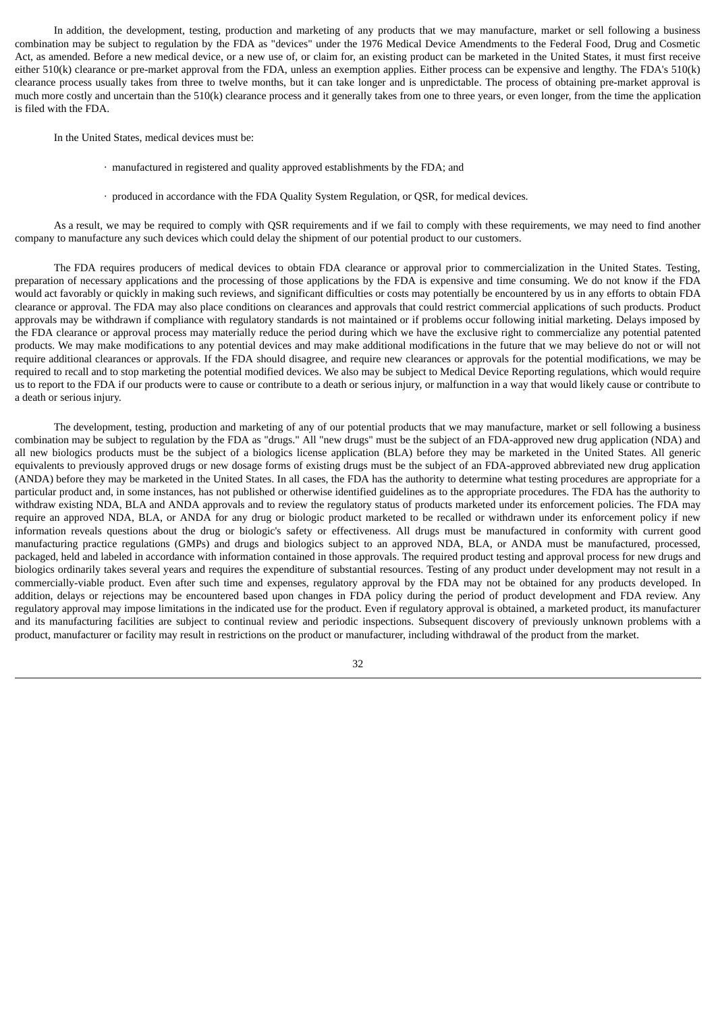In addition, the development, testing, production and marketing of any products that we may manufacture, market or sell following a business combination may be subject to regulation by the FDA as "devices" under the 1976 Medical Device Amendments to the Federal Food, Drug and Cosmetic Act, as amended. Before a new medical device, or a new use of, or claim for, an existing product can be marketed in the United States, it must first receive either 510(k) clearance or pre-market approval from the FDA, unless an exemption applies. Either process can be expensive and lengthy. The FDA's 510(k) clearance process usually takes from three to twelve months, but it can take longer and is unpredictable. The process of obtaining pre-market approval is much more costly and uncertain than the 510(k) clearance process and it generally takes from one to three years, or even longer, from the time the application is filed with the FDA.

In the United States, medical devices must be:

- · manufactured in registered and quality approved establishments by the FDA; and
- · produced in accordance with the FDA Quality System Regulation, or QSR, for medical devices.

As a result, we may be required to comply with QSR requirements and if we fail to comply with these requirements, we may need to find another company to manufacture any such devices which could delay the shipment of our potential product to our customers.

The FDA requires producers of medical devices to obtain FDA clearance or approval prior to commercialization in the United States. Testing, preparation of necessary applications and the processing of those applications by the FDA is expensive and time consuming. We do not know if the FDA would act favorably or quickly in making such reviews, and significant difficulties or costs may potentially be encountered by us in any efforts to obtain FDA clearance or approval. The FDA may also place conditions on clearances and approvals that could restrict commercial applications of such products. Product approvals may be withdrawn if compliance with regulatory standards is not maintained or if problems occur following initial marketing. Delays imposed by the FDA clearance or approval process may materially reduce the period during which we have the exclusive right to commercialize any potential patented products. We may make modifications to any potential devices and may make additional modifications in the future that we may believe do not or will not require additional clearances or approvals. If the FDA should disagree, and require new clearances or approvals for the potential modifications, we may be required to recall and to stop marketing the potential modified devices. We also may be subject to Medical Device Reporting regulations, which would require us to report to the FDA if our products were to cause or contribute to a death or serious injury, or malfunction in a way that would likely cause or contribute to a death or serious injury.

The development, testing, production and marketing of any of our potential products that we may manufacture, market or sell following a business combination may be subject to regulation by the FDA as "drugs." All "new drugs" must be the subject of an FDA-approved new drug application (NDA) and all new biologics products must be the subject of a biologics license application (BLA) before they may be marketed in the United States. All generic equivalents to previously approved drugs or new dosage forms of existing drugs must be the subject of an FDA-approved abbreviated new drug application (ANDA) before they may be marketed in the United States. In all cases, the FDA has the authority to determine what testing procedures are appropriate for a particular product and, in some instances, has not published or otherwise identified guidelines as to the appropriate procedures. The FDA has the authority to withdraw existing NDA, BLA and ANDA approvals and to review the regulatory status of products marketed under its enforcement policies. The FDA may require an approved NDA, BLA, or ANDA for any drug or biologic product marketed to be recalled or withdrawn under its enforcement policy if new information reveals questions about the drug or biologic's safety or effectiveness. All drugs must be manufactured in conformity with current good manufacturing practice regulations (GMPs) and drugs and biologics subject to an approved NDA, BLA, or ANDA must be manufactured, processed, packaged, held and labeled in accordance with information contained in those approvals. The required product testing and approval process for new drugs and biologics ordinarily takes several years and requires the expenditure of substantial resources. Testing of any product under development may not result in a commercially-viable product. Even after such time and expenses, regulatory approval by the FDA may not be obtained for any products developed. In addition, delays or rejections may be encountered based upon changes in FDA policy during the period of product development and FDA review. Any regulatory approval may impose limitations in the indicated use for the product. Even if regulatory approval is obtained, a marketed product, its manufacturer and its manufacturing facilities are subject to continual review and periodic inspections. Subsequent discovery of previously unknown problems with a product, manufacturer or facility may result in restrictions on the product or manufacturer, including withdrawal of the product from the market.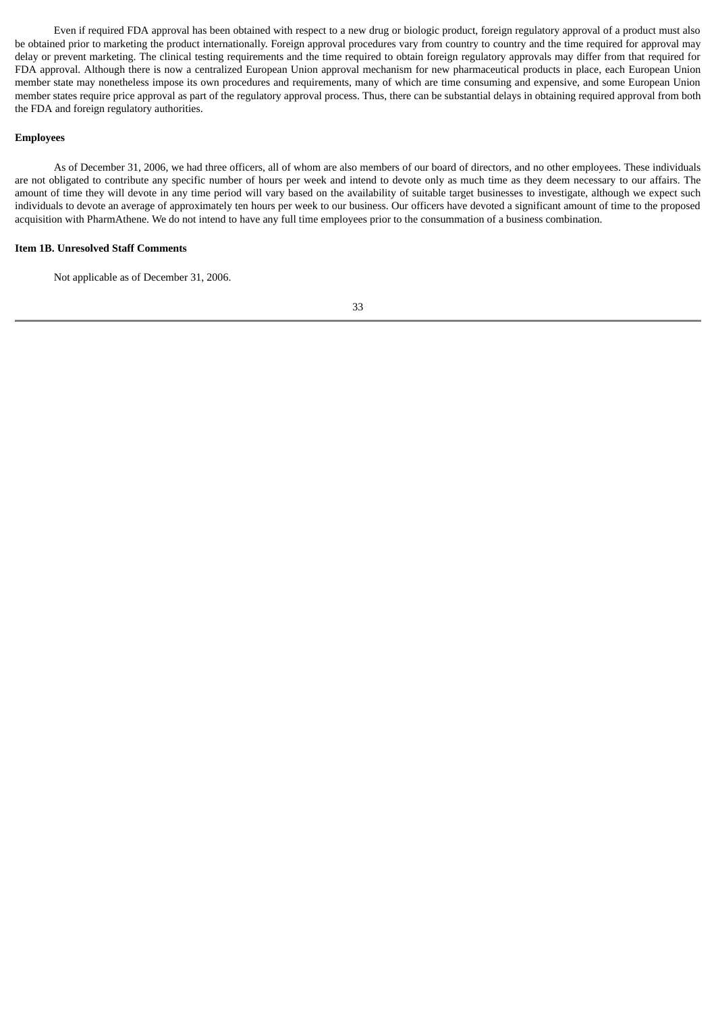Even if required FDA approval has been obtained with respect to a new drug or biologic product, foreign regulatory approval of a product must also be obtained prior to marketing the product internationally. Foreign approval procedures vary from country to country and the time required for approval may delay or prevent marketing. The clinical testing requirements and the time required to obtain foreign regulatory approvals may differ from that required for FDA approval. Although there is now a centralized European Union approval mechanism for new pharmaceutical products in place, each European Union member state may nonetheless impose its own procedures and requirements, many of which are time consuming and expensive, and some European Union member states require price approval as part of the regulatory approval process. Thus, there can be substantial delays in obtaining required approval from both the FDA and foreign regulatory authorities.

#### **Employees**

As of December 31, 2006, we had three officers, all of whom are also members of our board of directors, and no other employees. These individuals are not obligated to contribute any specific number of hours per week and intend to devote only as much time as they deem necessary to our affairs. The amount of time they will devote in any time period will vary based on the availability of suitable target businesses to investigate, although we expect such individuals to devote an average of approximately ten hours per week to our business. Our officers have devoted a significant amount of time to the proposed acquisition with PharmAthene. We do not intend to have any full time employees prior to the consummation of a business combination.

### **Item 1B. Unresolved Staff Comments**

Not applicable as of December 31, 2006.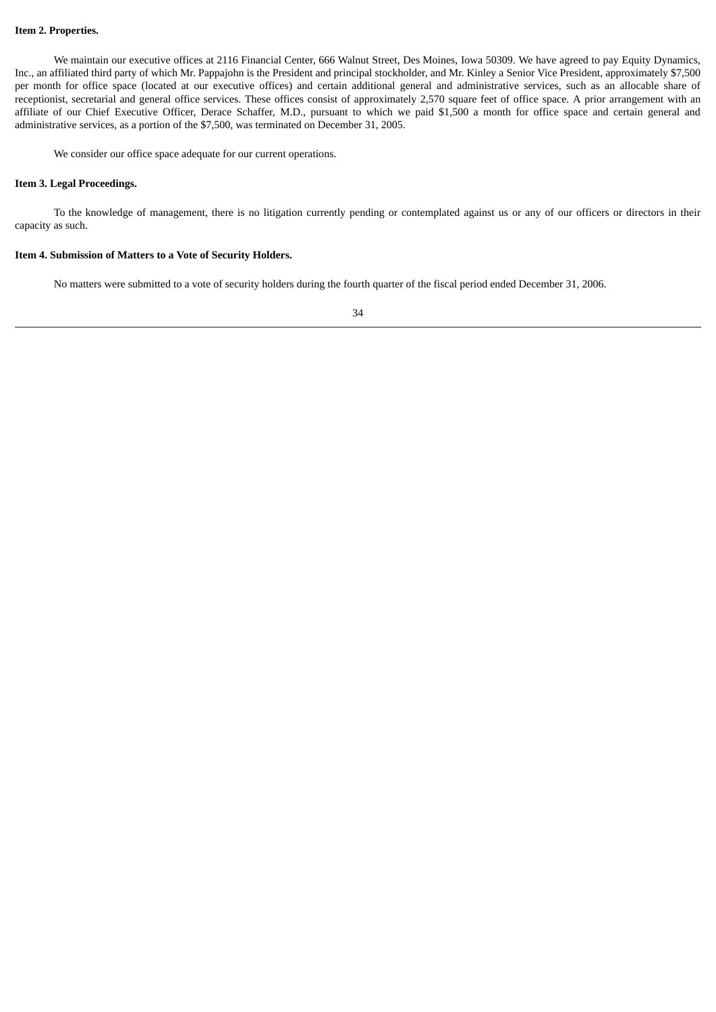#### **Item 2. Properties.**

We maintain our executive offices at 2116 Financial Center, 666 Walnut Street, Des Moines, Iowa 50309. We have agreed to pay Equity Dynamics, Inc., an affiliated third party of which Mr. Pappajohn is the President and principal stockholder, and Mr. Kinley a Senior Vice President, approximately \$7,500 per month for office space (located at our executive offices) and certain additional general and administrative services, such as an allocable share of receptionist, secretarial and general office services. These offices consist of approximately 2,570 square feet of office space. A prior arrangement with an affiliate of our Chief Executive Officer, Derace Schaffer, M.D., pursuant to which we paid \$1,500 a month for office space and certain general and administrative services, as a portion of the \$7,500, was terminated on December 31, 2005.

We consider our office space adequate for our current operations.

#### **Item 3. Legal Proceedings.**

To the knowledge of management, there is no litigation currently pending or contemplated against us or any of our officers or directors in their capacity as such.

## **Item 4. Submission of Matters to a Vote of Security Holders.**

No matters were submitted to a vote of security holders during the fourth quarter of the fiscal period ended December 31, 2006.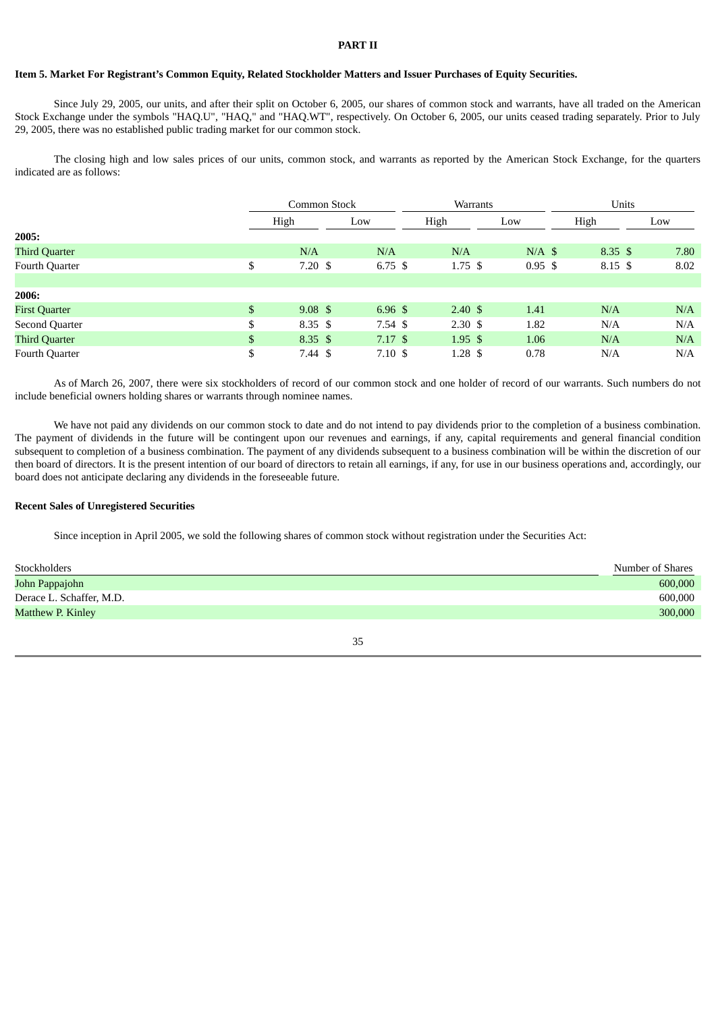## **PART II**

#### Item 5. Market For Registrant's Common Equity, Related Stockholder Matters and Issuer Purchases of Equity Securities.

Since July 29, 2005, our units, and after their split on October 6, 2005, our shares of common stock and warrants, have all traded on the American Stock Exchange under the symbols "HAQ.U", "HAQ," and "HAQ.WT", respectively. On October 6, 2005, our units ceased trading separately. Prior to July 29, 2005, there was no established public trading market for our common stock.

The closing high and low sales prices of our units, common stock, and warrants as reported by the American Stock Exchange, for the quarters indicated are as follows:

|                       | Common Stock             |                    | Warrants |                    |                    | Units |                    |      |
|-----------------------|--------------------------|--------------------|----------|--------------------|--------------------|-------|--------------------|------|
|                       | High                     | Low                |          | High               | Low                | High  |                    | Low  |
| 2005:                 |                          |                    |          |                    |                    |       |                    |      |
| <b>Third Quarter</b>  | N/A                      | N/A                |          | N/A                | $N/A$ \$           |       | $8.35 \text{ }$ \$ | 7.80 |
| Fourth Quarter        | \$<br>$7.20~{\rm s}$     | $6.75~{\rm \AA}$   |          | $1.75$ \$          | $0.95 \text{ } $s$ |       | 8.15 \$            | 8.02 |
|                       |                          |                    |          |                    |                    |       |                    |      |
| 2006:                 |                          |                    |          |                    |                    |       |                    |      |
| <b>First Quarter</b>  | \$<br>$9.08 \text{ } $$  | $6.96 \text{ }$ \$ |          | $2.40 \text{ }$    | 1.41               |       | N/A                | N/A  |
| <b>Second Quarter</b> | \$<br>$8.35 \text{ } $s$ | $7.54~{\rm \AA}$   |          | $2.30 \text{ }$ \$ | 1.82               |       | N/A                | N/A  |
| <b>Third Quarter</b>  | \$<br>$8.35 \text{ } $s$ | $7.17$ \$          |          | $1.95 \text{ }$ \$ | 1.06               |       | N/A                | N/A  |
| Fourth Quarter        | \$<br>$7.44~{\rm s}$     | $7.10~{\rm \AA}$   |          | $1.28 \text{ } $$  | 0.78               |       | N/A                | N/A  |

As of March 26, 2007, there were six stockholders of record of our common stock and one holder of record of our warrants. Such numbers do not include beneficial owners holding shares or warrants through nominee names.

We have not paid any dividends on our common stock to date and do not intend to pay dividends prior to the completion of a business combination. The payment of dividends in the future will be contingent upon our revenues and earnings, if any, capital requirements and general financial condition subsequent to completion of a business combination. The payment of any dividends subsequent to a business combination will be within the discretion of our then board of directors. It is the present intention of our board of directors to retain all earnings, if any, for use in our business operations and, accordingly, our board does not anticipate declaring any dividends in the foreseeable future.

#### **Recent Sales of Unregistered Securities**

Since inception in April 2005, we sold the following shares of common stock without registration under the Securities Act:

| Stockholders             | Number of Shares |
|--------------------------|------------------|
| John Pappajohn           | 600,000          |
| Derace L. Schaffer, M.D. | 600,000          |
| Matthew P. Kinley        | 300,000          |
|                          |                  |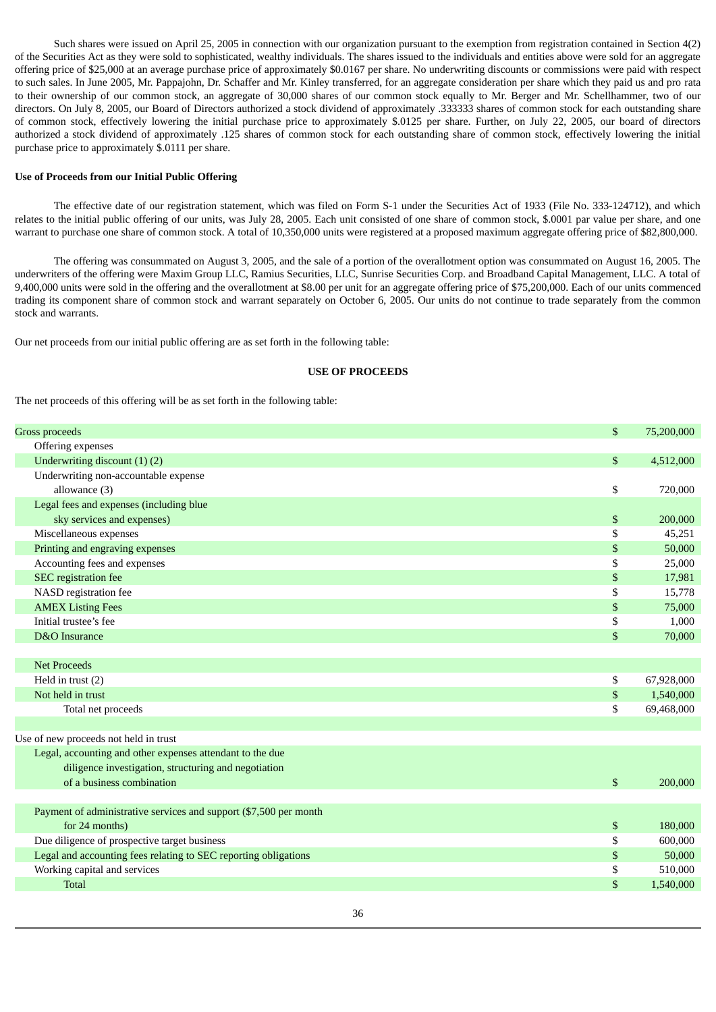Such shares were issued on April 25, 2005 in connection with our organization pursuant to the exemption from registration contained in Section 4(2) of the Securities Act as they were sold to sophisticated, wealthy individuals. The shares issued to the individuals and entities above were sold for an aggregate offering price of \$25,000 at an average purchase price of approximately \$0.0167 per share. No underwriting discounts or commissions were paid with respect to such sales. In June 2005, Mr. Pappajohn, Dr. Schaffer and Mr. Kinley transferred, for an aggregate consideration per share which they paid us and pro rata to their ownership of our common stock, an aggregate of 30,000 shares of our common stock equally to Mr. Berger and Mr. Schellhammer, two of our directors. On July 8, 2005, our Board of Directors authorized a stock dividend of approximately .333333 shares of common stock for each outstanding share of common stock, effectively lowering the initial purchase price to approximately \$.0125 per share. Further, on July 22, 2005, our board of directors authorized a stock dividend of approximately .125 shares of common stock for each outstanding share of common stock, effectively lowering the initial purchase price to approximately \$.0111 per share.

#### **Use of Proceeds from our Initial Public Offering**

The effective date of our registration statement, which was filed on Form S-1 under the Securities Act of 1933 (File No. 333-124712), and which relates to the initial public offering of our units, was July 28, 2005. Each unit consisted of one share of common stock, \$.0001 par value per share, and one warrant to purchase one share of common stock. A total of 10,350,000 units were registered at a proposed maximum aggregate offering price of \$82,800,000.

The offering was consummated on August 3, 2005, and the sale of a portion of the overallotment option was consummated on August 16, 2005. The underwriters of the offering were Maxim Group LLC, Ramius Securities, LLC, Sunrise Securities Corp. and Broadband Capital Management, LLC. A total of 9,400,000 units were sold in the offering and the overallotment at \$8.00 per unit for an aggregate offering price of \$75,200,000. Each of our units commenced trading its component share of common stock and warrant separately on October 6, 2005. Our units do not continue to trade separately from the common stock and warrants.

Our net proceeds from our initial public offering are as set forth in the following table:

#### **USE OF PROCEEDS**

The net proceeds of this offering will be as set forth in the following table:

| <b>Gross proceeds</b>                                             | \$<br>75,200,000 |
|-------------------------------------------------------------------|------------------|
| Offering expenses                                                 |                  |
| Underwriting discount (1)(2)                                      | \$<br>4,512,000  |
| Underwriting non-accountable expense                              |                  |
| allowance (3)                                                     | \$<br>720,000    |
| Legal fees and expenses (including blue                           |                  |
| sky services and expenses)                                        | \$<br>200,000    |
| Miscellaneous expenses                                            | \$<br>45,251     |
| Printing and engraving expenses                                   | \$<br>50,000     |
| Accounting fees and expenses                                      | \$<br>25,000     |
| SEC registration fee                                              | \$<br>17,981     |
| NASD registration fee                                             | \$<br>15,778     |
| <b>AMEX Listing Fees</b>                                          | \$<br>75,000     |
| Initial trustee's fee                                             | \$<br>1,000      |
| D&O Insurance                                                     | \$<br>70,000     |
|                                                                   |                  |
| <b>Net Proceeds</b>                                               |                  |
| Held in trust (2)                                                 | \$<br>67,928,000 |
| Not held in trust                                                 | \$<br>1,540,000  |
| Total net proceeds                                                | \$<br>69,468,000 |
|                                                                   |                  |
| Use of new proceeds not held in trust                             |                  |
| Legal, accounting and other expenses attendant to the due         |                  |
| diligence investigation, structuring and negotiation              |                  |
| of a business combination                                         | \$<br>200,000    |
|                                                                   |                  |
| Payment of administrative services and support (\$7,500 per month |                  |
| for 24 months)                                                    | \$<br>180,000    |
| Due diligence of prospective target business                      | \$<br>600,000    |
| Legal and accounting fees relating to SEC reporting obligations   | \$<br>50,000     |
| Working capital and services                                      | \$<br>510,000    |
| <b>Total</b>                                                      | \$<br>1,540,000  |
|                                                                   |                  |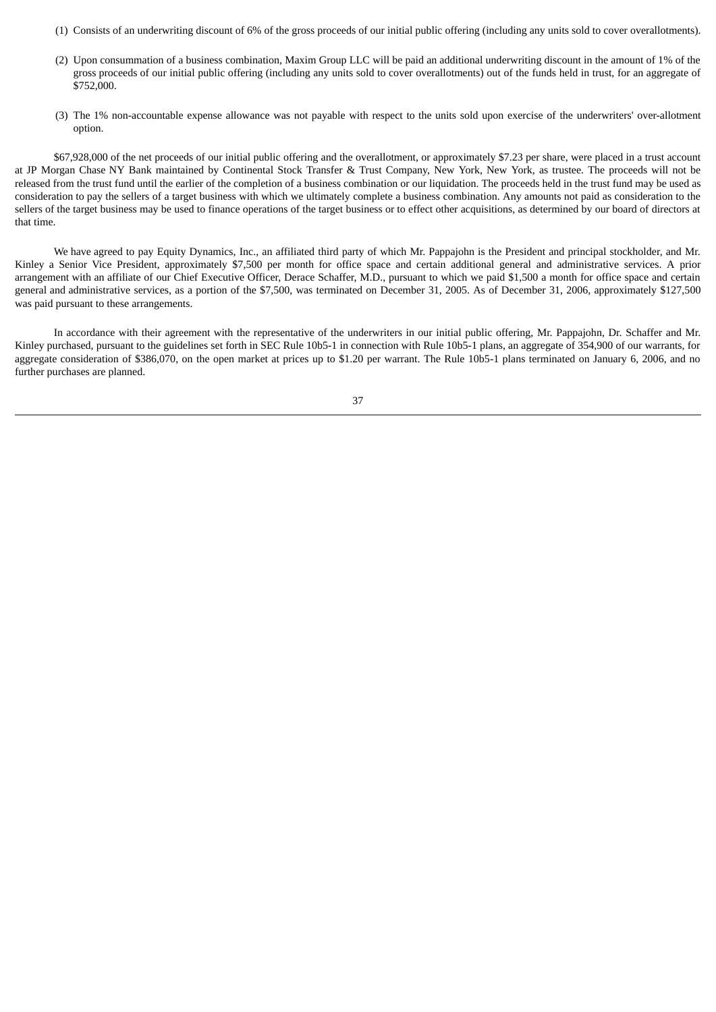- (1) Consists of an underwriting discount of 6% of the gross proceeds of our initial public offering (including any units sold to cover overallotments).
- (2) Upon consummation of a business combination, Maxim Group LLC will be paid an additional underwriting discount in the amount of 1% of the gross proceeds of our initial public offering (including any units sold to cover overallotments) out of the funds held in trust, for an aggregate of \$752,000.
- (3) The 1% non-accountable expense allowance was not payable with respect to the units sold upon exercise of the underwriters' over-allotment option.

\$67,928,000 of the net proceeds of our initial public offering and the overallotment, or approximately \$7.23 per share, were placed in a trust account at JP Morgan Chase NY Bank maintained by Continental Stock Transfer & Trust Company, New York, New York, as trustee. The proceeds will not be released from the trust fund until the earlier of the completion of a business combination or our liquidation. The proceeds held in the trust fund may be used as consideration to pay the sellers of a target business with which we ultimately complete a business combination. Any amounts not paid as consideration to the sellers of the target business may be used to finance operations of the target business or to effect other acquisitions, as determined by our board of directors at that time.

We have agreed to pay Equity Dynamics, Inc., an affiliated third party of which Mr. Pappajohn is the President and principal stockholder, and Mr. Kinley a Senior Vice President, approximately \$7,500 per month for office space and certain additional general and administrative services. A prior arrangement with an affiliate of our Chief Executive Officer, Derace Schaffer, M.D., pursuant to which we paid \$1,500 a month for office space and certain general and administrative services, as a portion of the \$7,500, was terminated on December 31, 2005. As of December 31, 2006, approximately \$127,500 was paid pursuant to these arrangements.

In accordance with their agreement with the representative of the underwriters in our initial public offering, Mr. Pappajohn, Dr. Schaffer and Mr. Kinley purchased, pursuant to the guidelines set forth in SEC Rule 10b5-1 in connection with Rule 10b5-1 plans, an aggregate of 354,900 of our warrants, for aggregate consideration of \$386,070, on the open market at prices up to \$1.20 per warrant. The Rule 10b5-1 plans terminated on January 6, 2006, and no further purchases are planned.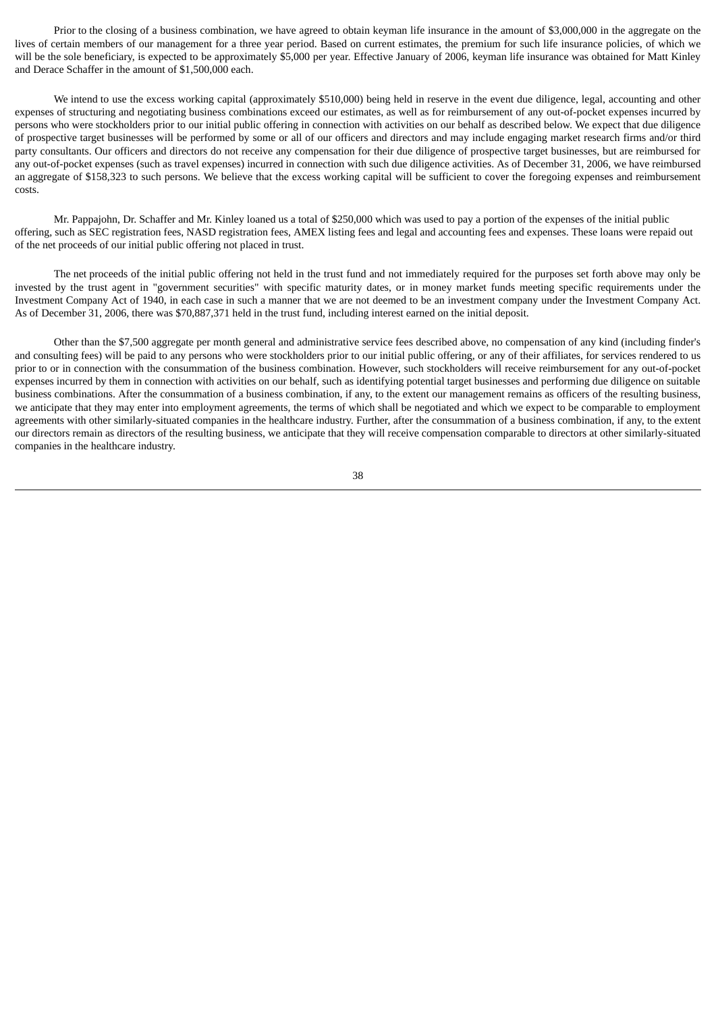Prior to the closing of a business combination, we have agreed to obtain keyman life insurance in the amount of \$3,000,000 in the aggregate on the lives of certain members of our management for a three year period. Based on current estimates, the premium for such life insurance policies, of which we will be the sole beneficiary, is expected to be approximately \$5,000 per year. Effective January of 2006, keyman life insurance was obtained for Matt Kinley and Derace Schaffer in the amount of \$1,500,000 each.

We intend to use the excess working capital (approximately \$510,000) being held in reserve in the event due diligence, legal, accounting and other expenses of structuring and negotiating business combinations exceed our estimates, as well as for reimbursement of any out-of-pocket expenses incurred by persons who were stockholders prior to our initial public offering in connection with activities on our behalf as described below. We expect that due diligence of prospective target businesses will be performed by some or all of our officers and directors and may include engaging market research firms and/or third party consultants. Our officers and directors do not receive any compensation for their due diligence of prospective target businesses, but are reimbursed for any out-of-pocket expenses (such as travel expenses) incurred in connection with such due diligence activities. As of December 31, 2006, we have reimbursed an aggregate of \$158,323 to such persons. We believe that the excess working capital will be sufficient to cover the foregoing expenses and reimbursement costs.

Mr. Pappajohn, Dr. Schaffer and Mr. Kinley loaned us a total of \$250,000 which was used to pay a portion of the expenses of the initial public offering, such as SEC registration fees, NASD registration fees, AMEX listing fees and legal and accounting fees and expenses. These loans were repaid out of the net proceeds of our initial public offering not placed in trust.

The net proceeds of the initial public offering not held in the trust fund and not immediately required for the purposes set forth above may only be invested by the trust agent in "government securities" with specific maturity dates, or in money market funds meeting specific requirements under the Investment Company Act of 1940, in each case in such a manner that we are not deemed to be an investment company under the Investment Company Act. As of December 31, 2006, there was \$70,887,371 held in the trust fund, including interest earned on the initial deposit.

Other than the \$7,500 aggregate per month general and administrative service fees described above, no compensation of any kind (including finder's and consulting fees) will be paid to any persons who were stockholders prior to our initial public offering, or any of their affiliates, for services rendered to us prior to or in connection with the consummation of the business combination. However, such stockholders will receive reimbursement for any out-of-pocket expenses incurred by them in connection with activities on our behalf, such as identifying potential target businesses and performing due diligence on suitable business combinations. After the consummation of a business combination, if any, to the extent our management remains as officers of the resulting business, we anticipate that they may enter into employment agreements, the terms of which shall be negotiated and which we expect to be comparable to employment agreements with other similarly-situated companies in the healthcare industry. Further, after the consummation of a business combination, if any, to the extent our directors remain as directors of the resulting business, we anticipate that they will receive compensation comparable to directors at other similarly-situated companies in the healthcare industry.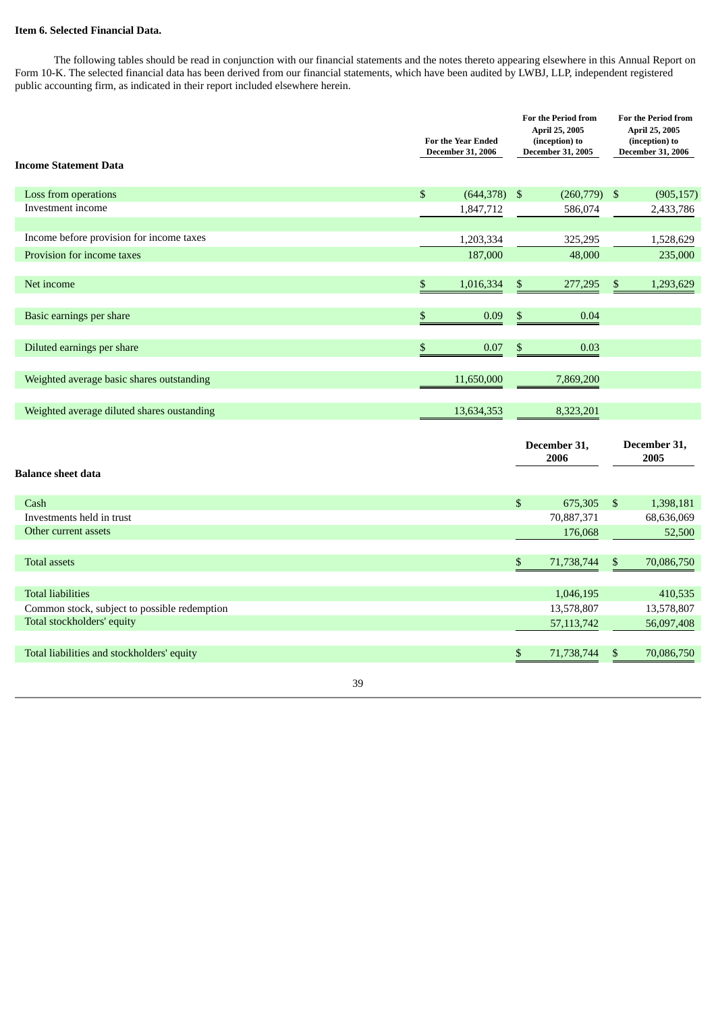## **Item 6. Selected Financial Data.**

The following tables should be read in conjunction with our financial statements and the notes thereto appearing elsewhere in this Annual Report on Form 10-K. The selected financial data has been derived from our financial statements, which have been audited by LWBJ, LLP, independent registered public accounting firm, as indicated in their report included elsewhere herein.

|                                              |      | <b>For the Year Ended</b><br><b>December 31, 2006</b> |      | <b>For the Period from</b><br>April 25, 2005<br>(inception) to<br><b>December 31, 2005</b> |     | <b>For the Period from</b><br>April 25, 2005<br>(inception) to<br><b>December 31, 2006</b> |
|----------------------------------------------|------|-------------------------------------------------------|------|--------------------------------------------------------------------------------------------|-----|--------------------------------------------------------------------------------------------|
| <b>Income Statement Data</b>                 |      |                                                       |      |                                                                                            |     |                                                                                            |
| Loss from operations                         | $\$$ | $(644,378)$ \$                                        |      | (260,779)                                                                                  | -\$ | (905, 157)                                                                                 |
| Investment income                            |      | 1,847,712                                             |      | 586,074                                                                                    |     | 2,433,786                                                                                  |
|                                              |      |                                                       |      |                                                                                            |     |                                                                                            |
| Income before provision for income taxes     |      | 1,203,334                                             |      | 325,295                                                                                    |     | 1,528,629                                                                                  |
| Provision for income taxes                   |      | 187,000                                               |      | 48,000                                                                                     |     | 235,000                                                                                    |
| Net income                                   | \$   | 1,016,334                                             | $\$$ | 277,295                                                                                    | \$  | 1,293,629                                                                                  |
| Basic earnings per share                     | \$   | 0.09                                                  | $\$$ | 0.04                                                                                       |     |                                                                                            |
|                                              |      |                                                       |      |                                                                                            |     |                                                                                            |
| Diluted earnings per share                   | \$   | 0.07                                                  | \$   | 0.03                                                                                       |     |                                                                                            |
|                                              |      |                                                       |      |                                                                                            |     |                                                                                            |
| Weighted average basic shares outstanding    |      | 11,650,000                                            |      | 7,869,200                                                                                  |     |                                                                                            |
| Weighted average diluted shares oustanding   |      | 13,634,353                                            |      | 8,323,201                                                                                  |     |                                                                                            |
| <b>Balance sheet data</b>                    |      |                                                       |      | December 31,<br>2006                                                                       |     | December 31,<br>2005                                                                       |
| Cash                                         |      |                                                       | \$   | 675,305                                                                                    | \$  | 1,398,181                                                                                  |
| Investments held in trust                    |      |                                                       |      | 70,887,371                                                                                 |     | 68,636,069                                                                                 |
| Other current assets                         |      |                                                       |      | 176,068                                                                                    |     | 52,500                                                                                     |
| <b>Total assets</b>                          |      |                                                       | \$   | 71,738,744                                                                                 | \$  | 70,086,750                                                                                 |
| <b>Total liabilities</b>                     |      |                                                       |      |                                                                                            |     |                                                                                            |
| Common stock, subject to possible redemption |      |                                                       |      | 1,046,195<br>13,578,807                                                                    |     | 410,535<br>13,578,807                                                                      |
| Total stockholders' equity                   |      |                                                       |      | 57, 113, 742                                                                               |     | 56,097,408                                                                                 |
|                                              |      |                                                       |      |                                                                                            |     |                                                                                            |
| Total liabilities and stockholders' equity   |      |                                                       | \$   | 71,738,744                                                                                 | \$  | 70,086,750                                                                                 |
| 39                                           |      |                                                       |      |                                                                                            |     |                                                                                            |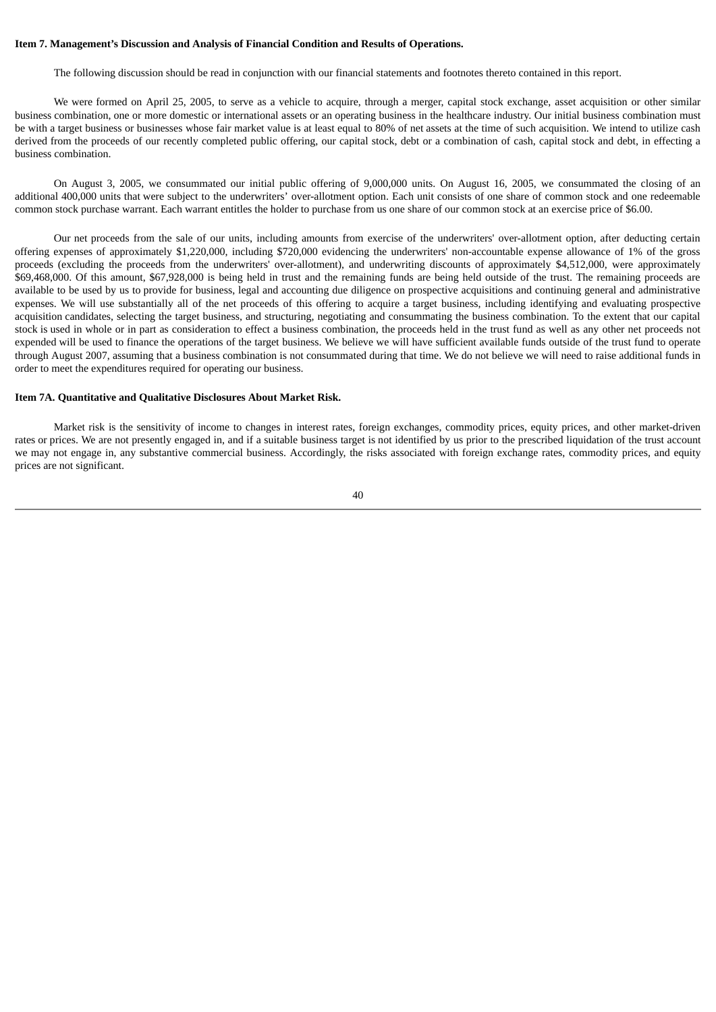#### **Item 7. Management's Discussion and Analysis of Financial Condition and Results of Operations.**

The following discussion should be read in conjunction with our financial statements and footnotes thereto contained in this report.

We were formed on April 25, 2005, to serve as a vehicle to acquire, through a merger, capital stock exchange, asset acquisition or other similar business combination, one or more domestic or international assets or an operating business in the healthcare industry. Our initial business combination must be with a target business or businesses whose fair market value is at least equal to 80% of net assets at the time of such acquisition. We intend to utilize cash derived from the proceeds of our recently completed public offering, our capital stock, debt or a combination of cash, capital stock and debt, in effecting a business combination.

On August 3, 2005, we consummated our initial public offering of 9,000,000 units. On August 16, 2005, we consummated the closing of an additional 400,000 units that were subject to the underwriters' over-allotment option. Each unit consists of one share of common stock and one redeemable common stock purchase warrant. Each warrant entitles the holder to purchase from us one share of our common stock at an exercise price of \$6.00.

Our net proceeds from the sale of our units, including amounts from exercise of the underwriters' over-allotment option, after deducting certain offering expenses of approximately \$1,220,000, including \$720,000 evidencing the underwriters' non-accountable expense allowance of 1% of the gross proceeds (excluding the proceeds from the underwriters' over-allotment), and underwriting discounts of approximately \$4,512,000, were approximately \$69,468,000. Of this amount, \$67,928,000 is being held in trust and the remaining funds are being held outside of the trust. The remaining proceeds are available to be used by us to provide for business, legal and accounting due diligence on prospective acquisitions and continuing general and administrative expenses. We will use substantially all of the net proceeds of this offering to acquire a target business, including identifying and evaluating prospective acquisition candidates, selecting the target business, and structuring, negotiating and consummating the business combination. To the extent that our capital stock is used in whole or in part as consideration to effect a business combination, the proceeds held in the trust fund as well as any other net proceeds not expended will be used to finance the operations of the target business. We believe we will have sufficient available funds outside of the trust fund to operate through August 2007, assuming that a business combination is not consummated during that time. We do not believe we will need to raise additional funds in order to meet the expenditures required for operating our business.

#### **Item 7A. Quantitative and Qualitative Disclosures About Market Risk.**

Market risk is the sensitivity of income to changes in interest rates, foreign exchanges, commodity prices, equity prices, and other market-driven rates or prices. We are not presently engaged in, and if a suitable business target is not identified by us prior to the prescribed liquidation of the trust account we may not engage in, any substantive commercial business. Accordingly, the risks associated with foreign exchange rates, commodity prices, and equity prices are not significant.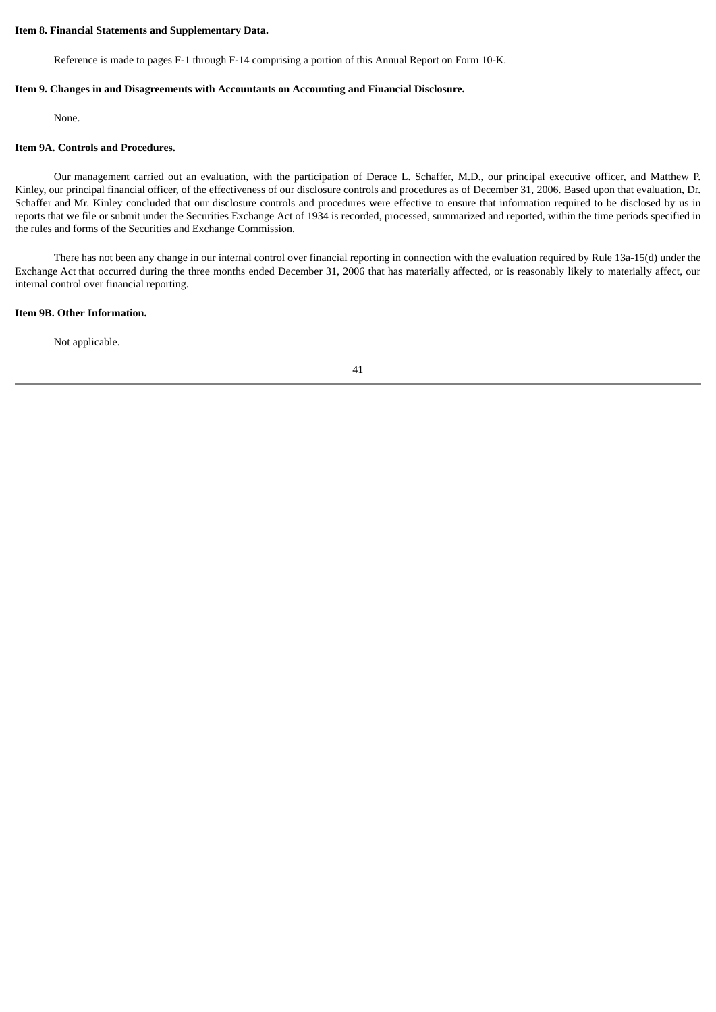#### **Item 8. Financial Statements and Supplementary Data.**

Reference is made to pages F-1 through F-14 comprising a portion of this Annual Report on Form 10-K.

#### **Item 9. Changes in and Disagreements with Accountants on Accounting and Financial Disclosure.**

None.

#### **Item 9A. Controls and Procedures.**

Our management carried out an evaluation, with the participation of Derace L. Schaffer, M.D., our principal executive officer, and Matthew P. Kinley, our principal financial officer, of the effectiveness of our disclosure controls and procedures as of December 31, 2006. Based upon that evaluation, Dr. Schaffer and Mr. Kinley concluded that our disclosure controls and procedures were effective to ensure that information required to be disclosed by us in reports that we file or submit under the Securities Exchange Act of 1934 is recorded, processed, summarized and reported, within the time periods specified in the rules and forms of the Securities and Exchange Commission.

There has not been any change in our internal control over financial reporting in connection with the evaluation required by Rule 13a-15(d) under the Exchange Act that occurred during the three months ended December 31, 2006 that has materially affected, or is reasonably likely to materially affect, our internal control over financial reporting.

#### **Item 9B. Other Information.**

Not applicable.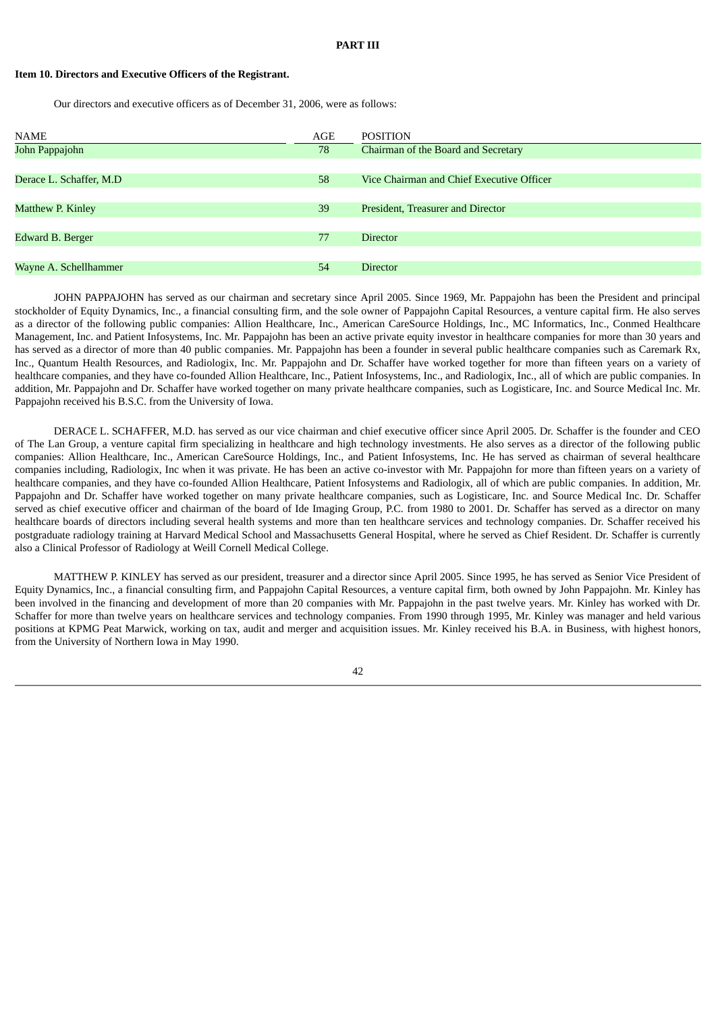### **PART III**

### **Item 10. Directors and Executive Officers of the Registrant.**

Our directors and executive officers as of December 31, 2006, were as follows:

| <b>NAME</b>             | AGE | <b>POSITION</b>                           |
|-------------------------|-----|-------------------------------------------|
| John Pappajohn          | 78  | Chairman of the Board and Secretary       |
|                         |     |                                           |
| Derace L. Schaffer, M.D | 58  | Vice Chairman and Chief Executive Officer |
|                         |     |                                           |
| Matthew P. Kinley       | 39  | President, Treasurer and Director         |
|                         |     |                                           |
| Edward B. Berger        | 77  | <b>Director</b>                           |
|                         |     |                                           |
| Wayne A. Schellhammer   | 54  | <b>Director</b>                           |

JOHN PAPPAJOHN has served as our chairman and secretary since April 2005. Since 1969, Mr. Pappajohn has been the President and principal stockholder of Equity Dynamics, Inc., a financial consulting firm, and the sole owner of Pappajohn Capital Resources, a venture capital firm. He also serves as a director of the following public companies: Allion Healthcare, Inc., American CareSource Holdings, Inc., MC Informatics, Inc., Conmed Healthcare Management, Inc. and Patient Infosystems, Inc. Mr. Pappajohn has been an active private equity investor in healthcare companies for more than 30 years and has served as a director of more than 40 public companies. Mr. Pappajohn has been a founder in several public healthcare companies such as Caremark Rx, Inc., Quantum Health Resources, and Radiologix, Inc. Mr. Pappajohn and Dr. Schaffer have worked together for more than fifteen years on a variety of healthcare companies, and they have co-founded Allion Healthcare, Inc., Patient Infosystems, Inc., and Radiologix, Inc., all of which are public companies. In addition, Mr. Pappajohn and Dr. Schaffer have worked together on many private healthcare companies, such as Logisticare, Inc. and Source Medical Inc. Mr. Pappajohn received his B.S.C. from the University of Iowa.

DERACE L. SCHAFFER, M.D. has served as our vice chairman and chief executive officer since April 2005. Dr. Schaffer is the founder and CEO of The Lan Group, a venture capital firm specializing in healthcare and high technology investments. He also serves as a director of the following public companies: Allion Healthcare, Inc., American CareSource Holdings, Inc., and Patient Infosystems, Inc. He has served as chairman of several healthcare companies including, Radiologix, Inc when it was private. He has been an active co-investor with Mr. Pappajohn for more than fifteen years on a variety of healthcare companies, and they have co-founded Allion Healthcare, Patient Infosystems and Radiologix, all of which are public companies. In addition, Mr. Pappajohn and Dr. Schaffer have worked together on many private healthcare companies, such as Logisticare, Inc. and Source Medical Inc. Dr. Schaffer served as chief executive officer and chairman of the board of Ide Imaging Group, P.C. from 1980 to 2001. Dr. Schaffer has served as a director on many healthcare boards of directors including several health systems and more than ten healthcare services and technology companies. Dr. Schaffer received his postgraduate radiology training at Harvard Medical School and Massachusetts General Hospital, where he served as Chief Resident. Dr. Schaffer is currently also a Clinical Professor of Radiology at Weill Cornell Medical College.

MATTHEW P. KINLEY has served as our president, treasurer and a director since April 2005. Since 1995, he has served as Senior Vice President of Equity Dynamics, Inc., a financial consulting firm, and Pappajohn Capital Resources, a venture capital firm, both owned by John Pappajohn. Mr. Kinley has been involved in the financing and development of more than 20 companies with Mr. Pappajohn in the past twelve years. Mr. Kinley has worked with Dr. Schaffer for more than twelve years on healthcare services and technology companies. From 1990 through 1995, Mr. Kinley was manager and held various positions at KPMG Peat Marwick, working on tax, audit and merger and acquisition issues. Mr. Kinley received his B.A. in Business, with highest honors, from the University of Northern Iowa in May 1990.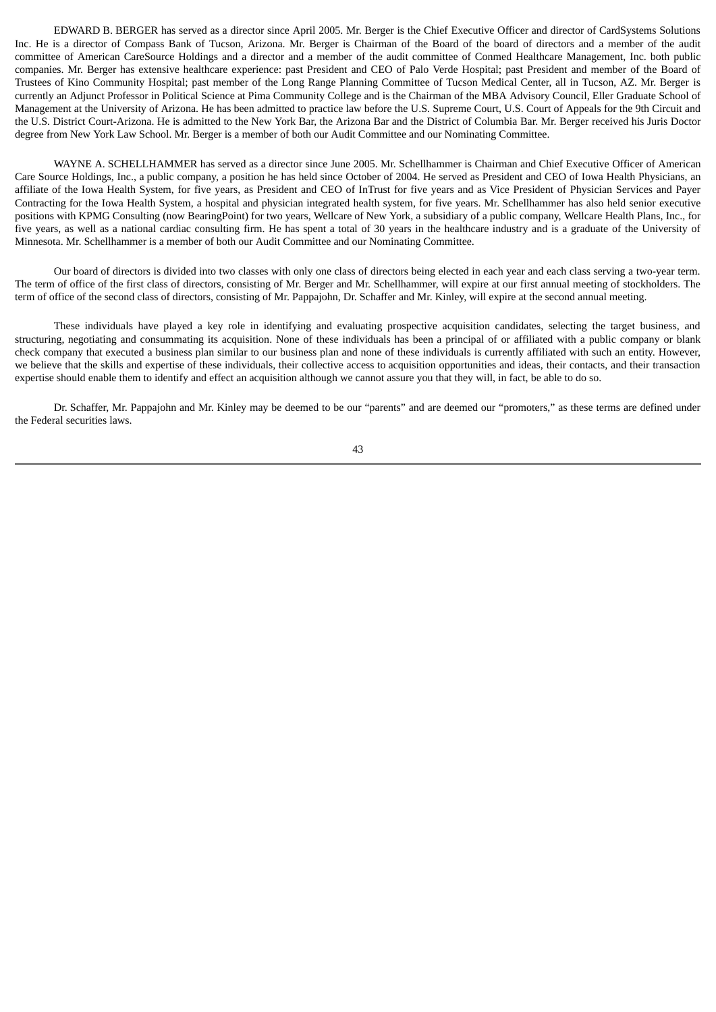EDWARD B. BERGER has served as a director since April 2005. Mr. Berger is the Chief Executive Officer and director of CardSystems Solutions Inc. He is a director of Compass Bank of Tucson, Arizona. Mr. Berger is Chairman of the Board of the board of directors and a member of the audit committee of American CareSource Holdings and a director and a member of the audit committee of Conmed Healthcare Management, Inc. both public companies. Mr. Berger has extensive healthcare experience: past President and CEO of Palo Verde Hospital; past President and member of the Board of Trustees of Kino Community Hospital; past member of the Long Range Planning Committee of Tucson Medical Center, all in Tucson, AZ. Mr. Berger is currently an Adjunct Professor in Political Science at Pima Community College and is the Chairman of the MBA Advisory Council, Eller Graduate School of Management at the University of Arizona. He has been admitted to practice law before the U.S. Supreme Court, U.S. Court of Appeals for the 9th Circuit and the U.S. District Court-Arizona. He is admitted to the New York Bar, the Arizona Bar and the District of Columbia Bar. Mr. Berger received his Juris Doctor degree from New York Law School. Mr. Berger is a member of both our Audit Committee and our Nominating Committee.

WAYNE A. SCHELLHAMMER has served as a director since June 2005. Mr. Schellhammer is Chairman and Chief Executive Officer of American Care Source Holdings, Inc., a public company, a position he has held since October of 2004. He served as President and CEO of Iowa Health Physicians, an affiliate of the Iowa Health System, for five years, as President and CEO of InTrust for five years and as Vice President of Physician Services and Payer Contracting for the Iowa Health System, a hospital and physician integrated health system, for five years. Mr. Schellhammer has also held senior executive positions with KPMG Consulting (now BearingPoint) for two years, Wellcare of New York, a subsidiary of a public company, Wellcare Health Plans, Inc., for five years, as well as a national cardiac consulting firm. He has spent a total of 30 years in the healthcare industry and is a graduate of the University of Minnesota. Mr. Schellhammer is a member of both our Audit Committee and our Nominating Committee.

Our board of directors is divided into two classes with only one class of directors being elected in each year and each class serving a two-year term. The term of office of the first class of directors, consisting of Mr. Berger and Mr. Schellhammer, will expire at our first annual meeting of stockholders. The term of office of the second class of directors, consisting of Mr. Pappajohn, Dr. Schaffer and Mr. Kinley, will expire at the second annual meeting.

These individuals have played a key role in identifying and evaluating prospective acquisition candidates, selecting the target business, and structuring, negotiating and consummating its acquisition. None of these individuals has been a principal of or affiliated with a public company or blank check company that executed a business plan similar to our business plan and none of these individuals is currently affiliated with such an entity. However, we believe that the skills and expertise of these individuals, their collective access to acquisition opportunities and ideas, their contacts, and their transaction expertise should enable them to identify and effect an acquisition although we cannot assure you that they will, in fact, be able to do so.

Dr. Schaffer, Mr. Pappajohn and Mr. Kinley may be deemed to be our "parents" and are deemed our "promoters," as these terms are defined under the Federal securities laws.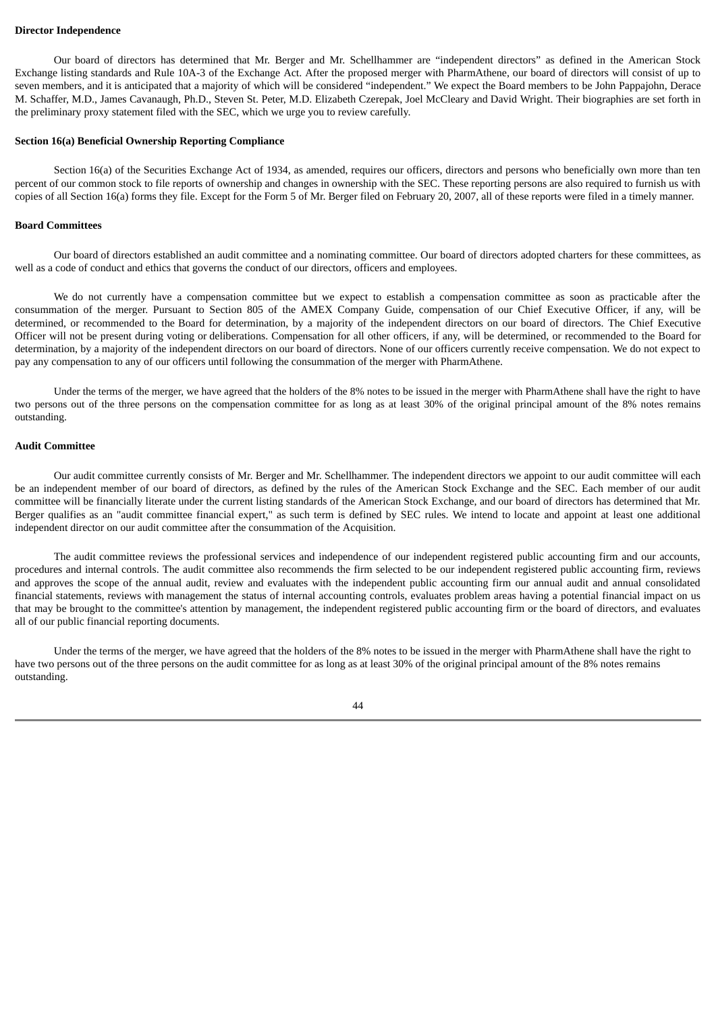#### **Director Independence**

Our board of directors has determined that Mr. Berger and Mr. Schellhammer are "independent directors" as defined in the American Stock Exchange listing standards and Rule 10A-3 of the Exchange Act. After the proposed merger with PharmAthene, our board of directors will consist of up to seven members, and it is anticipated that a majority of which will be considered "independent." We expect the Board members to be John Pappajohn, Derace M. Schaffer, M.D., James Cavanaugh, Ph.D., Steven St. Peter, M.D. Elizabeth Czerepak, Joel McCleary and David Wright. Their biographies are set forth in the preliminary proxy statement filed with the SEC, which we urge you to review carefully.

#### **Section 16(a) Beneficial Ownership Reporting Compliance**

Section 16(a) of the Securities Exchange Act of 1934, as amended, requires our officers, directors and persons who beneficially own more than ten percent of our common stock to file reports of ownership and changes in ownership with the SEC. These reporting persons are also required to furnish us with copies of all Section 16(a) forms they file. Except for the Form 5 of Mr. Berger filed on February 20, 2007, all of these reports were filed in a timely manner.

#### **Board Committees**

Our board of directors established an audit committee and a nominating committee. Our board of directors adopted charters for these committees, as well as a code of conduct and ethics that governs the conduct of our directors, officers and employees.

We do not currently have a compensation committee but we expect to establish a compensation committee as soon as practicable after the consummation of the merger. Pursuant to Section 805 of the AMEX Company Guide, compensation of our Chief Executive Officer, if any, will be determined, or recommended to the Board for determination, by a majority of the independent directors on our board of directors. The Chief Executive Officer will not be present during voting or deliberations. Compensation for all other officers, if any, will be determined, or recommended to the Board for determination, by a majority of the independent directors on our board of directors. None of our officers currently receive compensation. We do not expect to pay any compensation to any of our officers until following the consummation of the merger with PharmAthene.

Under the terms of the merger, we have agreed that the holders of the 8% notes to be issued in the merger with PharmAthene shall have the right to have two persons out of the three persons on the compensation committee for as long as at least 30% of the original principal amount of the 8% notes remains outstanding.

#### **Audit Committee**

Our audit committee currently consists of Mr. Berger and Mr. Schellhammer. The independent directors we appoint to our audit committee will each be an independent member of our board of directors, as defined by the rules of the American Stock Exchange and the SEC. Each member of our audit committee will be financially literate under the current listing standards of the American Stock Exchange, and our board of directors has determined that Mr. Berger qualifies as an "audit committee financial expert," as such term is defined by SEC rules. We intend to locate and appoint at least one additional independent director on our audit committee after the consummation of the Acquisition.

The audit committee reviews the professional services and independence of our independent registered public accounting firm and our accounts, procedures and internal controls. The audit committee also recommends the firm selected to be our independent registered public accounting firm, reviews and approves the scope of the annual audit, review and evaluates with the independent public accounting firm our annual audit and annual consolidated financial statements, reviews with management the status of internal accounting controls, evaluates problem areas having a potential financial impact on us that may be brought to the committee's attention by management, the independent registered public accounting firm or the board of directors, and evaluates all of our public financial reporting documents.

Under the terms of the merger, we have agreed that the holders of the 8% notes to be issued in the merger with PharmAthene shall have the right to have two persons out of the three persons on the audit committee for as long as at least 30% of the original principal amount of the 8% notes remains outstanding.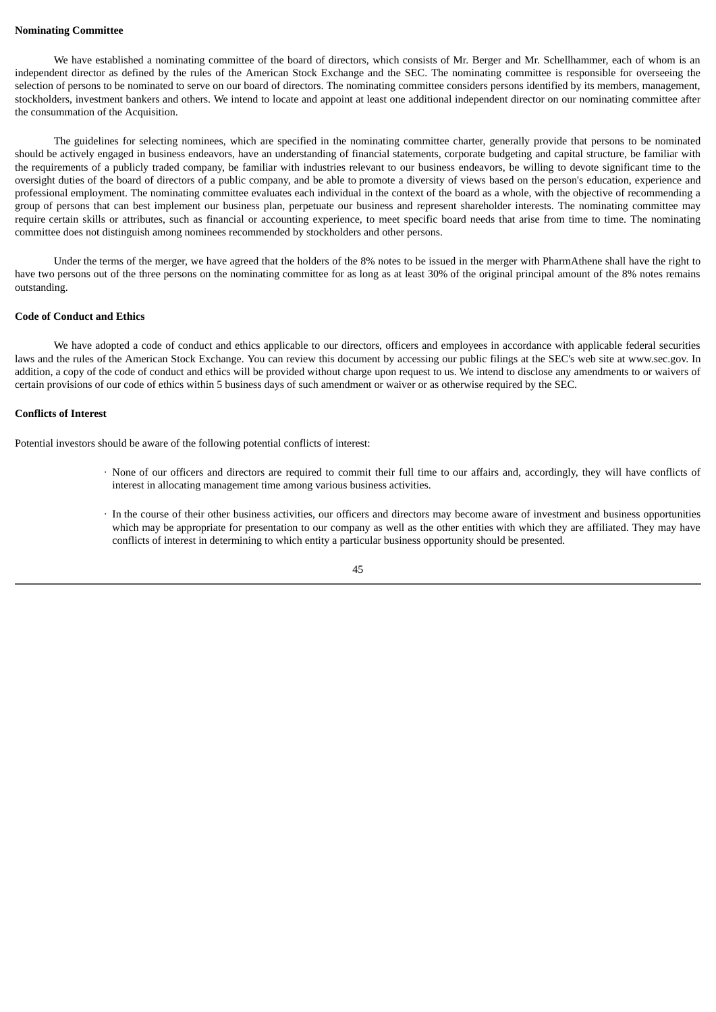#### **Nominating Committee**

We have established a nominating committee of the board of directors, which consists of Mr. Berger and Mr. Schellhammer, each of whom is an independent director as defined by the rules of the American Stock Exchange and the SEC. The nominating committee is responsible for overseeing the selection of persons to be nominated to serve on our board of directors. The nominating committee considers persons identified by its members, management, stockholders, investment bankers and others. We intend to locate and appoint at least one additional independent director on our nominating committee after the consummation of the Acquisition.

The guidelines for selecting nominees, which are specified in the nominating committee charter, generally provide that persons to be nominated should be actively engaged in business endeavors, have an understanding of financial statements, corporate budgeting and capital structure, be familiar with the requirements of a publicly traded company, be familiar with industries relevant to our business endeavors, be willing to devote significant time to the oversight duties of the board of directors of a public company, and be able to promote a diversity of views based on the person's education, experience and professional employment. The nominating committee evaluates each individual in the context of the board as a whole, with the objective of recommending a group of persons that can best implement our business plan, perpetuate our business and represent shareholder interests. The nominating committee may require certain skills or attributes, such as financial or accounting experience, to meet specific board needs that arise from time to time. The nominating committee does not distinguish among nominees recommended by stockholders and other persons.

Under the terms of the merger, we have agreed that the holders of the 8% notes to be issued in the merger with PharmAthene shall have the right to have two persons out of the three persons on the nominating committee for as long as at least 30% of the original principal amount of the 8% notes remains outstanding.

#### **Code of Conduct and Ethics**

We have adopted a code of conduct and ethics applicable to our directors, officers and employees in accordance with applicable federal securities laws and the rules of the American Stock Exchange. You can review this document by accessing our public filings at the SEC's web site at www.sec.gov. In addition, a copy of the code of conduct and ethics will be provided without charge upon request to us. We intend to disclose any amendments to or waivers of certain provisions of our code of ethics within 5 business days of such amendment or waiver or as otherwise required by the SEC.

#### **Conflicts of Interest**

Potential investors should be aware of the following potential conflicts of interest:

- · None of our officers and directors are required to commit their full time to our affairs and, accordingly, they will have conflicts of interest in allocating management time among various business activities.
- · In the course of their other business activities, our officers and directors may become aware of investment and business opportunities which may be appropriate for presentation to our company as well as the other entities with which they are affiliated. They may have conflicts of interest in determining to which entity a particular business opportunity should be presented.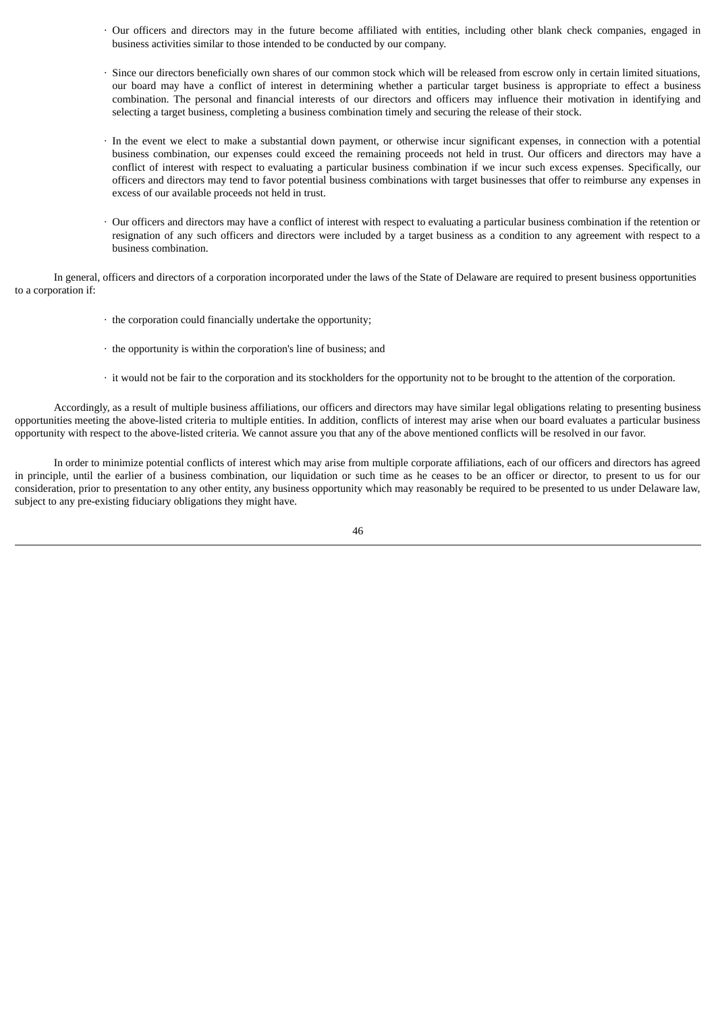- · Our officers and directors may in the future become affiliated with entities, including other blank check companies, engaged in business activities similar to those intended to be conducted by our company.
- · Since our directors beneficially own shares of our common stock which will be released from escrow only in certain limited situations, our board may have a conflict of interest in determining whether a particular target business is appropriate to effect a business combination. The personal and financial interests of our directors and officers may influence their motivation in identifying and selecting a target business, completing a business combination timely and securing the release of their stock.
- · In the event we elect to make a substantial down payment, or otherwise incur significant expenses, in connection with a potential business combination, our expenses could exceed the remaining proceeds not held in trust. Our officers and directors may have a conflict of interest with respect to evaluating a particular business combination if we incur such excess expenses. Specifically, our officers and directors may tend to favor potential business combinations with target businesses that offer to reimburse any expenses in excess of our available proceeds not held in trust.
- · Our officers and directors may have a conflict of interest with respect to evaluating a particular business combination if the retention or resignation of any such officers and directors were included by a target business as a condition to any agreement with respect to a business combination.

In general, officers and directors of a corporation incorporated under the laws of the State of Delaware are required to present business opportunities to a corporation if:

- · the corporation could financially undertake the opportunity;
- · the opportunity is within the corporation's line of business; and
- · it would not be fair to the corporation and its stockholders for the opportunity not to be brought to the attention of the corporation.

Accordingly, as a result of multiple business affiliations, our officers and directors may have similar legal obligations relating to presenting business opportunities meeting the above-listed criteria to multiple entities. In addition, conflicts of interest may arise when our board evaluates a particular business opportunity with respect to the above-listed criteria. We cannot assure you that any of the above mentioned conflicts will be resolved in our favor.

In order to minimize potential conflicts of interest which may arise from multiple corporate affiliations, each of our officers and directors has agreed in principle, until the earlier of a business combination, our liquidation or such time as he ceases to be an officer or director, to present to us for our consideration, prior to presentation to any other entity, any business opportunity which may reasonably be required to be presented to us under Delaware law, subject to any pre-existing fiduciary obligations they might have.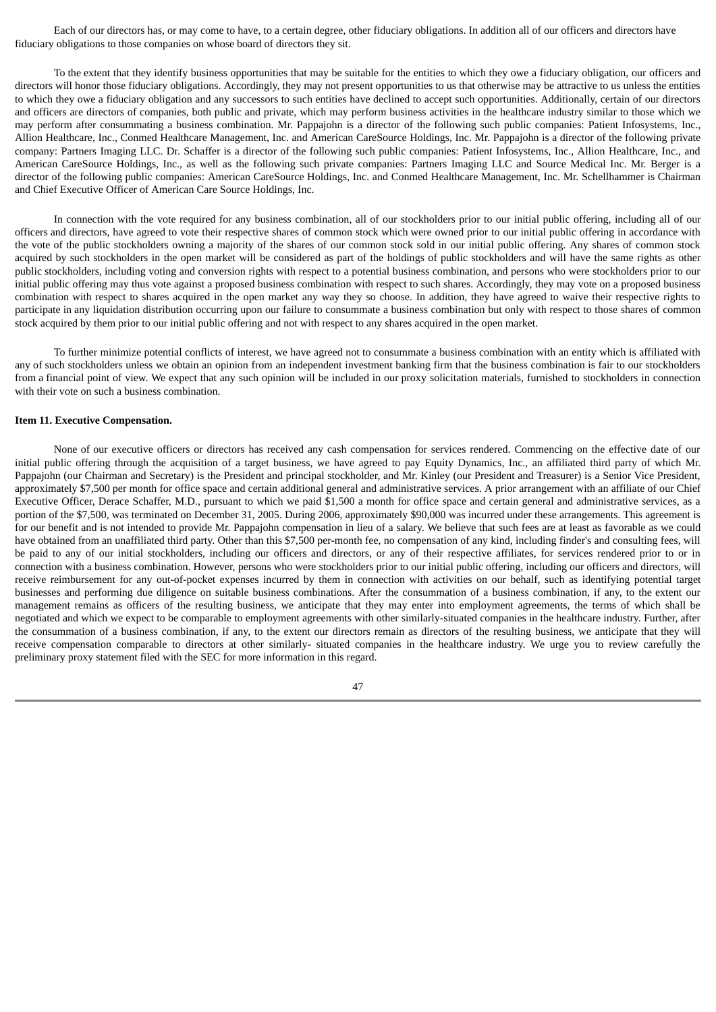Each of our directors has, or may come to have, to a certain degree, other fiduciary obligations. In addition all of our officers and directors have fiduciary obligations to those companies on whose board of directors they sit.

To the extent that they identify business opportunities that may be suitable for the entities to which they owe a fiduciary obligation, our officers and directors will honor those fiduciary obligations. Accordingly, they may not present opportunities to us that otherwise may be attractive to us unless the entities to which they owe a fiduciary obligation and any successors to such entities have declined to accept such opportunities. Additionally, certain of our directors and officers are directors of companies, both public and private, which may perform business activities in the healthcare industry similar to those which we may perform after consummating a business combination. Mr. Pappajohn is a director of the following such public companies: Patient Infosystems, Inc., Allion Healthcare, Inc., Conmed Healthcare Management, Inc. and American CareSource Holdings, Inc. Mr. Pappajohn is a director of the following private company: Partners Imaging LLC. Dr. Schaffer is a director of the following such public companies: Patient Infosystems, Inc., Allion Healthcare, Inc., and American CareSource Holdings, Inc., as well as the following such private companies: Partners Imaging LLC and Source Medical Inc. Mr. Berger is a director of the following public companies: American CareSource Holdings, Inc. and Conmed Healthcare Management, Inc. Mr. Schellhammer is Chairman and Chief Executive Officer of American Care Source Holdings, Inc.

In connection with the vote required for any business combination, all of our stockholders prior to our initial public offering, including all of our officers and directors, have agreed to vote their respective shares of common stock which were owned prior to our initial public offering in accordance with the vote of the public stockholders owning a majority of the shares of our common stock sold in our initial public offering. Any shares of common stock acquired by such stockholders in the open market will be considered as part of the holdings of public stockholders and will have the same rights as other public stockholders, including voting and conversion rights with respect to a potential business combination, and persons who were stockholders prior to our initial public offering may thus vote against a proposed business combination with respect to such shares. Accordingly, they may vote on a proposed business combination with respect to shares acquired in the open market any way they so choose. In addition, they have agreed to waive their respective rights to participate in any liquidation distribution occurring upon our failure to consummate a business combination but only with respect to those shares of common stock acquired by them prior to our initial public offering and not with respect to any shares acquired in the open market.

To further minimize potential conflicts of interest, we have agreed not to consummate a business combination with an entity which is affiliated with any of such stockholders unless we obtain an opinion from an independent investment banking firm that the business combination is fair to our stockholders from a financial point of view. We expect that any such opinion will be included in our proxy solicitation materials, furnished to stockholders in connection with their vote on such a business combination.

#### **Item 11. Executive Compensation.**

None of our executive officers or directors has received any cash compensation for services rendered. Commencing on the effective date of our initial public offering through the acquisition of a target business, we have agreed to pay Equity Dynamics, Inc., an affiliated third party of which Mr. Pappajohn (our Chairman and Secretary) is the President and principal stockholder, and Mr. Kinley (our President and Treasurer) is a Senior Vice President, approximately \$7,500 per month for office space and certain additional general and administrative services. A prior arrangement with an affiliate of our Chief Executive Officer, Derace Schaffer, M.D., pursuant to which we paid \$1,500 a month for office space and certain general and administrative services, as a portion of the \$7,500, was terminated on December 31, 2005. During 2006, approximately \$90,000 was incurred under these arrangements. This agreement is for our benefit and is not intended to provide Mr. Pappajohn compensation in lieu of a salary. We believe that such fees are at least as favorable as we could have obtained from an unaffiliated third party. Other than this \$7,500 per-month fee, no compensation of any kind, including finder's and consulting fees, will be paid to any of our initial stockholders, including our officers and directors, or any of their respective affiliates, for services rendered prior to or in connection with a business combination. However, persons who were stockholders prior to our initial public offering, including our officers and directors, will receive reimbursement for any out-of-pocket expenses incurred by them in connection with activities on our behalf, such as identifying potential target businesses and performing due diligence on suitable business combinations. After the consummation of a business combination, if any, to the extent our management remains as officers of the resulting business, we anticipate that they may enter into employment agreements, the terms of which shall be negotiated and which we expect to be comparable to employment agreements with other similarly-situated companies in the healthcare industry. Further, after the consummation of a business combination, if any, to the extent our directors remain as directors of the resulting business, we anticipate that they will receive compensation comparable to directors at other similarly- situated companies in the healthcare industry. We urge you to review carefully the preliminary proxy statement filed with the SEC for more information in this regard.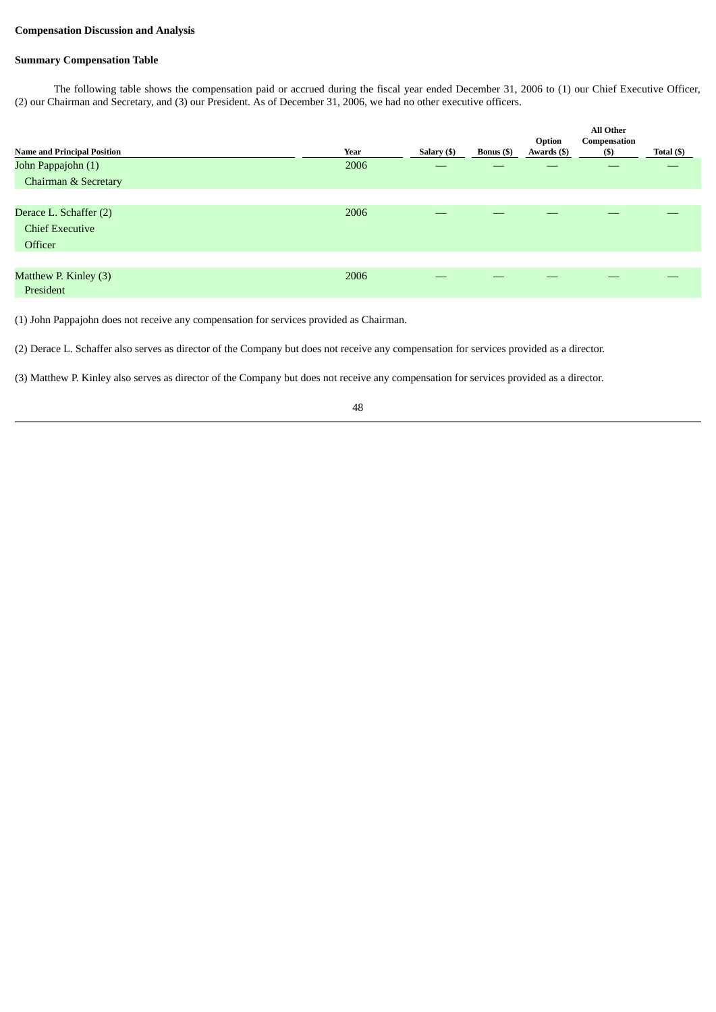### **Compensation Discussion and Analysis**

## **Summary Compensation Table**

The following table shows the compensation paid or accrued during the fiscal year ended December 31, 2006 to (1) our Chief Executive Officer, (2) our Chairman and Secretary, and (3) our President. As of December 31, 2006, we had no other executive officers.

|                                    |      |             |                   | Option      | <b>All Other</b><br>Compensation |            |
|------------------------------------|------|-------------|-------------------|-------------|----------------------------------|------------|
| <b>Name and Principal Position</b> | Year | Salary (\$) | <b>Bonus</b> (\$) | Awards (\$) | (\$)                             | Total (\$) |
| John Pappajohn (1)                 | 2006 |             |                   |             |                                  |            |
| Chairman & Secretary               |      |             |                   |             |                                  |            |
|                                    |      |             |                   |             |                                  |            |
| Derace L. Schaffer (2)             | 2006 |             |                   |             |                                  |            |
| <b>Chief Executive</b>             |      |             |                   |             |                                  |            |
| Officer                            |      |             |                   |             |                                  |            |
|                                    |      |             |                   |             |                                  |            |
| Matthew P. Kinley (3)              | 2006 |             |                   |             |                                  |            |
| President                          |      |             |                   |             |                                  |            |

(1) John Pappajohn does not receive any compensation for services provided as Chairman.

(2) Derace L. Schaffer also serves as director of the Company but does not receive any compensation for services provided as a director.

(3) Matthew P. Kinley also serves as director of the Company but does not receive any compensation for services provided as a director.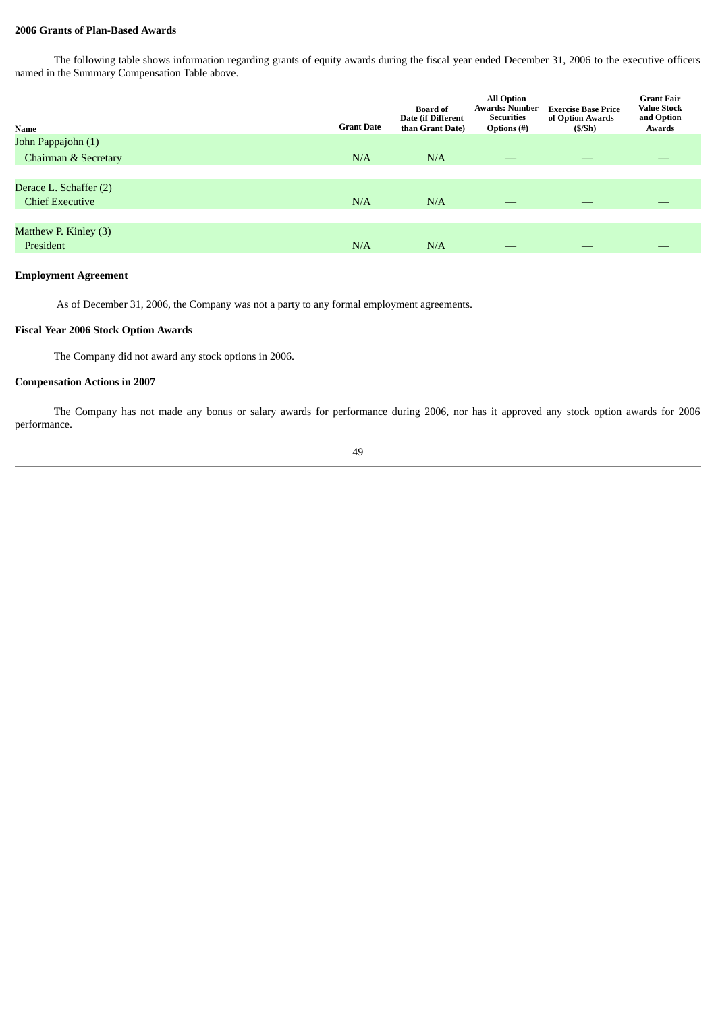## **2006 Grants of Plan-Based Awards**

The following table shows information regarding grants of equity awards during the fiscal year ended December 31, 2006 to the executive officers named in the Summary Compensation Table above.

| Name                   | <b>Grant Date</b> | <b>Board of</b><br>Date (if Different<br>than Grant Date) | <b>All Option</b><br><b>Awards: Number</b><br><b>Securities</b><br><b>Options</b> (#) | <b>Exercise Base Price</b><br>of Option Awards<br>(S/Sh) | <b>Grant Fair</b><br><b>Value Stock</b><br>and Option<br>Awards |
|------------------------|-------------------|-----------------------------------------------------------|---------------------------------------------------------------------------------------|----------------------------------------------------------|-----------------------------------------------------------------|
| John Pappajohn (1)     |                   |                                                           |                                                                                       |                                                          |                                                                 |
| Chairman & Secretary   | N/A               | N/A                                                       |                                                                                       |                                                          |                                                                 |
|                        |                   |                                                           |                                                                                       |                                                          |                                                                 |
| Derace L. Schaffer (2) |                   |                                                           |                                                                                       |                                                          |                                                                 |
| <b>Chief Executive</b> | N/A               | N/A                                                       |                                                                                       | _                                                        |                                                                 |
|                        |                   |                                                           |                                                                                       |                                                          |                                                                 |
| Matthew P. Kinley (3)  |                   |                                                           |                                                                                       |                                                          |                                                                 |
| President              | N/A               | N/A                                                       |                                                                                       | __                                                       |                                                                 |
|                        |                   |                                                           |                                                                                       |                                                          |                                                                 |

## **Employment Agreement**

As of December 31, 2006, the Company was not a party to any formal employment agreements.

### **Fiscal Year 2006 Stock Option Awards**

The Company did not award any stock options in 2006.

## **Compensation Actions in 2007**

The Company has not made any bonus or salary awards for performance during 2006, nor has it approved any stock option awards for 2006 performance.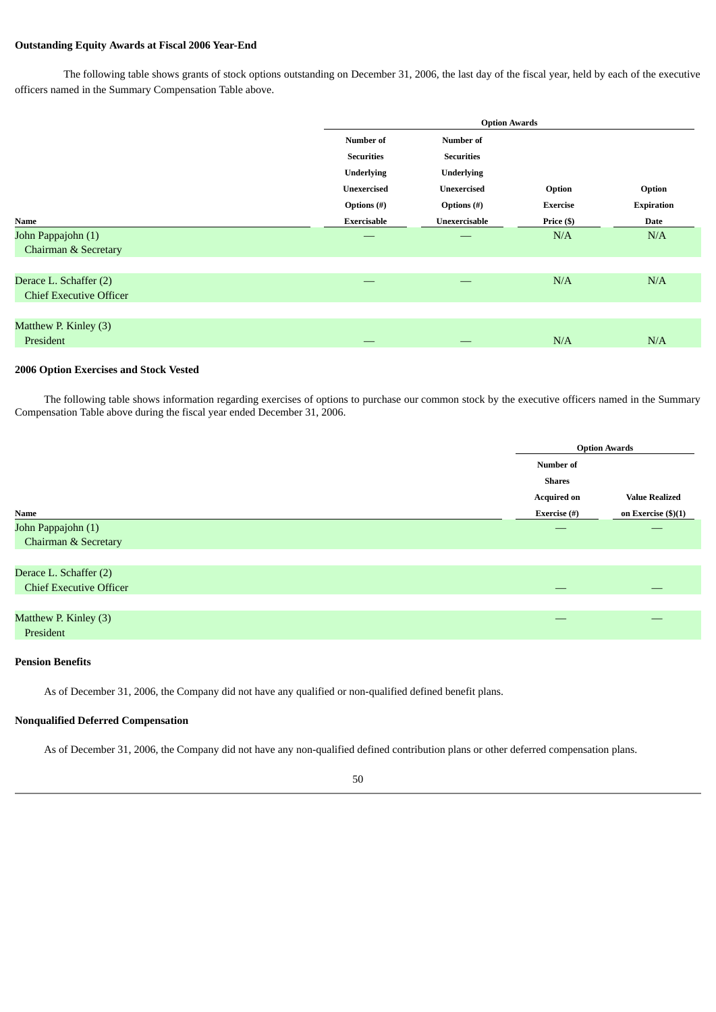## **Outstanding Equity Awards at Fiscal 2006 Year-End**

The following table shows grants of stock options outstanding on December 31, 2006, the last day of the fiscal year, held by each of the executive officers named in the Summary Compensation Table above.

|                                |                    | <b>Option Awards</b> |                 |                   |  |  |  |
|--------------------------------|--------------------|----------------------|-----------------|-------------------|--|--|--|
|                                | Number of          | Number of            |                 |                   |  |  |  |
|                                | <b>Securities</b>  | <b>Securities</b>    |                 |                   |  |  |  |
|                                | <b>Underlying</b>  | <b>Underlying</b>    |                 |                   |  |  |  |
|                                | <b>Unexercised</b> | <b>Unexercised</b>   | Option          | Option            |  |  |  |
|                                | Options (#)        | Options $(\#)$       | <b>Exercise</b> | <b>Expiration</b> |  |  |  |
| Name                           | <b>Exercisable</b> | Unexercisable        | Price (\$)      | Date              |  |  |  |
| John Pappajohn (1)             | __                 | __                   | N/A             | N/A               |  |  |  |
| Chairman & Secretary           |                    |                      |                 |                   |  |  |  |
|                                |                    |                      |                 |                   |  |  |  |
| Derace L. Schaffer (2)         |                    |                      | N/A             | N/A               |  |  |  |
| <b>Chief Executive Officer</b> |                    |                      |                 |                   |  |  |  |
|                                |                    |                      |                 |                   |  |  |  |
| Matthew P. Kinley (3)          |                    |                      |                 |                   |  |  |  |
| President                      | _                  | __                   | N/A             | N/A               |  |  |  |
|                                |                    |                      |                 |                   |  |  |  |

#### **2006 Option Exercises and Stock Vested**

The following table shows information regarding exercises of options to purchase our common stock by the executive officers named in the Summary Compensation Table above during the fiscal year ended December 31, 2006.

|                                                          |                    | <b>Option Awards</b>  |
|----------------------------------------------------------|--------------------|-----------------------|
|                                                          | Number of          |                       |
|                                                          | <b>Shares</b>      |                       |
|                                                          | <b>Acquired on</b> | <b>Value Realized</b> |
| Name                                                     | Exercise (#)       | on Exercise (\$)(1)   |
| John Pappajohn (1)<br><b>Chairman &amp; Secretary</b>    |                    |                       |
| Derace L. Schaffer (2)<br><b>Chief Executive Officer</b> |                    |                       |
| Matthew P. Kinley (3)<br>President                       |                    |                       |

#### **Pension Benefits**

As of December 31, 2006, the Company did not have any qualified or non-qualified defined benefit plans.

## **Nonqualified Deferred Compensation**

As of December 31, 2006, the Company did not have any non-qualified defined contribution plans or other deferred compensation plans.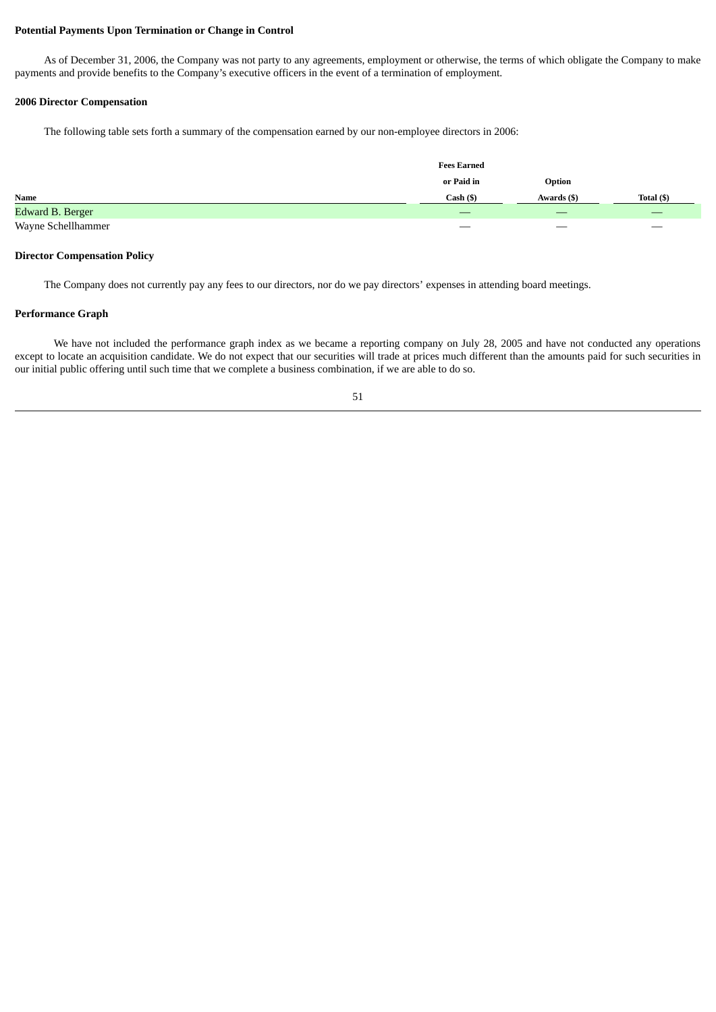#### **Potential Payments Upon Termination or Change in Control**

As of December 31, 2006, the Company was not party to any agreements, employment or otherwise, the terms of which obligate the Company to make payments and provide benefits to the Company's executive officers in the event of a termination of employment.

## **2006 Director Compensation**

The following table sets forth a summary of the compensation earned by our non-employee directors in 2006:

|                    | <b>Fees Earned</b>    |             |                   |  |
|--------------------|-----------------------|-------------|-------------------|--|
|                    | or Paid in            | Option      |                   |  |
| Name               | Cash ( <sub>3</sub> ) | Awards (\$) | Total (\$)        |  |
| Edward B. Berger   |                       | _           |                   |  |
| Wayne Schellhammer |                       |             | $\hspace{0.05cm}$ |  |

#### **Director Compensation Policy**

The Company does not currently pay any fees to our directors, nor do we pay directors' expenses in attending board meetings.

## **Performance Graph**

We have not included the performance graph index as we became a reporting company on July 28, 2005 and have not conducted any operations except to locate an acquisition candidate. We do not expect that our securities will trade at prices much different than the amounts paid for such securities in our initial public offering until such time that we complete a business combination, if we are able to do so.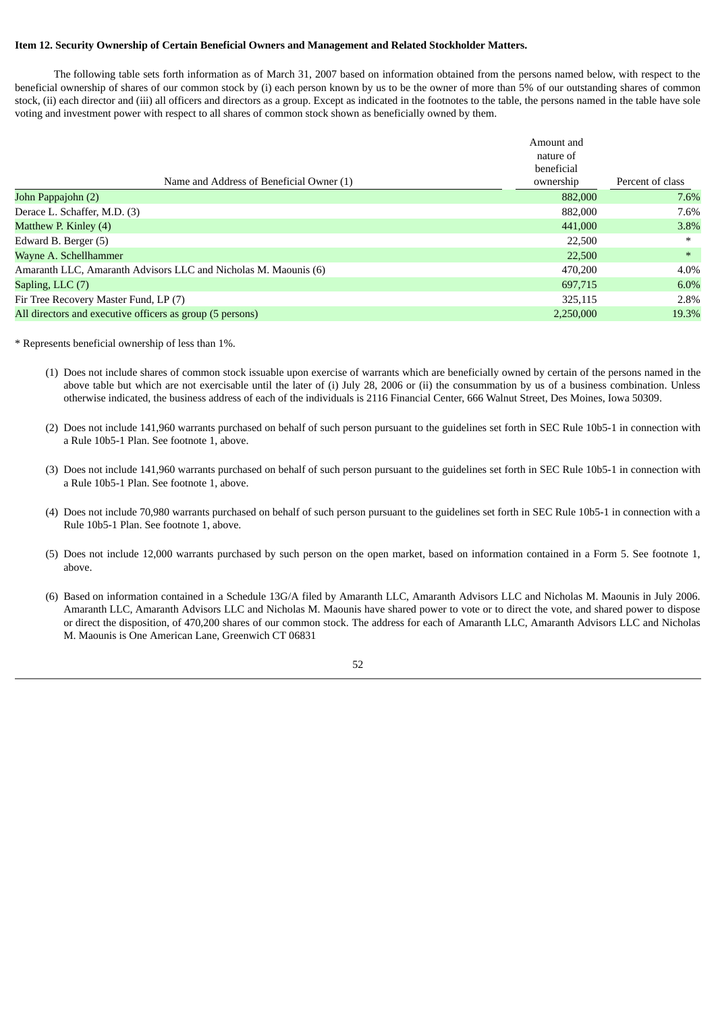## **Item 12. Security Ownership of Certain Beneficial Owners and Management and Related Stockholder Matters.**

The following table sets forth information as of March 31, 2007 based on information obtained from the persons named below, with respect to the beneficial ownership of shares of our common stock by (i) each person known by us to be the owner of more than 5% of our outstanding shares of common stock, (ii) each director and (iii) all officers and directors as a group. Except as indicated in the footnotes to the table, the persons named in the table have sole voting and investment power with respect to all shares of common stock shown as beneficially owned by them.

|                                                                 | Amount and |                  |
|-----------------------------------------------------------------|------------|------------------|
|                                                                 | nature of  |                  |
|                                                                 | beneficial |                  |
| Name and Address of Beneficial Owner (1)                        | ownership  | Percent of class |
| John Pappajohn (2)                                              | 882,000    | 7.6%             |
| Derace L. Schaffer, M.D. (3)                                    | 882,000    | 7.6%             |
| Matthew P. Kinley (4)                                           | 441,000    | 3.8%             |
| Edward B. Berger (5)                                            | 22,500     | $\ast$           |
| Wayne A. Schellhammer                                           | 22,500     | $\ast$           |
| Amaranth LLC, Amaranth Advisors LLC and Nicholas M. Maounis (6) | 470,200    | 4.0%             |
| Sapling, LLC (7)                                                | 697,715    | 6.0%             |
| Fir Tree Recovery Master Fund, LP (7)                           | 325.115    | 2.8%             |
| All directors and executive officers as group (5 persons)       | 2.250,000  | 19.3%            |

\* Represents beneficial ownership of less than 1%.

- (1) Does not include shares of common stock issuable upon exercise of warrants which are beneficially owned by certain of the persons named in the above table but which are not exercisable until the later of (i) July 28, 2006 or (ii) the consummation by us of a business combination. Unless otherwise indicated, the business address of each of the individuals is 2116 Financial Center, 666 Walnut Street, Des Moines, Iowa 50309.
- (2) Does not include 141,960 warrants purchased on behalf of such person pursuant to the guidelines set forth in SEC Rule 10b5-1 in connection with a Rule 10b5-1 Plan. See footnote 1, above.
- (3) Does not include 141,960 warrants purchased on behalf of such person pursuant to the guidelines set forth in SEC Rule 10b5-1 in connection with a Rule 10b5-1 Plan. See footnote 1, above.
- (4) Does not include 70,980 warrants purchased on behalf of such person pursuant to the guidelines set forth in SEC Rule 10b5-1 in connection with a Rule 10b5-1 Plan. See footnote 1, above.
- (5) Does not include 12,000 warrants purchased by such person on the open market, based on information contained in a Form 5. See footnote 1, above.
- (6) Based on information contained in a Schedule 13G/A filed by Amaranth LLC, Amaranth Advisors LLC and Nicholas M. Maounis in July 2006. Amaranth LLC, Amaranth Advisors LLC and Nicholas M. Maounis have shared power to vote or to direct the vote, and shared power to dispose or direct the disposition, of 470,200 shares of our common stock. The address for each of Amaranth LLC, Amaranth Advisors LLC and Nicholas M. Maounis is One American Lane, Greenwich CT 06831

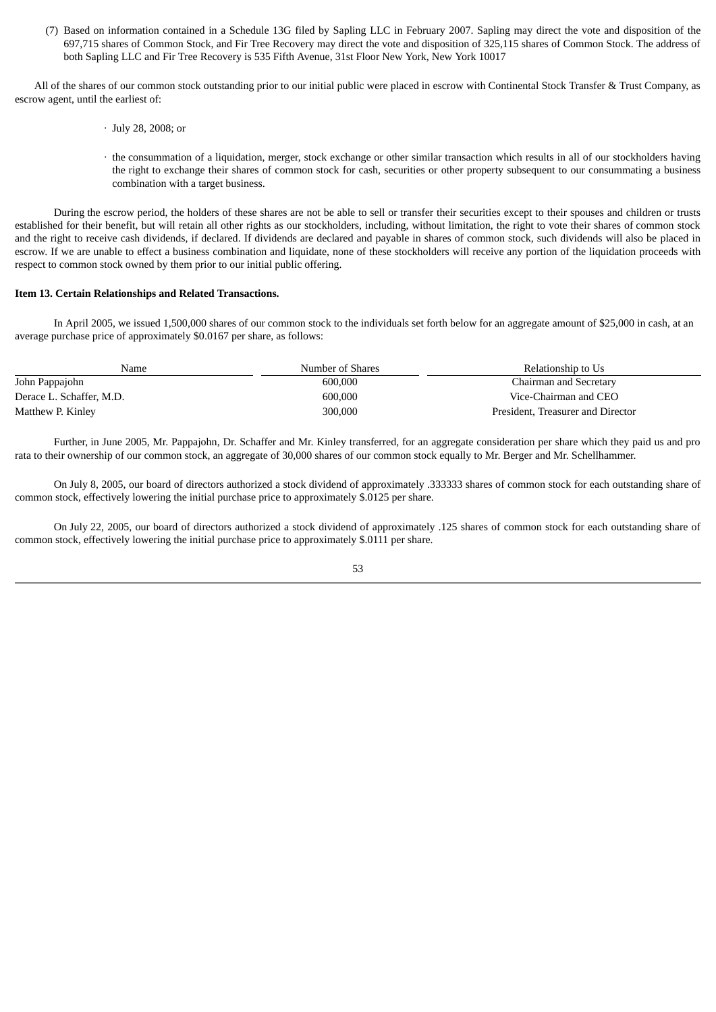(7) Based on information contained in a Schedule 13G filed by Sapling LLC in February 2007. Sapling may direct the vote and disposition of the 697,715 shares of Common Stock, and Fir Tree Recovery may direct the vote and disposition of 325,115 shares of Common Stock. The address of both Sapling LLC and Fir Tree Recovery is 535 Fifth Avenue, 31st Floor New York, New York 10017

All of the shares of our common stock outstanding prior to our initial public were placed in escrow with Continental Stock Transfer & Trust Company, as escrow agent, until the earliest of:

- · July 28, 2008; or
- · the consummation of a liquidation, merger, stock exchange or other similar transaction which results in all of our stockholders having the right to exchange their shares of common stock for cash, securities or other property subsequent to our consummating a business combination with a target business.

During the escrow period, the holders of these shares are not be able to sell or transfer their securities except to their spouses and children or trusts established for their benefit, but will retain all other rights as our stockholders, including, without limitation, the right to vote their shares of common stock and the right to receive cash dividends, if declared. If dividends are declared and payable in shares of common stock, such dividends will also be placed in escrow. If we are unable to effect a business combination and liquidate, none of these stockholders will receive any portion of the liquidation proceeds with respect to common stock owned by them prior to our initial public offering.

#### **Item 13. Certain Relationships and Related Transactions.**

In April 2005, we issued 1,500,000 shares of our common stock to the individuals set forth below for an aggregate amount of \$25,000 in cash, at an average purchase price of approximately \$0.0167 per share, as follows:

| Name                     | Number of Shares | Relationship to Us                |
|--------------------------|------------------|-----------------------------------|
| John Pappajohn           | 600,000          | Chairman and Secretary            |
| Derace L. Schaffer, M.D. | 600,000          | Vice-Chairman and CEO             |
| Matthew P. Kinley        | 300,000          | President, Treasurer and Director |

Further, in June 2005, Mr. Pappajohn, Dr. Schaffer and Mr. Kinley transferred, for an aggregate consideration per share which they paid us and pro rata to their ownership of our common stock, an aggregate of 30,000 shares of our common stock equally to Mr. Berger and Mr. Schellhammer.

On July 8, 2005, our board of directors authorized a stock dividend of approximately .333333 shares of common stock for each outstanding share of common stock, effectively lowering the initial purchase price to approximately \$.0125 per share.

On July 22, 2005, our board of directors authorized a stock dividend of approximately .125 shares of common stock for each outstanding share of common stock, effectively lowering the initial purchase price to approximately \$.0111 per share.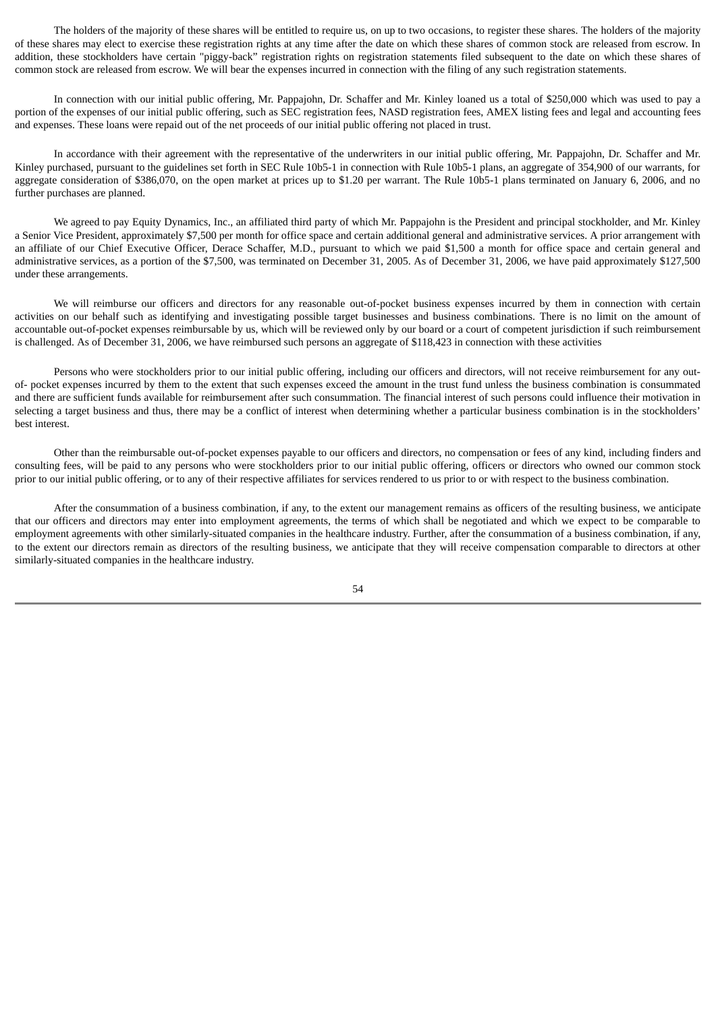The holders of the majority of these shares will be entitled to require us, on up to two occasions, to register these shares. The holders of the majority of these shares may elect to exercise these registration rights at any time after the date on which these shares of common stock are released from escrow. In addition, these stockholders have certain "piggy-back" registration rights on registration statements filed subsequent to the date on which these shares of common stock are released from escrow. We will bear the expenses incurred in connection with the filing of any such registration statements.

In connection with our initial public offering, Mr. Pappajohn, Dr. Schaffer and Mr. Kinley loaned us a total of \$250,000 which was used to pay a portion of the expenses of our initial public offering, such as SEC registration fees, NASD registration fees, AMEX listing fees and legal and accounting fees and expenses. These loans were repaid out of the net proceeds of our initial public offering not placed in trust.

In accordance with their agreement with the representative of the underwriters in our initial public offering, Mr. Pappajohn, Dr. Schaffer and Mr. Kinley purchased, pursuant to the guidelines set forth in SEC Rule 10b5-1 in connection with Rule 10b5-1 plans, an aggregate of 354,900 of our warrants, for aggregate consideration of \$386,070, on the open market at prices up to \$1.20 per warrant. The Rule 10b5-1 plans terminated on January 6, 2006, and no further purchases are planned.

We agreed to pay Equity Dynamics, Inc., an affiliated third party of which Mr. Pappajohn is the President and principal stockholder, and Mr. Kinley a Senior Vice President, approximately \$7,500 per month for office space and certain additional general and administrative services. A prior arrangement with an affiliate of our Chief Executive Officer, Derace Schaffer, M.D., pursuant to which we paid \$1,500 a month for office space and certain general and administrative services, as a portion of the \$7,500, was terminated on December 31, 2005. As of December 31, 2006, we have paid approximately \$127,500 under these arrangements.

We will reimburse our officers and directors for any reasonable out-of-pocket business expenses incurred by them in connection with certain activities on our behalf such as identifying and investigating possible target businesses and business combinations. There is no limit on the amount of accountable out-of-pocket expenses reimbursable by us, which will be reviewed only by our board or a court of competent jurisdiction if such reimbursement is challenged. As of December 31, 2006, we have reimbursed such persons an aggregate of \$118,423 in connection with these activities

Persons who were stockholders prior to our initial public offering, including our officers and directors, will not receive reimbursement for any outof- pocket expenses incurred by them to the extent that such expenses exceed the amount in the trust fund unless the business combination is consummated and there are sufficient funds available for reimbursement after such consummation. The financial interest of such persons could influence their motivation in selecting a target business and thus, there may be a conflict of interest when determining whether a particular business combination is in the stockholders' best interest.

Other than the reimbursable out-of-pocket expenses payable to our officers and directors, no compensation or fees of any kind, including finders and consulting fees, will be paid to any persons who were stockholders prior to our initial public offering, officers or directors who owned our common stock prior to our initial public offering, or to any of their respective affiliates for services rendered to us prior to or with respect to the business combination.

After the consummation of a business combination, if any, to the extent our management remains as officers of the resulting business, we anticipate that our officers and directors may enter into employment agreements, the terms of which shall be negotiated and which we expect to be comparable to employment agreements with other similarly-situated companies in the healthcare industry. Further, after the consummation of a business combination, if any, to the extent our directors remain as directors of the resulting business, we anticipate that they will receive compensation comparable to directors at other similarly-situated companies in the healthcare industry.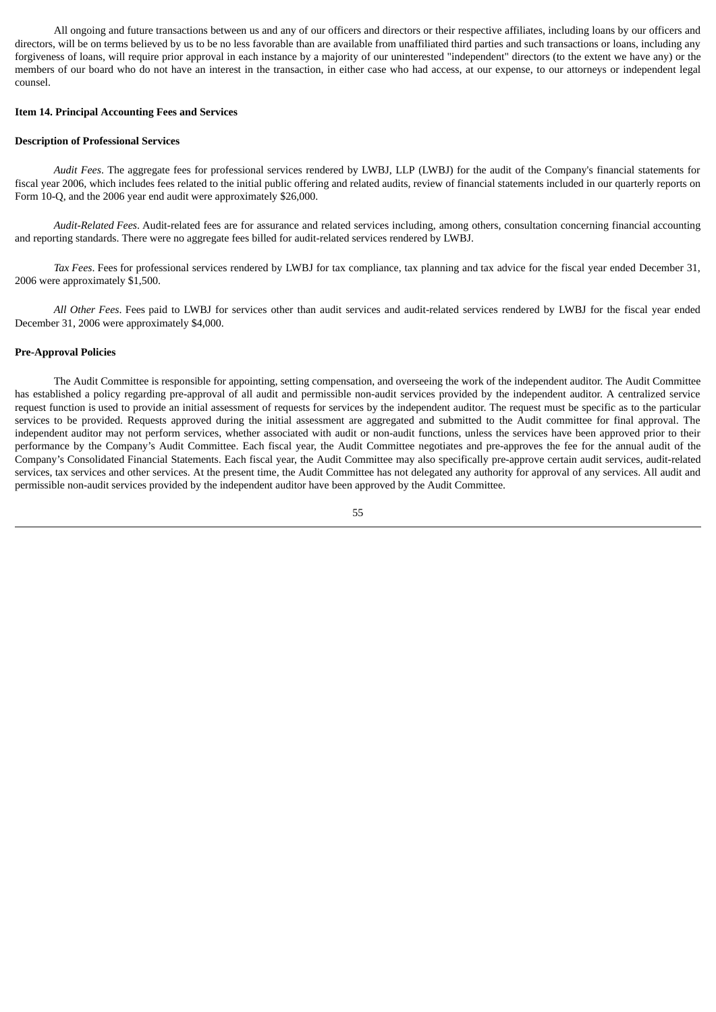All ongoing and future transactions between us and any of our officers and directors or their respective affiliates, including loans by our officers and directors, will be on terms believed by us to be no less favorable than are available from unaffiliated third parties and such transactions or loans, including any forgiveness of loans, will require prior approval in each instance by a majority of our uninterested "independent" directors (to the extent we have any) or the members of our board who do not have an interest in the transaction, in either case who had access, at our expense, to our attorneys or independent legal counsel.

#### **Item 14. Principal Accounting Fees and Services**

#### **Description of Professional Services**

*Audit Fees*. The aggregate fees for professional services rendered by LWBJ, LLP (LWBJ) for the audit of the Company's financial statements for fiscal year 2006, which includes fees related to the initial public offering and related audits, review of financial statements included in our quarterly reports on Form 10-Q, and the 2006 year end audit were approximately \$26,000.

*Audit-Related Fees*. Audit-related fees are for assurance and related services including, among others, consultation concerning financial accounting and reporting standards. There were no aggregate fees billed for audit-related services rendered by LWBJ.

*Tax Fees*. Fees for professional services rendered by LWBJ for tax compliance, tax planning and tax advice for the fiscal year ended December 31, 2006 were approximately \$1,500.

*All Other Fees*. Fees paid to LWBJ for services other than audit services and audit-related services rendered by LWBJ for the fiscal year ended December 31, 2006 were approximately \$4,000.

#### **Pre-Approval Policies**

The Audit Committee is responsible for appointing, setting compensation, and overseeing the work of the independent auditor. The Audit Committee has established a policy regarding pre-approval of all audit and permissible non-audit services provided by the independent auditor. A centralized service request function is used to provide an initial assessment of requests for services by the independent auditor. The request must be specific as to the particular services to be provided. Requests approved during the initial assessment are aggregated and submitted to the Audit committee for final approval. The independent auditor may not perform services, whether associated with audit or non-audit functions, unless the services have been approved prior to their performance by the Company's Audit Committee. Each fiscal year, the Audit Committee negotiates and pre-approves the fee for the annual audit of the Company's Consolidated Financial Statements. Each fiscal year, the Audit Committee may also specifically pre-approve certain audit services, audit-related services, tax services and other services. At the present time, the Audit Committee has not delegated any authority for approval of any services. All audit and permissible non-audit services provided by the independent auditor have been approved by the Audit Committee.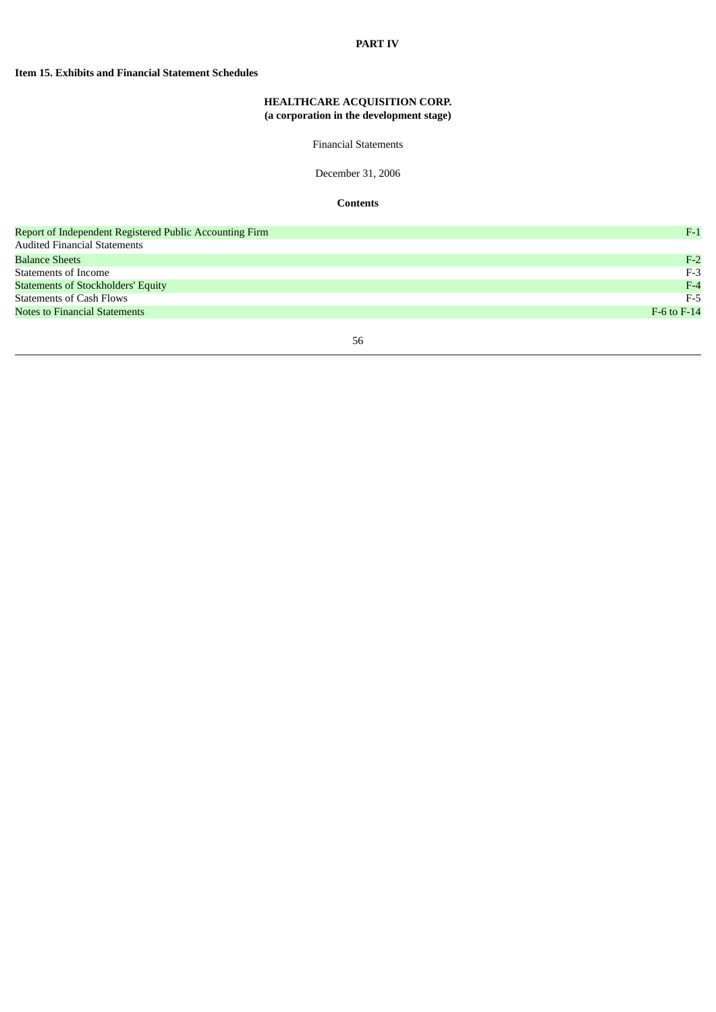### **PART IV**

## **Item 15. Exhibits and Financial Statement Schedules**

# **HEALTHCARE ACQUISITION CORP. (a corporation in the development stage)**

Financial Statements

December 31, 2006

**Contents**

| Report of Independent Registered Public Accounting Firm | $F-1$           |
|---------------------------------------------------------|-----------------|
| <b>Audited Financial Statements</b>                     |                 |
| <b>Balance Sheets</b>                                   | $F-2$           |
| Statements of Income                                    | $F-3$           |
| <b>Statements of Stockholders' Equity</b>               | $F-4$           |
| <b>Statements of Cash Flows</b>                         | $F-5$           |
| <b>Notes to Financial Statements</b>                    | $F-6$ to $F-14$ |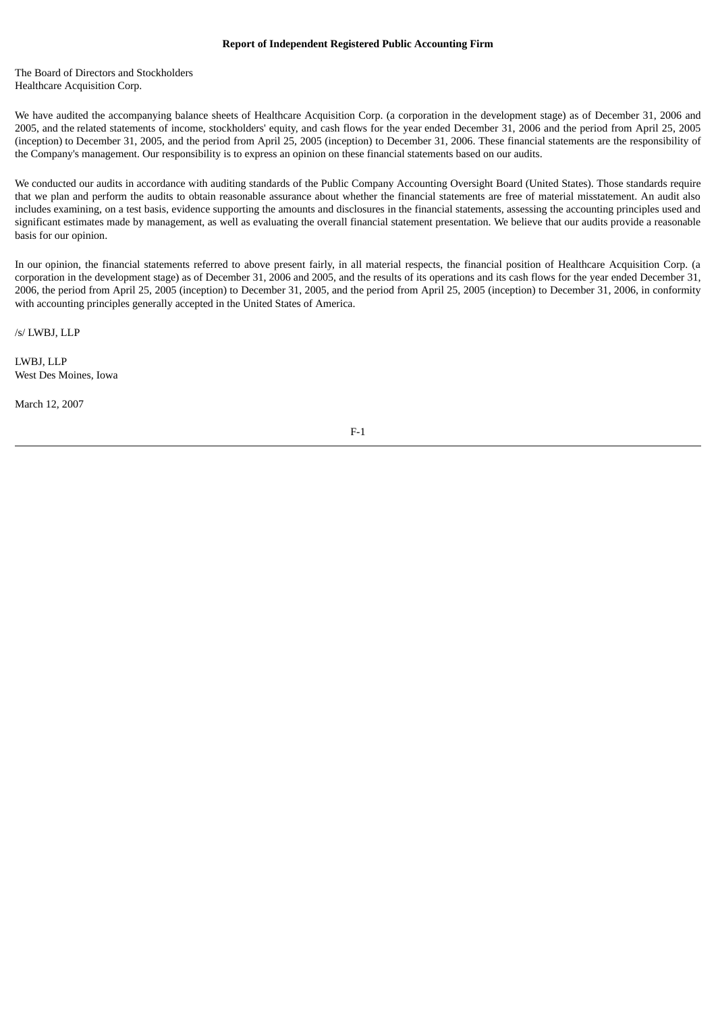The Board of Directors and Stockholders Healthcare Acquisition Corp.

We have audited the accompanying balance sheets of Healthcare Acquisition Corp. (a corporation in the development stage) as of December 31, 2006 and 2005, and the related statements of income, stockholders' equity, and cash flows for the year ended December 31, 2006 and the period from April 25, 2005 (inception) to December 31, 2005, and the period from April 25, 2005 (inception) to December 31, 2006. These financial statements are the responsibility of the Company's management. Our responsibility is to express an opinion on these financial statements based on our audits.

We conducted our audits in accordance with auditing standards of the Public Company Accounting Oversight Board (United States). Those standards require that we plan and perform the audits to obtain reasonable assurance about whether the financial statements are free of material misstatement. An audit also includes examining, on a test basis, evidence supporting the amounts and disclosures in the financial statements, assessing the accounting principles used and significant estimates made by management, as well as evaluating the overall financial statement presentation. We believe that our audits provide a reasonable basis for our opinion.

In our opinion, the financial statements referred to above present fairly, in all material respects, the financial position of Healthcare Acquisition Corp. (a corporation in the development stage) as of December 31, 2006 and 2005, and the results of its operations and its cash flows for the year ended December 31, 2006, the period from April 25, 2005 (inception) to December 31, 2005, and the period from April 25, 2005 (inception) to December 31, 2006, in conformity with accounting principles generally accepted in the United States of America.

/s/ LWBJ, LLP

LWBJ, LLP West Des Moines, Iowa

March 12, 2007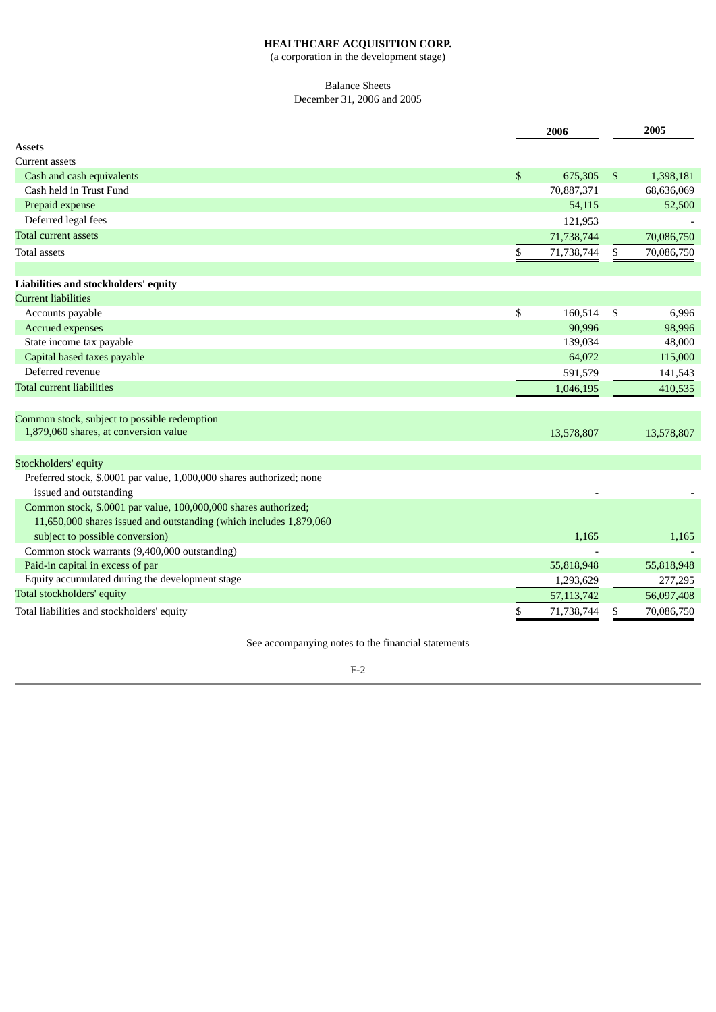(a corporation in the development stage)

## Balance Sheets December 31, 2006 and 2005

|                                                                                                 | 2006             |                | 2005       |
|-------------------------------------------------------------------------------------------------|------------------|----------------|------------|
| Assets                                                                                          |                  |                |            |
| <b>Current assets</b>                                                                           |                  |                |            |
| Cash and cash equivalents                                                                       | \$<br>675,305    | $\mathfrak{S}$ | 1,398,181  |
| Cash held in Trust Fund                                                                         | 70,887,371       |                | 68,636,069 |
| Prepaid expense                                                                                 | 54,115           |                | 52,500     |
| Deferred legal fees                                                                             | 121,953          |                |            |
| <b>Total current assets</b>                                                                     | 71,738,744       |                | 70,086,750 |
| <b>Total assets</b>                                                                             | \$<br>71,738,744 | \$             | 70,086,750 |
|                                                                                                 |                  |                |            |
| Liabilities and stockholders' equity                                                            |                  |                |            |
| <b>Current liabilities</b>                                                                      |                  |                |            |
| Accounts payable                                                                                | \$<br>160,514    | \$             | 6,996      |
| <b>Accrued expenses</b>                                                                         | 90,996           |                | 98,996     |
| State income tax payable                                                                        | 139,034          |                | 48,000     |
| Capital based taxes payable                                                                     | 64,072           |                | 115,000    |
| Deferred revenue                                                                                | 591,579          |                | 141,543    |
| <b>Total current liabilities</b>                                                                | 1,046,195        |                | 410,535    |
| Common stock, subject to possible redemption                                                    |                  |                |            |
| 1,879,060 shares, at conversion value                                                           | 13,578,807       |                | 13,578,807 |
|                                                                                                 |                  |                |            |
| Stockholders' equity                                                                            |                  |                |            |
| Preferred stock, \$.0001 par value, 1,000,000 shares authorized; none<br>issued and outstanding |                  |                |            |
| Common stock, \$.0001 par value, 100,000,000 shares authorized;                                 |                  |                |            |
| 11,650,000 shares issued and outstanding (which includes 1,879,060                              |                  |                |            |
| subject to possible conversion)                                                                 | 1,165            |                | 1,165      |
| Common stock warrants (9,400,000 outstanding)                                                   |                  |                |            |
| Paid-in capital in excess of par                                                                | 55,818,948       |                | 55,818,948 |
| Equity accumulated during the development stage                                                 | 1,293,629        |                | 277,295    |
| Total stockholders' equity                                                                      | 57, 113, 742     |                | 56,097,408 |
| Total liabilities and stockholders' equity                                                      | \$<br>71,738,744 | \$             | 70,086,750 |

See accompanying notes to the financial statements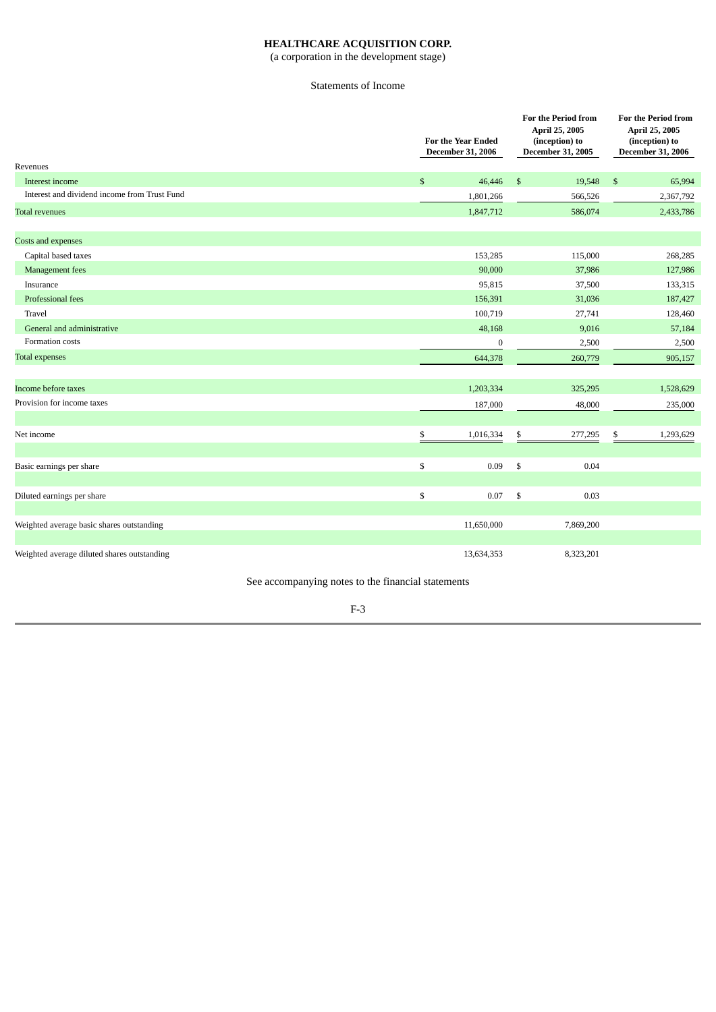(a corporation in the development stage)

# Statements of Income

|                                              | <b>For the Year Ended</b><br><b>December 31, 2006</b> |              | <b>For the Period from</b><br>April 25, 2005<br>(inception) to<br>December 31, 2005 |                | <b>For the Period from</b><br>April 25, 2005<br>(inception) to<br>December 31, 2006 |  |
|----------------------------------------------|-------------------------------------------------------|--------------|-------------------------------------------------------------------------------------|----------------|-------------------------------------------------------------------------------------|--|
| Revenues                                     |                                                       |              |                                                                                     |                |                                                                                     |  |
| Interest income                              | $\mathbb{S}$<br>46,446                                | $\mathbb{S}$ | 19,548                                                                              | $\mathfrak{S}$ | 65,994                                                                              |  |
| Interest and dividend income from Trust Fund | 1,801,266                                             |              | 566,526                                                                             |                | 2,367,792                                                                           |  |
| <b>Total revenues</b>                        | 1,847,712                                             |              | 586,074                                                                             |                | 2,433,786                                                                           |  |
| Costs and expenses                           |                                                       |              |                                                                                     |                |                                                                                     |  |
| Capital based taxes                          | 153,285                                               |              | 115,000                                                                             |                | 268,285                                                                             |  |
| Management fees                              | 90,000                                                |              | 37,986                                                                              |                | 127,986                                                                             |  |
| Insurance                                    | 95,815                                                |              | 37,500                                                                              |                | 133,315                                                                             |  |
| Professional fees                            | 156,391                                               |              | 31,036                                                                              |                | 187,427                                                                             |  |
| Travel                                       | 100,719                                               |              | 27,741                                                                              |                | 128,460                                                                             |  |
| General and administrative                   | 48,168                                                |              | 9,016                                                                               |                | 57,184                                                                              |  |
| Formation costs                              | $\bf{0}$                                              |              | 2,500                                                                               |                | 2,500                                                                               |  |
| <b>Total expenses</b>                        | 644,378                                               |              | 260,779                                                                             |                | 905,157                                                                             |  |
| Income before taxes                          | 1,203,334                                             |              | 325,295                                                                             |                | 1,528,629                                                                           |  |
| Provision for income taxes                   |                                                       |              |                                                                                     |                |                                                                                     |  |
|                                              | 187,000                                               |              | 48,000                                                                              |                | 235,000                                                                             |  |
| Net income                                   | \$<br>1,016,334                                       | \$           | 277,295                                                                             | \$             | 1,293,629                                                                           |  |
| Basic earnings per share                     | \$<br>0.09                                            | \$           | 0.04                                                                                |                |                                                                                     |  |
|                                              |                                                       |              |                                                                                     |                |                                                                                     |  |
| Diluted earnings per share                   | \$<br>0.07                                            | \$           | 0.03                                                                                |                |                                                                                     |  |
| Weighted average basic shares outstanding    | 11,650,000                                            |              | 7,869,200                                                                           |                |                                                                                     |  |
| Weighted average diluted shares outstanding  | 13,634,353                                            |              | 8,323,201                                                                           |                |                                                                                     |  |

See accompanying notes to the financial statements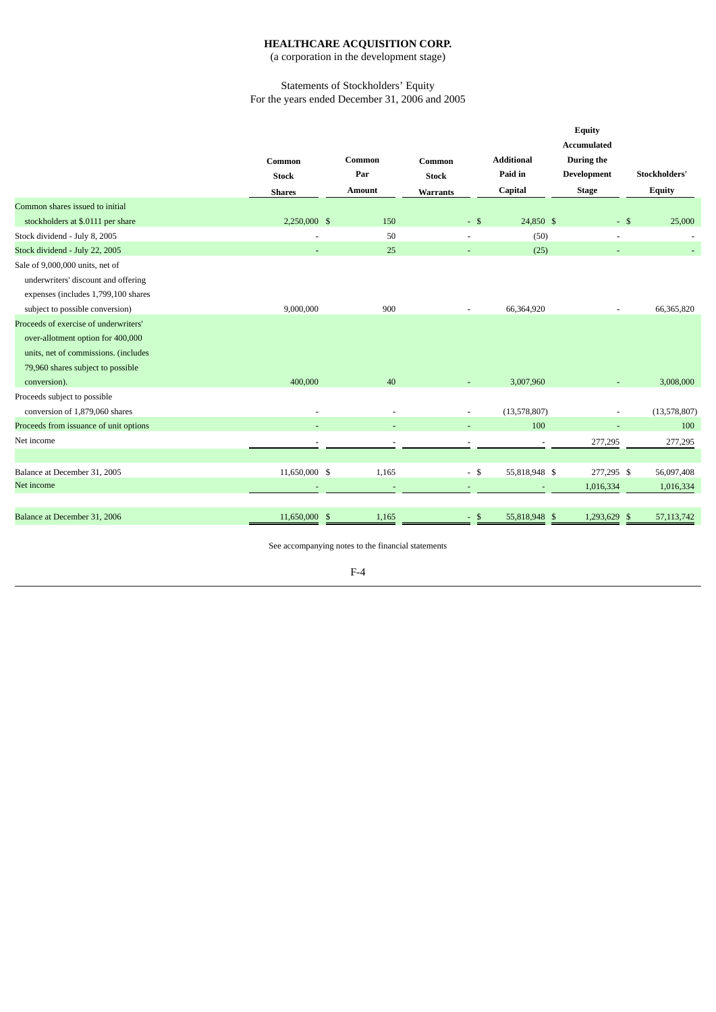(a corporation in the development stage)

## Statements of Stockholders' Equity For the years ended December 31, 2006 and 2005

|                                        |               |                          |                          |                   | <b>Equity</b><br><b>Accumulated</b> |                          |
|----------------------------------------|---------------|--------------------------|--------------------------|-------------------|-------------------------------------|--------------------------|
|                                        | Common        | Common                   | Common                   | <b>Additional</b> | During the                          |                          |
|                                        | <b>Stock</b>  | Par                      | <b>Stock</b>             | Paid in           | Development                         | Stockholders'            |
|                                        | <b>Shares</b> | <b>Amount</b>            | <b>Warrants</b>          | Capital           | <b>Stage</b>                        | <b>Equity</b>            |
| Common shares issued to initial        |               |                          |                          |                   |                                     |                          |
| stockholders at \$.0111 per share      | 2.250,000 \$  | 150                      | $-$ \$                   | 24,850 \$         | $-$ \$                              | 25,000                   |
| Stock dividend - July 8, 2005          |               | 50                       | $\overline{\phantom{a}}$ | (50)              | $\overline{\phantom{0}}$            | $\overline{\phantom{a}}$ |
| Stock dividend - July 22, 2005         |               | 25                       |                          | (25)              |                                     |                          |
| Sale of 9,000,000 units, net of        |               |                          |                          |                   |                                     |                          |
| underwriters' discount and offering    |               |                          |                          |                   |                                     |                          |
| expenses (includes 1,799,100 shares    |               |                          |                          |                   |                                     |                          |
| subject to possible conversion)        | 9,000,000     | 900                      |                          | 66,364,920        |                                     | 66,365,820               |
| Proceeds of exercise of underwriters'  |               |                          |                          |                   |                                     |                          |
| over-allotment option for 400,000      |               |                          |                          |                   |                                     |                          |
| units, net of commissions. (includes   |               |                          |                          |                   |                                     |                          |
| 79,960 shares subject to possible      |               |                          |                          |                   |                                     |                          |
| conversion).                           | 400,000       | 40                       |                          | 3,007,960         |                                     | 3,008,000                |
| Proceeds subject to possible           |               |                          |                          |                   |                                     |                          |
| conversion of 1,879,060 shares         |               | $\overline{\phantom{a}}$ | $\overline{\phantom{a}}$ | (13,578,807)      | $\overline{\phantom{a}}$            | (13,578,807)             |
| Proceeds from issuance of unit options |               |                          |                          | 100               |                                     | 100                      |
| Net income                             |               |                          |                          |                   | 277,295                             | 277,295                  |
|                                        |               |                          |                          |                   |                                     |                          |
| Balance at December 31, 2005           | 11,650,000 \$ | 1,165                    | $-$ \$                   | 55,818,948 \$     | 277,295 \$                          | 56,097,408               |
| Net income                             |               |                          |                          |                   | 1,016,334                           | 1,016,334                |
|                                        |               |                          |                          |                   |                                     |                          |
| Balance at December 31, 2006           | 11,650,000 \$ | 1,165                    | $-$ \$                   | 55,818,948 \$     | 1,293,629 \$                        | 57, 113, 742             |
|                                        |               |                          |                          |                   |                                     |                          |

See accompanying notes to the financial statements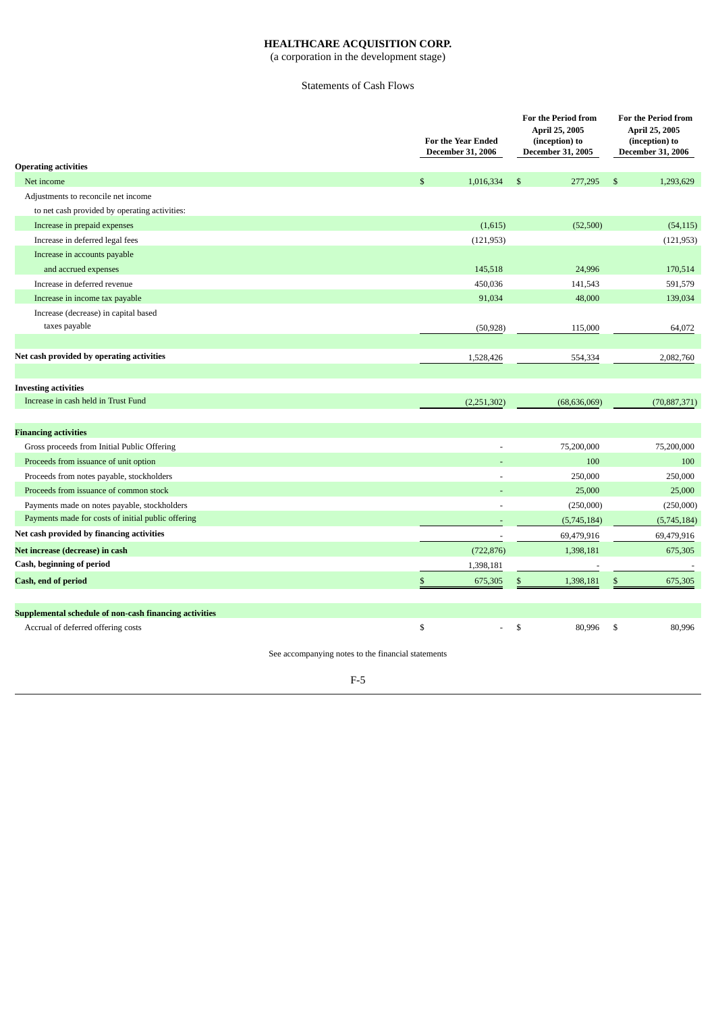(a corporation in the development stage)

# Statements of Cash Flows

|                                                        |              | <b>For the Year Ended</b><br><b>December 31, 2006</b> | <b>For the Period from</b><br>April 25, 2005<br>(inception) to<br><b>December 31, 2005</b> |              | <b>For the Period from</b><br>April 25, 2005<br>(inception) to<br><b>December 31, 2006</b> |
|--------------------------------------------------------|--------------|-------------------------------------------------------|--------------------------------------------------------------------------------------------|--------------|--------------------------------------------------------------------------------------------|
| <b>Operating activities</b>                            |              |                                                       |                                                                                            |              |                                                                                            |
| Net income                                             | $\mathbb{S}$ | 1,016,334                                             | $\mathbb{S}$<br>277,295                                                                    | $\mathbb{S}$ | 1,293,629                                                                                  |
| Adjustments to reconcile net income                    |              |                                                       |                                                                                            |              |                                                                                            |
| to net cash provided by operating activities:          |              |                                                       |                                                                                            |              |                                                                                            |
| Increase in prepaid expenses                           |              | (1,615)                                               | (52,500)                                                                                   |              | (54, 115)                                                                                  |
| Increase in deferred legal fees                        |              | (121, 953)                                            |                                                                                            |              | (121, 953)                                                                                 |
| Increase in accounts payable                           |              |                                                       |                                                                                            |              |                                                                                            |
| and accrued expenses                                   |              | 145,518                                               | 24,996                                                                                     |              | 170,514                                                                                    |
| Increase in deferred revenue                           |              | 450,036                                               | 141,543                                                                                    |              | 591,579                                                                                    |
| Increase in income tax payable                         |              | 91,034                                                | 48,000                                                                                     |              | 139,034                                                                                    |
| Increase (decrease) in capital based                   |              |                                                       |                                                                                            |              |                                                                                            |
| taxes payable                                          |              | (50, 928)                                             | 115,000                                                                                    |              | 64,072                                                                                     |
|                                                        |              |                                                       |                                                                                            |              |                                                                                            |
| Net cash provided by operating activities              |              | 1,528,426                                             | 554,334                                                                                    |              | 2,082,760                                                                                  |
|                                                        |              |                                                       |                                                                                            |              |                                                                                            |
| <b>Investing activities</b>                            |              |                                                       |                                                                                            |              |                                                                                            |
| Increase in cash held in Trust Fund                    |              | (2,251,302)                                           | (68, 636, 069)                                                                             |              | (70, 887, 371)                                                                             |
|                                                        |              |                                                       |                                                                                            |              |                                                                                            |
| <b>Financing activities</b>                            |              |                                                       |                                                                                            |              |                                                                                            |
| Gross proceeds from Initial Public Offering            |              |                                                       | 75,200,000                                                                                 |              | 75,200,000                                                                                 |
| Proceeds from issuance of unit option                  |              |                                                       | 100                                                                                        |              | 100                                                                                        |
| Proceeds from notes payable, stockholders              |              |                                                       | 250,000                                                                                    |              | 250,000                                                                                    |
| Proceeds from issuance of common stock                 |              |                                                       | 25,000                                                                                     |              | 25,000                                                                                     |
| Payments made on notes payable, stockholders           |              |                                                       | (250,000)                                                                                  |              | (250,000)                                                                                  |
| Payments made for costs of initial public offering     |              |                                                       | (5,745,184)                                                                                |              | (5,745,184)                                                                                |
| Net cash provided by financing activities              |              |                                                       | 69,479,916                                                                                 |              | 69,479,916                                                                                 |
| Net increase (decrease) in cash                        |              | (722, 876)                                            | 1,398,181                                                                                  |              | 675,305                                                                                    |
| Cash, beginning of period                              |              | 1,398,181                                             |                                                                                            |              |                                                                                            |
| Cash, end of period                                    | \$           | 675,305                                               | \$<br>1,398,181                                                                            | \$           | 675,305                                                                                    |
|                                                        |              |                                                       |                                                                                            |              |                                                                                            |
| Supplemental schedule of non-cash financing activities |              |                                                       |                                                                                            |              |                                                                                            |
| Accrual of deferred offering costs                     | \$           | $\overline{a}$                                        | \$<br>80,996                                                                               | \$           | 80,996                                                                                     |
|                                                        |              |                                                       |                                                                                            |              |                                                                                            |

See accompanying notes to the financial statements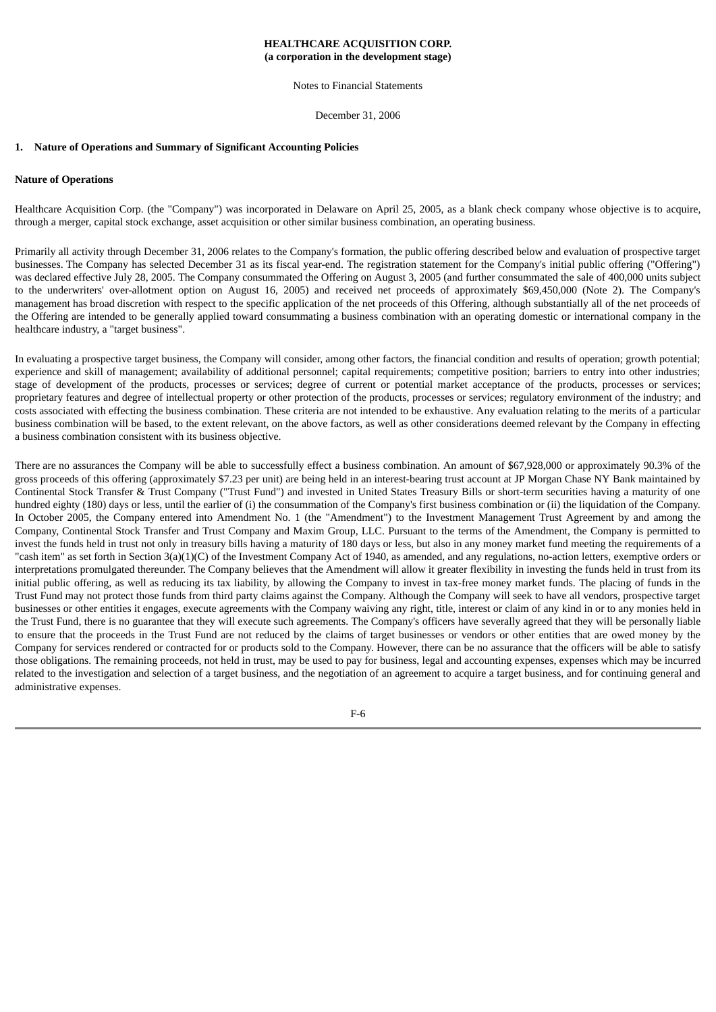Notes to Financial Statements

December 31, 2006

#### **1. Nature of Operations and Summary of Significant Accounting Policies**

#### **Nature of Operations**

Healthcare Acquisition Corp. (the "Company") was incorporated in Delaware on April 25, 2005, as a blank check company whose objective is to acquire, through a merger, capital stock exchange, asset acquisition or other similar business combination, an operating business.

Primarily all activity through December 31, 2006 relates to the Company's formation, the public offering described below and evaluation of prospective target businesses. The Company has selected December 31 as its fiscal year-end. The registration statement for the Company's initial public offering ("Offering") was declared effective July 28, 2005. The Company consummated the Offering on August 3, 2005 (and further consummated the sale of 400,000 units subject to the underwriters' over-allotment option on August 16, 2005) and received net proceeds of approximately \$69,450,000 (Note 2). The Company's management has broad discretion with respect to the specific application of the net proceeds of this Offering, although substantially all of the net proceeds of the Offering are intended to be generally applied toward consummating a business combination with an operating domestic or international company in the healthcare industry, a "target business".

In evaluating a prospective target business, the Company will consider, among other factors, the financial condition and results of operation; growth potential; experience and skill of management; availability of additional personnel; capital requirements; competitive position; barriers to entry into other industries; stage of development of the products, processes or services; degree of current or potential market acceptance of the products, processes or services; proprietary features and degree of intellectual property or other protection of the products, processes or services; regulatory environment of the industry; and costs associated with effecting the business combination. These criteria are not intended to be exhaustive. Any evaluation relating to the merits of a particular business combination will be based, to the extent relevant, on the above factors, as well as other considerations deemed relevant by the Company in effecting a business combination consistent with its business objective.

There are no assurances the Company will be able to successfully effect a business combination. An amount of \$67,928,000 or approximately 90.3% of the gross proceeds of this offering (approximately \$7.23 per unit) are being held in an interest-bearing trust account at JP Morgan Chase NY Bank maintained by Continental Stock Transfer & Trust Company ("Trust Fund") and invested in United States Treasury Bills or short-term securities having a maturity of one hundred eighty (180) days or less, until the earlier of (i) the consummation of the Company's first business combination or (ii) the liquidation of the Company. In October 2005, the Company entered into Amendment No. 1 (the "Amendment") to the Investment Management Trust Agreement by and among the Company, Continental Stock Transfer and Trust Company and Maxim Group, LLC. Pursuant to the terms of the Amendment, the Company is permitted to invest the funds held in trust not only in treasury bills having a maturity of 180 days or less, but also in any money market fund meeting the requirements of a "cash item" as set forth in Section 3(a)(1)(C) of the Investment Company Act of 1940, as amended, and any regulations, no-action letters, exemptive orders or interpretations promulgated thereunder. The Company believes that the Amendment will allow it greater flexibility in investing the funds held in trust from its initial public offering, as well as reducing its tax liability, by allowing the Company to invest in tax-free money market funds. The placing of funds in the Trust Fund may not protect those funds from third party claims against the Company. Although the Company will seek to have all vendors, prospective target businesses or other entities it engages, execute agreements with the Company waiving any right, title, interest or claim of any kind in or to any monies held in the Trust Fund, there is no guarantee that they will execute such agreements. The Company's officers have severally agreed that they will be personally liable to ensure that the proceeds in the Trust Fund are not reduced by the claims of target businesses or vendors or other entities that are owed money by the Company for services rendered or contracted for or products sold to the Company. However, there can be no assurance that the officers will be able to satisfy those obligations. The remaining proceeds, not held in trust, may be used to pay for business, legal and accounting expenses, expenses which may be incurred related to the investigation and selection of a target business, and the negotiation of an agreement to acquire a target business, and for continuing general and administrative expenses.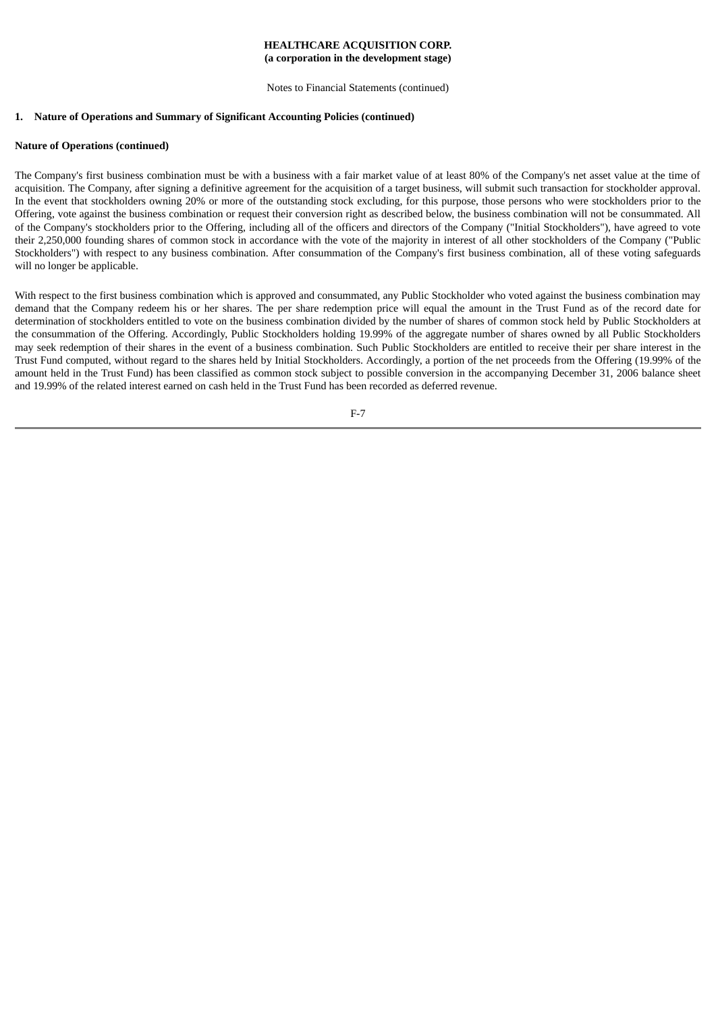Notes to Financial Statements (continued)

# **1. Nature of Operations and Summary of Significant Accounting Policies (continued)**

## **Nature of Operations (continued)**

The Company's first business combination must be with a business with a fair market value of at least 80% of the Company's net asset value at the time of acquisition. The Company, after signing a definitive agreement for the acquisition of a target business, will submit such transaction for stockholder approval. In the event that stockholders owning 20% or more of the outstanding stock excluding, for this purpose, those persons who were stockholders prior to the Offering, vote against the business combination or request their conversion right as described below, the business combination will not be consummated. All of the Company's stockholders prior to the Offering, including all of the officers and directors of the Company ("Initial Stockholders"), have agreed to vote their 2,250,000 founding shares of common stock in accordance with the vote of the majority in interest of all other stockholders of the Company ("Public Stockholders") with respect to any business combination. After consummation of the Company's first business combination, all of these voting safeguards will no longer be applicable.

With respect to the first business combination which is approved and consummated, any Public Stockholder who voted against the business combination may demand that the Company redeem his or her shares. The per share redemption price will equal the amount in the Trust Fund as of the record date for determination of stockholders entitled to vote on the business combination divided by the number of shares of common stock held by Public Stockholders at the consummation of the Offering. Accordingly, Public Stockholders holding 19.99% of the aggregate number of shares owned by all Public Stockholders may seek redemption of their shares in the event of a business combination. Such Public Stockholders are entitled to receive their per share interest in the Trust Fund computed, without regard to the shares held by Initial Stockholders. Accordingly, a portion of the net proceeds from the Offering (19.99% of the amount held in the Trust Fund) has been classified as common stock subject to possible conversion in the accompanying December 31, 2006 balance sheet and 19.99% of the related interest earned on cash held in the Trust Fund has been recorded as deferred revenue.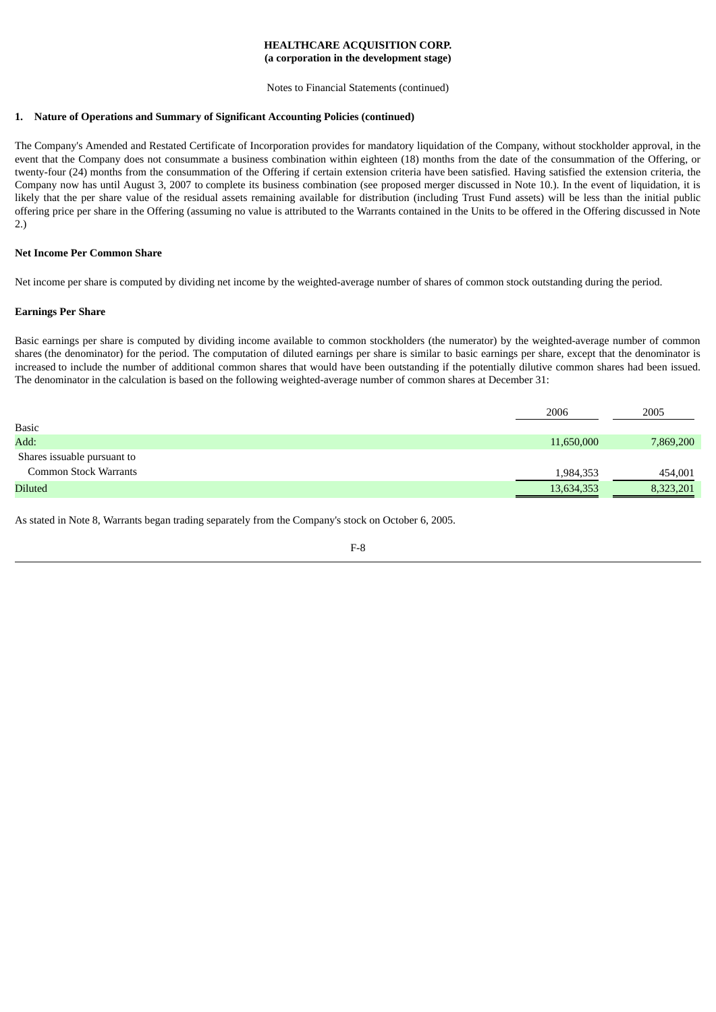Notes to Financial Statements (continued)

#### **1. Nature of Operations and Summary of Significant Accounting Policies (continued)**

The Company's Amended and Restated Certificate of Incorporation provides for mandatory liquidation of the Company, without stockholder approval, in the event that the Company does not consummate a business combination within eighteen (18) months from the date of the consummation of the Offering, or twenty-four (24) months from the consummation of the Offering if certain extension criteria have been satisfied. Having satisfied the extension criteria, the Company now has until August 3, 2007 to complete its business combination (see proposed merger discussed in Note 10.). In the event of liquidation, it is likely that the per share value of the residual assets remaining available for distribution (including Trust Fund assets) will be less than the initial public offering price per share in the Offering (assuming no value is attributed to the Warrants contained in the Units to be offered in the Offering discussed in Note 2.)

### **Net Income Per Common Share**

Net income per share is computed by dividing net income by the weighted-average number of shares of common stock outstanding during the period.

#### **Earnings Per Share**

Basic earnings per share is computed by dividing income available to common stockholders (the numerator) by the weighted-average number of common shares (the denominator) for the period. The computation of diluted earnings per share is similar to basic earnings per share, except that the denominator is increased to include the number of additional common shares that would have been outstanding if the potentially dilutive common shares had been issued. The denominator in the calculation is based on the following weighted-average number of common shares at December 31:

|                              | 2006       | 2005      |
|------------------------------|------------|-----------|
| <b>Basic</b>                 |            |           |
| Add:                         | 11,650,000 | 7,869,200 |
| Shares issuable pursuant to  |            |           |
| <b>Common Stock Warrants</b> | 1,984,353  | 454,001   |
| <b>Diluted</b>               | 13,634,353 | 8,323,201 |

As stated in Note 8, Warrants began trading separately from the Company's stock on October 6, 2005.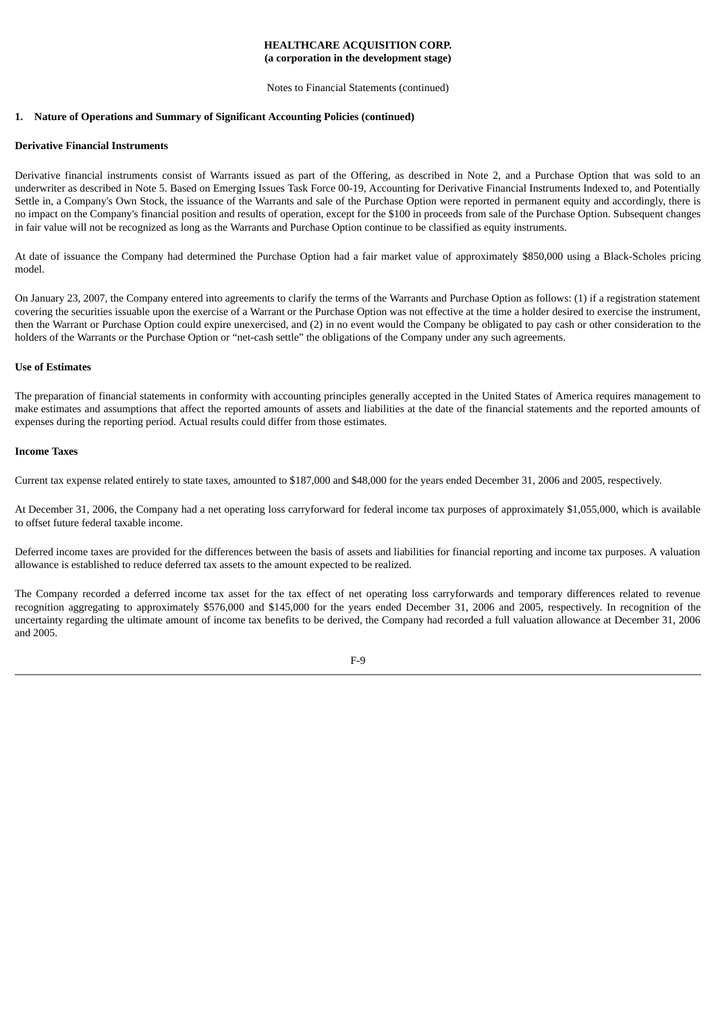Notes to Financial Statements (continued)

#### **1. Nature of Operations and Summary of Significant Accounting Policies (continued)**

#### **Derivative Financial Instruments**

Derivative financial instruments consist of Warrants issued as part of the Offering, as described in Note 2, and a Purchase Option that was sold to an underwriter as described in Note 5. Based on Emerging Issues Task Force 00-19, Accounting for Derivative Financial Instruments Indexed to, and Potentially Settle in, a Company's Own Stock, the issuance of the Warrants and sale of the Purchase Option were reported in permanent equity and accordingly, there is no impact on the Company's financial position and results of operation, except for the \$100 in proceeds from sale of the Purchase Option. Subsequent changes in fair value will not be recognized as long as the Warrants and Purchase Option continue to be classified as equity instruments.

At date of issuance the Company had determined the Purchase Option had a fair market value of approximately \$850,000 using a Black-Scholes pricing model.

On January 23, 2007, the Company entered into agreements to clarify the terms of the Warrants and Purchase Option as follows: (1) if a registration statement covering the securities issuable upon the exercise of a Warrant or the Purchase Option was not effective at the time a holder desired to exercise the instrument, then the Warrant or Purchase Option could expire unexercised, and (2) in no event would the Company be obligated to pay cash or other consideration to the holders of the Warrants or the Purchase Option or "net-cash settle" the obligations of the Company under any such agreements.

#### **Use of Estimates**

The preparation of financial statements in conformity with accounting principles generally accepted in the United States of America requires management to make estimates and assumptions that affect the reported amounts of assets and liabilities at the date of the financial statements and the reported amounts of expenses during the reporting period. Actual results could differ from those estimates.

### **Income Taxes**

Current tax expense related entirely to state taxes, amounted to \$187,000 and \$48,000 for the years ended December 31, 2006 and 2005, respectively.

At December 31, 2006, the Company had a net operating loss carryforward for federal income tax purposes of approximately \$1,055,000, which is available to offset future federal taxable income.

Deferred income taxes are provided for the differences between the basis of assets and liabilities for financial reporting and income tax purposes. A valuation allowance is established to reduce deferred tax assets to the amount expected to be realized.

The Company recorded a deferred income tax asset for the tax effect of net operating loss carryforwards and temporary differences related to revenue recognition aggregating to approximately \$576,000 and \$145,000 for the years ended December 31, 2006 and 2005, respectively. In recognition of the uncertainty regarding the ultimate amount of income tax benefits to be derived, the Company had recorded a full valuation allowance at December 31, 2006 and 2005.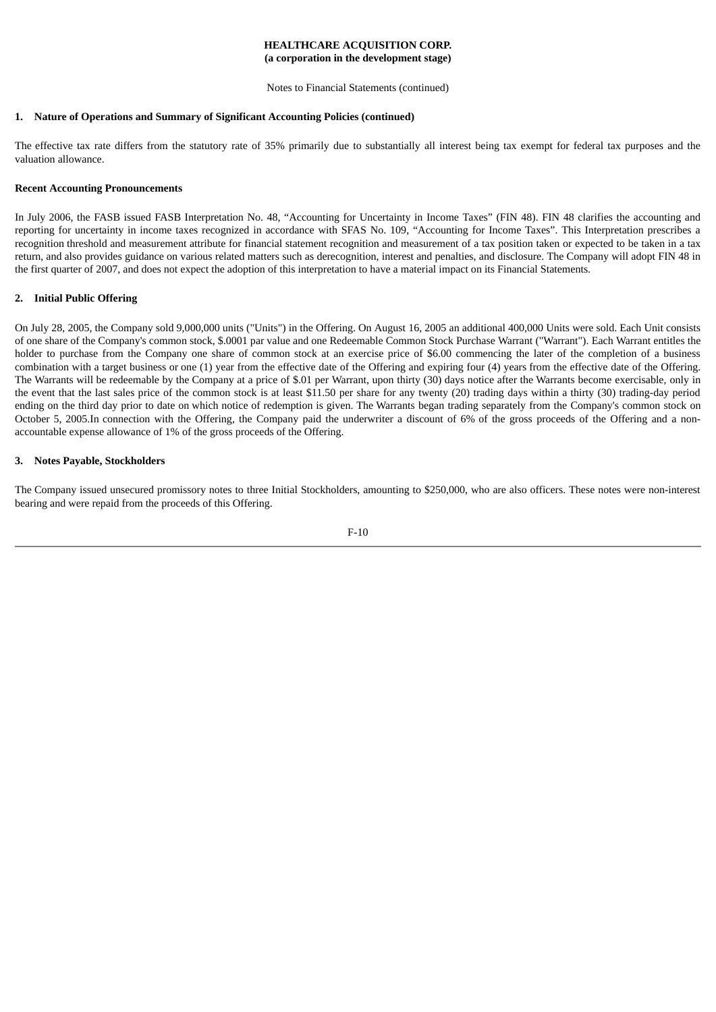Notes to Financial Statements (continued)

# **1. Nature of Operations and Summary of Significant Accounting Policies (continued)**

The effective tax rate differs from the statutory rate of 35% primarily due to substantially all interest being tax exempt for federal tax purposes and the valuation allowance.

# **Recent Accounting Pronouncements**

In July 2006, the FASB issued FASB Interpretation No. 48, "Accounting for Uncertainty in Income Taxes" (FIN 48). FIN 48 clarifies the accounting and reporting for uncertainty in income taxes recognized in accordance with SFAS No. 109, "Accounting for Income Taxes". This Interpretation prescribes a recognition threshold and measurement attribute for financial statement recognition and measurement of a tax position taken or expected to be taken in a tax return, and also provides guidance on various related matters such as derecognition, interest and penalties, and disclosure. The Company will adopt FIN 48 in the first quarter of 2007, and does not expect the adoption of this interpretation to have a material impact on its Financial Statements.

## **2. Initial Public Offering**

On July 28, 2005, the Company sold 9,000,000 units ("Units") in the Offering. On August 16, 2005 an additional 400,000 Units were sold. Each Unit consists of one share of the Company's common stock, \$.0001 par value and one Redeemable Common Stock Purchase Warrant ("Warrant"). Each Warrant entitles the holder to purchase from the Company one share of common stock at an exercise price of \$6.00 commencing the later of the completion of a business combination with a target business or one (1) year from the effective date of the Offering and expiring four (4) years from the effective date of the Offering. The Warrants will be redeemable by the Company at a price of \$.01 per Warrant, upon thirty (30) days notice after the Warrants become exercisable, only in the event that the last sales price of the common stock is at least \$11.50 per share for any twenty (20) trading days within a thirty (30) trading-day period ending on the third day prior to date on which notice of redemption is given. The Warrants began trading separately from the Company's common stock on October 5, 2005.In connection with the Offering, the Company paid the underwriter a discount of 6% of the gross proceeds of the Offering and a nonaccountable expense allowance of 1% of the gross proceeds of the Offering.

## **3. Notes Payable, Stockholders**

The Company issued unsecured promissory notes to three Initial Stockholders, amounting to \$250,000, who are also officers. These notes were non-interest bearing and were repaid from the proceeds of this Offering.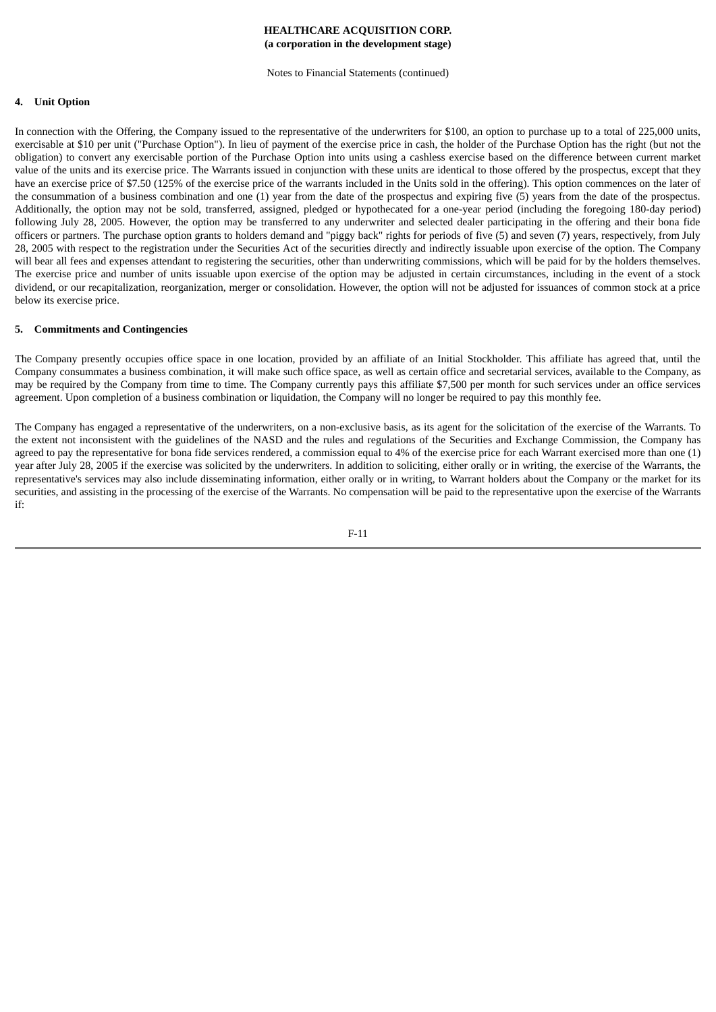Notes to Financial Statements (continued)

#### **4. Unit Option**

In connection with the Offering, the Company issued to the representative of the underwriters for \$100, an option to purchase up to a total of 225,000 units, exercisable at \$10 per unit ("Purchase Option"). In lieu of payment of the exercise price in cash, the holder of the Purchase Option has the right (but not the obligation) to convert any exercisable portion of the Purchase Option into units using a cashless exercise based on the difference between current market value of the units and its exercise price. The Warrants issued in conjunction with these units are identical to those offered by the prospectus, except that they have an exercise price of \$7.50 (125% of the exercise price of the warrants included in the Units sold in the offering). This option commences on the later of the consummation of a business combination and one (1) year from the date of the prospectus and expiring five (5) years from the date of the prospectus. Additionally, the option may not be sold, transferred, assigned, pledged or hypothecated for a one-year period (including the foregoing 180-day period) following July 28, 2005. However, the option may be transferred to any underwriter and selected dealer participating in the offering and their bona fide officers or partners. The purchase option grants to holders demand and "piggy back" rights for periods of five (5) and seven (7) years, respectively, from July 28, 2005 with respect to the registration under the Securities Act of the securities directly and indirectly issuable upon exercise of the option. The Company will bear all fees and expenses attendant to registering the securities, other than underwriting commissions, which will be paid for by the holders themselves. The exercise price and number of units issuable upon exercise of the option may be adjusted in certain circumstances, including in the event of a stock dividend, or our recapitalization, reorganization, merger or consolidation. However, the option will not be adjusted for issuances of common stock at a price below its exercise price.

#### **5. Commitments and Contingencies**

The Company presently occupies office space in one location, provided by an affiliate of an Initial Stockholder. This affiliate has agreed that, until the Company consummates a business combination, it will make such office space, as well as certain office and secretarial services, available to the Company, as may be required by the Company from time to time. The Company currently pays this affiliate \$7,500 per month for such services under an office services agreement. Upon completion of a business combination or liquidation, the Company will no longer be required to pay this monthly fee.

The Company has engaged a representative of the underwriters, on a non-exclusive basis, as its agent for the solicitation of the exercise of the Warrants. To the extent not inconsistent with the guidelines of the NASD and the rules and regulations of the Securities and Exchange Commission, the Company has agreed to pay the representative for bona fide services rendered, a commission equal to 4% of the exercise price for each Warrant exercised more than one (1) year after July 28, 2005 if the exercise was solicited by the underwriters. In addition to soliciting, either orally or in writing, the exercise of the Warrants, the representative's services may also include disseminating information, either orally or in writing, to Warrant holders about the Company or the market for its securities, and assisting in the processing of the exercise of the Warrants. No compensation will be paid to the representative upon the exercise of the Warrants if: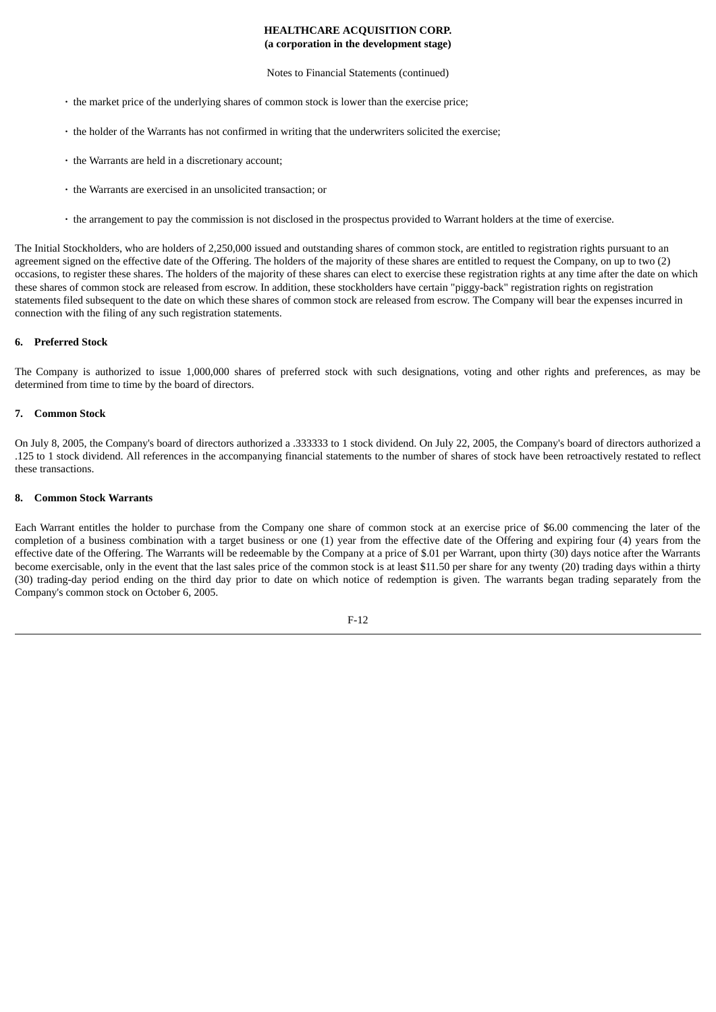#### Notes to Financial Statements (continued)

- **·** the market price of the underlying shares of common stock is lower than the exercise price;
- **·** the holder of the Warrants has not confirmed in writing that the underwriters solicited the exercise;
- **·** the Warrants are held in a discretionary account;
- **·** the Warrants are exercised in an unsolicited transaction; or
- **·** the arrangement to pay the commission is not disclosed in the prospectus provided to Warrant holders at the time of exercise.

The Initial Stockholders, who are holders of 2,250,000 issued and outstanding shares of common stock, are entitled to registration rights pursuant to an agreement signed on the effective date of the Offering. The holders of the majority of these shares are entitled to request the Company, on up to two (2) occasions, to register these shares. The holders of the majority of these shares can elect to exercise these registration rights at any time after the date on which these shares of common stock are released from escrow. In addition, these stockholders have certain "piggy-back" registration rights on registration statements filed subsequent to the date on which these shares of common stock are released from escrow. The Company will bear the expenses incurred in connection with the filing of any such registration statements.

## **6. Preferred Stock**

The Company is authorized to issue 1,000,000 shares of preferred stock with such designations, voting and other rights and preferences, as may be determined from time to time by the board of directors.

### **7. Common Stock**

On July 8, 2005, the Company's board of directors authorized a .333333 to 1 stock dividend. On July 22, 2005, the Company's board of directors authorized a .125 to 1 stock dividend. All references in the accompanying financial statements to the number of shares of stock have been retroactively restated to reflect these transactions.

#### **8. Common Stock Warrants**

Each Warrant entitles the holder to purchase from the Company one share of common stock at an exercise price of \$6.00 commencing the later of the completion of a business combination with a target business or one (1) year from the effective date of the Offering and expiring four (4) years from the effective date of the Offering. The Warrants will be redeemable by the Company at a price of \$.01 per Warrant, upon thirty (30) days notice after the Warrants become exercisable, only in the event that the last sales price of the common stock is at least \$11.50 per share for any twenty (20) trading days within a thirty (30) trading-day period ending on the third day prior to date on which notice of redemption is given. The warrants began trading separately from the Company's common stock on October 6, 2005.

$$
F-12
$$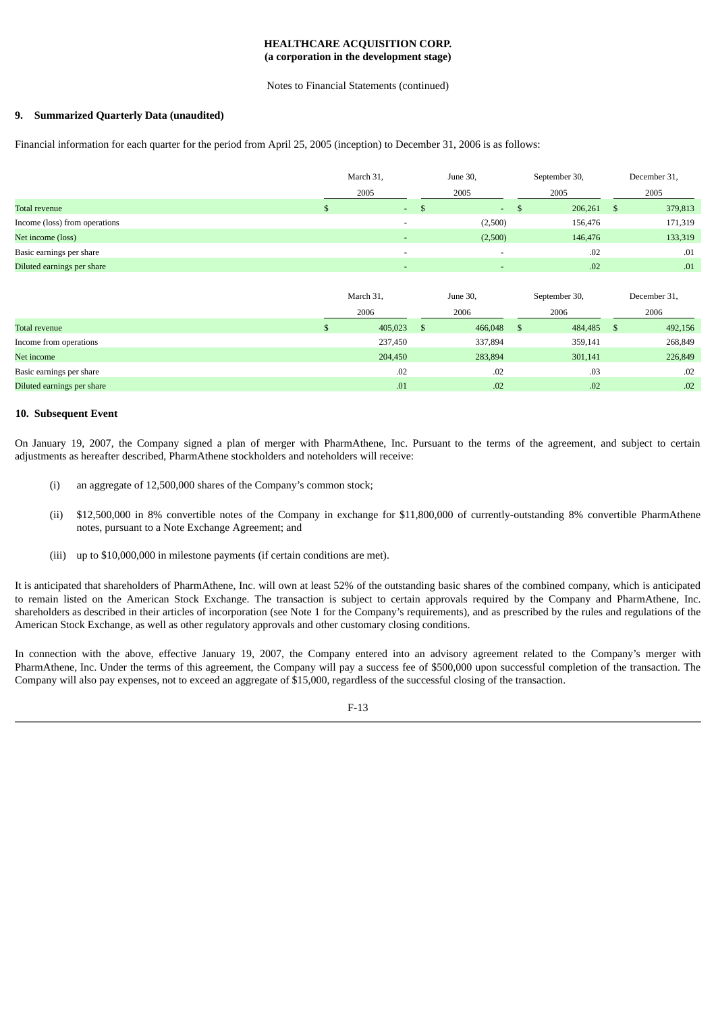#### Notes to Financial Statements (continued)

## **9. Summarized Quarterly Data (unaudited)**

Financial information for each quarter for the period from April 25, 2005 (inception) to December 31, 2006 is as follows:

|                               | March 31, |                          | June 30, |                          | September 30, |     | December 31, |
|-------------------------------|-----------|--------------------------|----------|--------------------------|---------------|-----|--------------|
|                               | 2005      |                          | 2005     |                          | 2005          |     | 2005         |
| Total revenue                 |           | $\sim 100$               |          | $\sim$<br>- 35           | 206,261       | - S | 379,813      |
| Income (loss) from operations |           |                          | (2,500)  |                          | 156,476       |     | 171,319      |
| Net income (loss)             |           |                          |          | (2,500)                  | 146,476       |     | 133,319      |
| Basic earnings per share      |           | $\overline{\phantom{0}}$ |          | $\overline{\phantom{0}}$ | .02           |     | .01          |
| Diluted earnings per share    |           |                          |          | $\overline{\phantom{0}}$ | .02           |     | .01          |

|                            | March 31, | June 30, |   | September 30, |      | December 31, |
|----------------------------|-----------|----------|---|---------------|------|--------------|
|                            | 2006      | 2006     |   | 2006          |      | 2006         |
| Total revenue              | 405,023   | 466,048  | S | 484,485       | - \$ | 492,156      |
| Income from operations     | 237,450   | 337,894  |   | 359,141       |      | 268,849      |
| Net income                 | 204,450   | 283,894  |   | 301,141       |      | 226,849      |
| Basic earnings per share   | .02       | .02      |   | .03           |      | .02          |
| Diluted earnings per share | .01       | .02      |   | .02           |      | .02          |

#### **10. Subsequent Event**

On January 19, 2007, the Company signed a plan of merger with PharmAthene, Inc. Pursuant to the terms of the agreement, and subject to certain adjustments as hereafter described, PharmAthene stockholders and noteholders will receive:

- (i) an aggregate of 12,500,000 shares of the Company's common stock;
- (ii) \$12,500,000 in 8% convertible notes of the Company in exchange for \$11,800,000 of currently-outstanding 8% convertible PharmAthene notes, pursuant to a Note Exchange Agreement; and
- (iii) up to \$10,000,000 in milestone payments (if certain conditions are met).

It is anticipated that shareholders of PharmAthene, Inc. will own at least 52% of the outstanding basic shares of the combined company, which is anticipated to remain listed on the American Stock Exchange. The transaction is subject to certain approvals required by the Company and PharmAthene, Inc. shareholders as described in their articles of incorporation (see Note 1 for the Company's requirements), and as prescribed by the rules and regulations of the American Stock Exchange, as well as other regulatory approvals and other customary closing conditions.

In connection with the above, effective January 19, 2007, the Company entered into an advisory agreement related to the Company's merger with PharmAthene, Inc. Under the terms of this agreement, the Company will pay a success fee of \$500,000 upon successful completion of the transaction. The Company will also pay expenses, not to exceed an aggregate of \$15,000, regardless of the successful closing of the transaction.

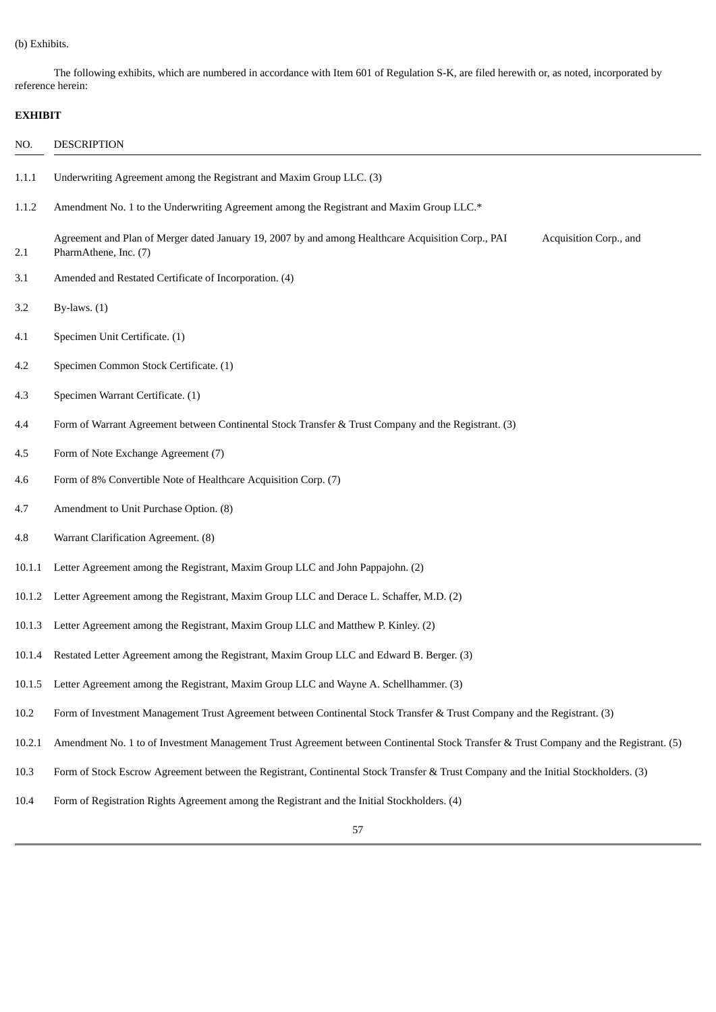# (b) Exhibits.

The following exhibits, which are numbered in accordance with Item 601 of Regulation S-K, are filed herewith or, as noted, incorporated by reference herein:

# **EXHIBIT**

| NO.    | <b>DESCRIPTION</b>                                                                                                                                    |  |  |  |  |  |  |  |
|--------|-------------------------------------------------------------------------------------------------------------------------------------------------------|--|--|--|--|--|--|--|
| 1.1.1  | Underwriting Agreement among the Registrant and Maxim Group LLC. (3)                                                                                  |  |  |  |  |  |  |  |
| 1.1.2  | Amendment No. 1 to the Underwriting Agreement among the Registrant and Maxim Group LLC.*                                                              |  |  |  |  |  |  |  |
| 2.1    | Agreement and Plan of Merger dated January 19, 2007 by and among Healthcare Acquisition Corp., PAI<br>Acquisition Corp., and<br>PharmAthene, Inc. (7) |  |  |  |  |  |  |  |
| 3.1    | Amended and Restated Certificate of Incorporation. (4)                                                                                                |  |  |  |  |  |  |  |
| 3.2    | By-laws. $(1)$                                                                                                                                        |  |  |  |  |  |  |  |
| 4.1    | Specimen Unit Certificate. (1)                                                                                                                        |  |  |  |  |  |  |  |
| 4.2    | Specimen Common Stock Certificate. (1)                                                                                                                |  |  |  |  |  |  |  |
| 4.3    | Specimen Warrant Certificate. (1)                                                                                                                     |  |  |  |  |  |  |  |
| 4.4    | Form of Warrant Agreement between Continental Stock Transfer & Trust Company and the Registrant. (3)                                                  |  |  |  |  |  |  |  |
| 4.5    | Form of Note Exchange Agreement (7)                                                                                                                   |  |  |  |  |  |  |  |
| 4.6    | Form of 8% Convertible Note of Healthcare Acquisition Corp. (7)                                                                                       |  |  |  |  |  |  |  |
| 4.7    | Amendment to Unit Purchase Option. (8)                                                                                                                |  |  |  |  |  |  |  |
| 4.8    | Warrant Clarification Agreement. (8)                                                                                                                  |  |  |  |  |  |  |  |
| 10.1.1 | Letter Agreement among the Registrant, Maxim Group LLC and John Pappajohn. (2)                                                                        |  |  |  |  |  |  |  |
| 10.1.2 | Letter Agreement among the Registrant, Maxim Group LLC and Derace L. Schaffer, M.D. (2)                                                               |  |  |  |  |  |  |  |
| 10.1.3 | Letter Agreement among the Registrant, Maxim Group LLC and Matthew P. Kinley. (2)                                                                     |  |  |  |  |  |  |  |
| 10.1.4 | Restated Letter Agreement among the Registrant, Maxim Group LLC and Edward B. Berger. (3)                                                             |  |  |  |  |  |  |  |
| 10.1.5 | Letter Agreement among the Registrant, Maxim Group LLC and Wayne A. Schellhammer. (3)                                                                 |  |  |  |  |  |  |  |
| 10.2   | Form of Investment Management Trust Agreement between Continental Stock Transfer & Trust Company and the Registrant. (3)                              |  |  |  |  |  |  |  |
| 10.2.1 | Amendment No. 1 to of Investment Management Trust Agreement between Continental Stock Transfer & Trust Company and the Registrant. (5)                |  |  |  |  |  |  |  |
| 10.3   | Form of Stock Escrow Agreement between the Registrant, Continental Stock Transfer & Trust Company and the Initial Stockholders. (3)                   |  |  |  |  |  |  |  |
| 10.4   | Form of Registration Rights Agreement among the Registrant and the Initial Stockholders. (4)                                                          |  |  |  |  |  |  |  |
|        |                                                                                                                                                       |  |  |  |  |  |  |  |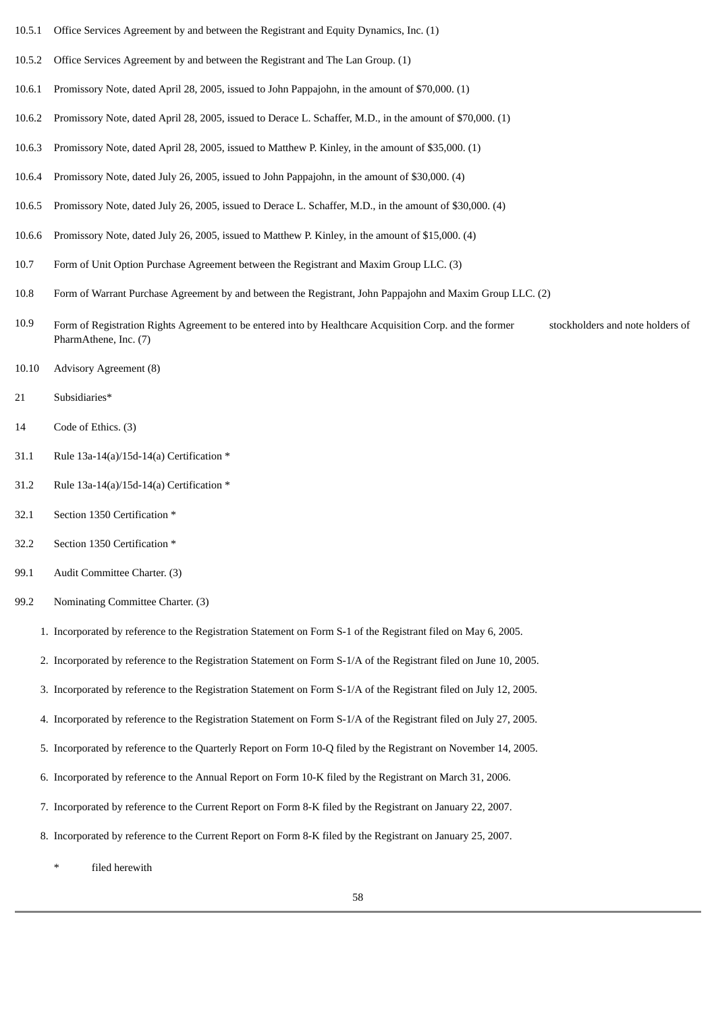- 10.5.1 Office Services Agreement by and between the Registrant and Equity Dynamics, Inc. (1)
- 10.5.2 Office Services Agreement by and between the Registrant and The Lan Group. (1)
- 10.6.1 Promissory Note, dated April 28, 2005, issued to John Pappajohn, in the amount of \$70,000. (1)
- 10.6.2 Promissory Note, dated April 28, 2005, issued to Derace L. Schaffer, M.D., in the amount of \$70,000. (1)
- 10.6.3 Promissory Note, dated April 28, 2005, issued to Matthew P. Kinley, in the amount of \$35,000. (1)
- 10.6.4 Promissory Note, dated July 26, 2005, issued to John Pappajohn, in the amount of \$30,000. (4)
- 10.6.5 Promissory Note, dated July 26, 2005, issued to Derace L. Schaffer, M.D., in the amount of \$30,000. (4)
- 10.6.6 Promissory Note, dated July 26, 2005, issued to Matthew P. Kinley, in the amount of \$15,000. (4)
- 10.7 Form of Unit Option Purchase Agreement between the Registrant and Maxim Group LLC. (3)
- 10.8 Form of Warrant Purchase Agreement by and between the Registrant, John Pappajohn and Maxim Group LLC. (2)
- 10.9 Form of Registration Rights Agreement to be entered into by Healthcare Acquisition Corp. and the former stockholders and note holders of PharmAthene, Inc. (7)
- 10.10 Advisory Agreement (8)
- 21 Subsidiaries\*
- 14 Code of Ethics. (3)
- 31.1 Rule 13a-14(a)/15d-14(a) Certification \*
- 31.2 Rule 13a-14(a)/15d-14(a) Certification \*
- 32.1 Section 1350 Certification \*
- 32.2 Section 1350 Certification \*
- 99.1 Audit Committee Charter. (3)
- 99.2 Nominating Committee Charter. (3)
	- 1. Incorporated by reference to the Registration Statement on Form S-1 of the Registrant filed on May 6, 2005.
	- 2. Incorporated by reference to the Registration Statement on Form S-1/A of the Registrant filed on June 10, 2005.
	- 3. Incorporated by reference to the Registration Statement on Form S-1/A of the Registrant filed on July 12, 2005.
	- 4. Incorporated by reference to the Registration Statement on Form S-1/A of the Registrant filed on July 27, 2005.
	- 5. Incorporated by reference to the Quarterly Report on Form 10-Q filed by the Registrant on November 14, 2005.
	- 6. Incorporated by reference to the Annual Report on Form 10-K filed by the Registrant on March 31, 2006.
	- 7. Incorporated by reference to the Current Report on Form 8-K filed by the Registrant on January 22, 2007.
	- 8. Incorporated by reference to the Current Report on Form 8-K filed by the Registrant on January 25, 2007.
		- filed herewith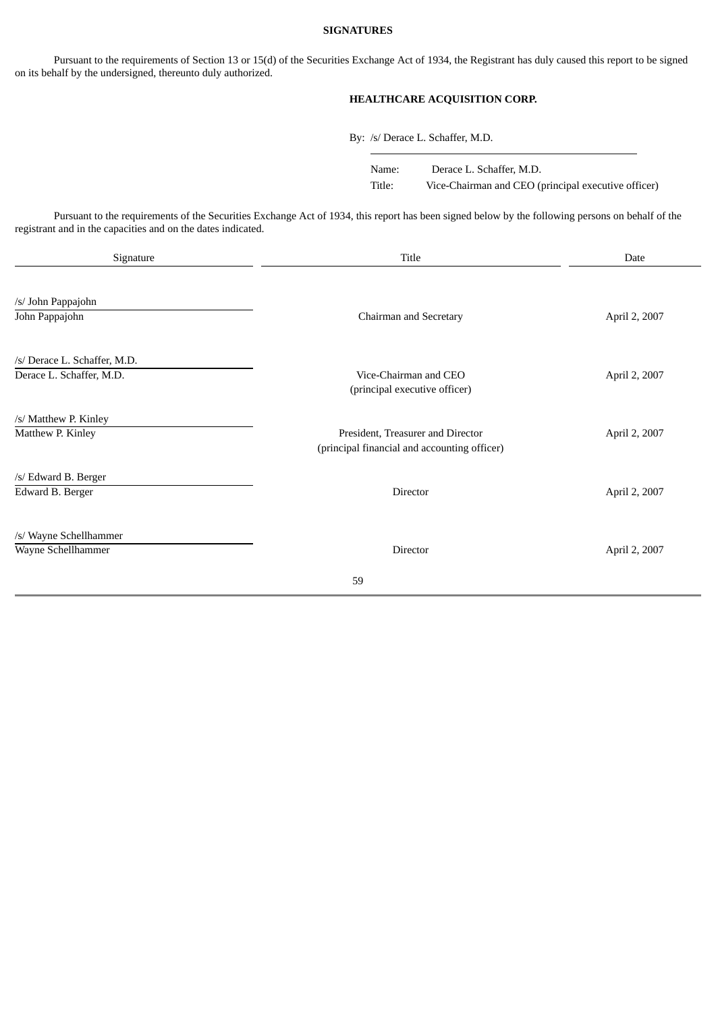### **SIGNATURES**

Pursuant to the requirements of Section 13 or 15(d) of the Securities Exchange Act of 1934, the Registrant has duly caused this report to be signed on its behalf by the undersigned, thereunto duly authorized.

# **HEALTHCARE ACQUISITION CORP.**

By: /s/ Derace L. Schaffer, M.D.

Name: Derace L. Schaffer, M.D. Title: Vice-Chairman and CEO (principal executive officer)

Pursuant to the requirements of the Securities Exchange Act of 1934, this report has been signed below by the following persons on behalf of the registrant and in the capacities and on the dates indicated.

| Signature                                                | Date                                                                              |               |  |  |
|----------------------------------------------------------|-----------------------------------------------------------------------------------|---------------|--|--|
| /s/ John Pappajohn<br>John Pappajohn                     | Chairman and Secretary                                                            | April 2, 2007 |  |  |
| /s/ Derace L. Schaffer, M.D.<br>Derace L. Schaffer, M.D. | Vice-Chairman and CEO<br>(principal executive officer)                            | April 2, 2007 |  |  |
| /s/ Matthew P. Kinley<br>Matthew P. Kinley               | President, Treasurer and Director<br>(principal financial and accounting officer) | April 2, 2007 |  |  |
| /s/ Edward B. Berger<br>Edward B. Berger                 | Director                                                                          | April 2, 2007 |  |  |
| /s/ Wayne Schellhammer<br>Wayne Schellhammer             | Director                                                                          | April 2, 2007 |  |  |
|                                                          | 59                                                                                |               |  |  |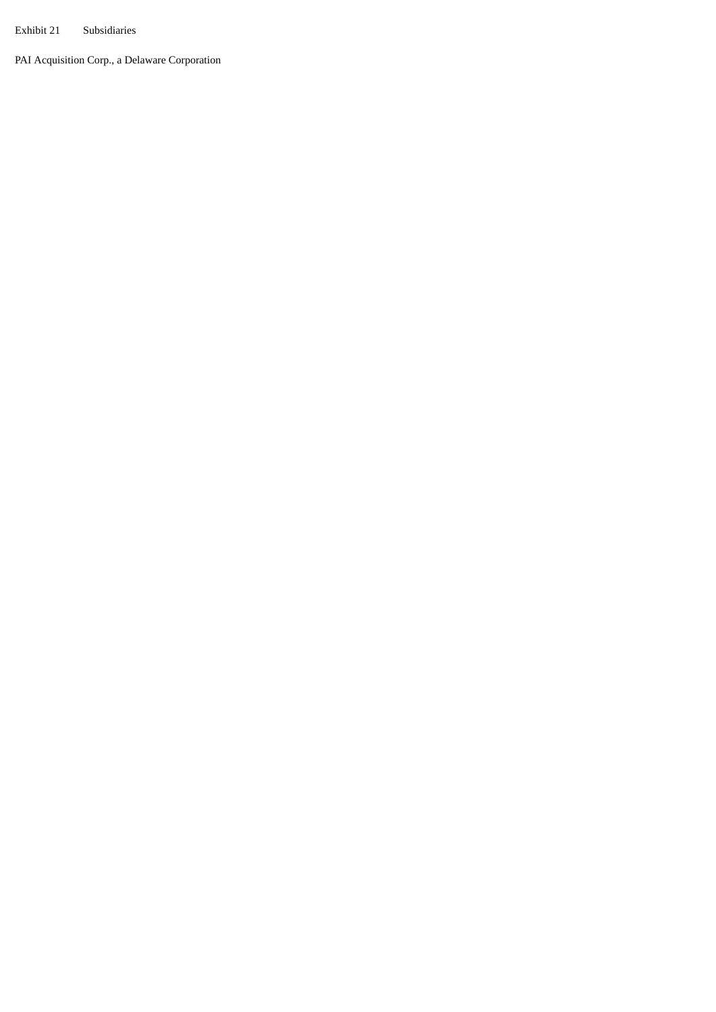Exhibit 21 Subsidiaries

PAI Acquisition Corp., a Delaware Corporation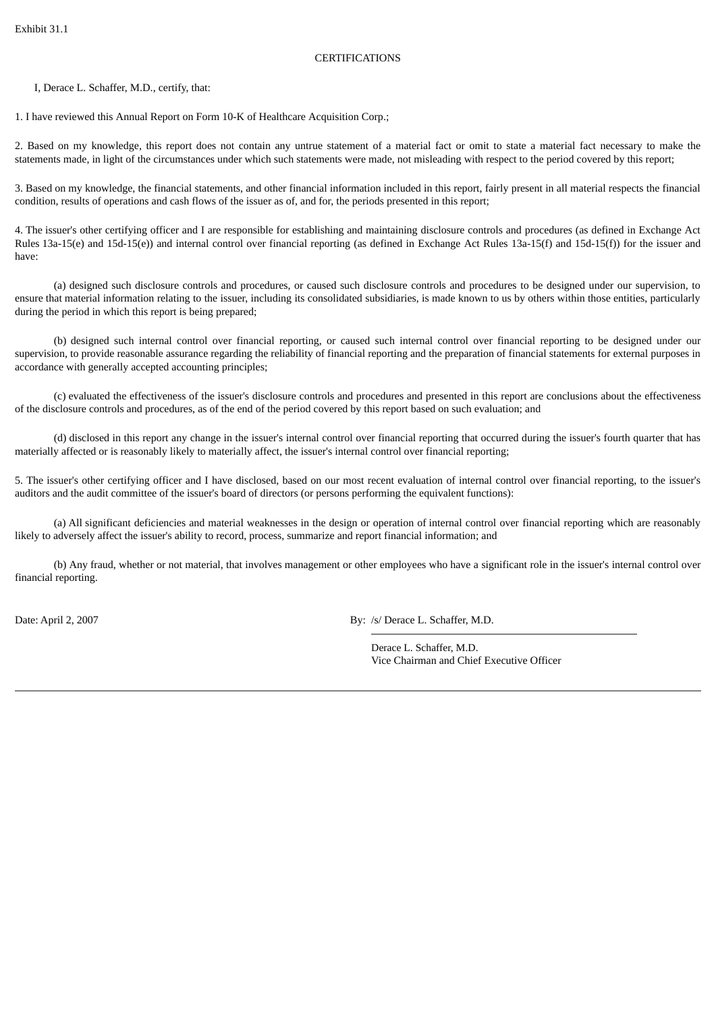## **CERTIFICATIONS**

I, Derace L. Schaffer, M.D., certify, that:

1. I have reviewed this Annual Report on Form 10-K of Healthcare Acquisition Corp.;

2. Based on my knowledge, this report does not contain any untrue statement of a material fact or omit to state a material fact necessary to make the statements made, in light of the circumstances under which such statements were made, not misleading with respect to the period covered by this report;

3. Based on my knowledge, the financial statements, and other financial information included in this report, fairly present in all material respects the financial condition, results of operations and cash flows of the issuer as of, and for, the periods presented in this report;

4. The issuer's other certifying officer and I are responsible for establishing and maintaining disclosure controls and procedures (as defined in Exchange Act Rules 13a-15(e) and 15d-15(e)) and internal control over financial reporting (as defined in Exchange Act Rules 13a-15(f) and 15d-15(f)) for the issuer and have:

(a) designed such disclosure controls and procedures, or caused such disclosure controls and procedures to be designed under our supervision, to ensure that material information relating to the issuer, including its consolidated subsidiaries, is made known to us by others within those entities, particularly during the period in which this report is being prepared;

(b) designed such internal control over financial reporting, or caused such internal control over financial reporting to be designed under our supervision, to provide reasonable assurance regarding the reliability of financial reporting and the preparation of financial statements for external purposes in accordance with generally accepted accounting principles;

(c) evaluated the effectiveness of the issuer's disclosure controls and procedures and presented in this report are conclusions about the effectiveness of the disclosure controls and procedures, as of the end of the period covered by this report based on such evaluation; and

(d) disclosed in this report any change in the issuer's internal control over financial reporting that occurred during the issuer's fourth quarter that has materially affected or is reasonably likely to materially affect, the issuer's internal control over financial reporting;

5. The issuer's other certifying officer and I have disclosed, based on our most recent evaluation of internal control over financial reporting, to the issuer's auditors and the audit committee of the issuer's board of directors (or persons performing the equivalent functions):

(a) All significant deficiencies and material weaknesses in the design or operation of internal control over financial reporting which are reasonably likely to adversely affect the issuer's ability to record, process, summarize and report financial information; and

(b) Any fraud, whether or not material, that involves management or other employees who have a significant role in the issuer's internal control over financial reporting.

Date: April 2, 2007 By: /s/ Derace L. Schaffer, M.D.

Derace L. Schaffer, M.D. Vice Chairman and Chief Executive Officer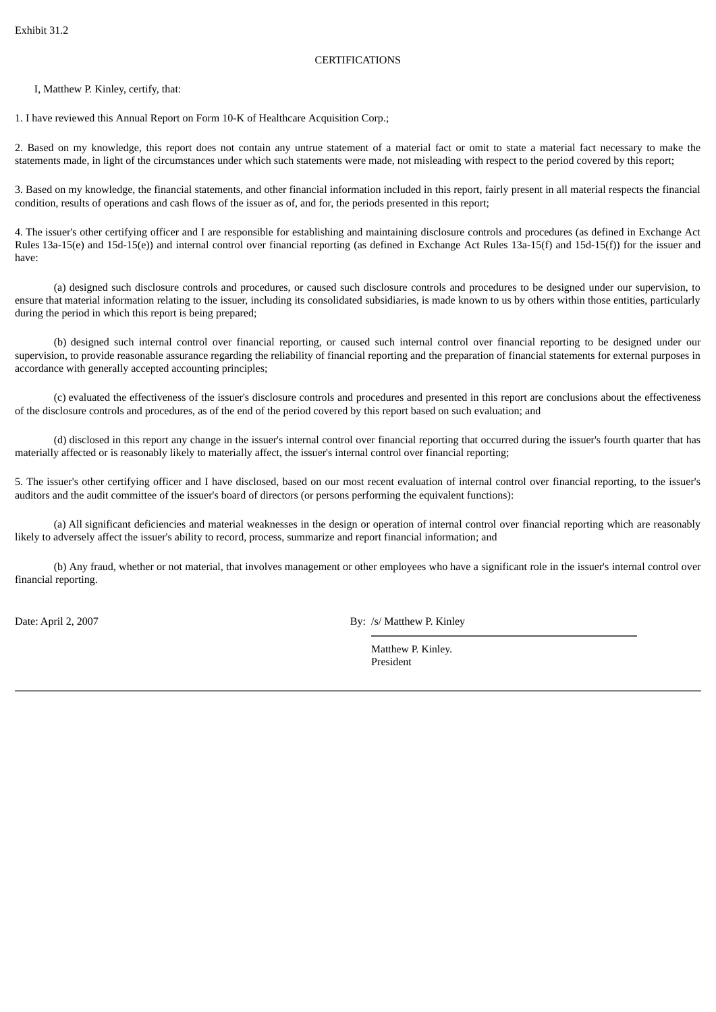## **CERTIFICATIONS**

I, Matthew P. Kinley, certify, that:

1. I have reviewed this Annual Report on Form 10-K of Healthcare Acquisition Corp.;

2. Based on my knowledge, this report does not contain any untrue statement of a material fact or omit to state a material fact necessary to make the statements made, in light of the circumstances under which such statements were made, not misleading with respect to the period covered by this report;

3. Based on my knowledge, the financial statements, and other financial information included in this report, fairly present in all material respects the financial condition, results of operations and cash flows of the issuer as of, and for, the periods presented in this report;

4. The issuer's other certifying officer and I are responsible for establishing and maintaining disclosure controls and procedures (as defined in Exchange Act Rules 13a-15(e) and 15d-15(e)) and internal control over financial reporting (as defined in Exchange Act Rules 13a-15(f) and 15d-15(f)) for the issuer and have:

(a) designed such disclosure controls and procedures, or caused such disclosure controls and procedures to be designed under our supervision, to ensure that material information relating to the issuer, including its consolidated subsidiaries, is made known to us by others within those entities, particularly during the period in which this report is being prepared;

(b) designed such internal control over financial reporting, or caused such internal control over financial reporting to be designed under our supervision, to provide reasonable assurance regarding the reliability of financial reporting and the preparation of financial statements for external purposes in accordance with generally accepted accounting principles;

(c) evaluated the effectiveness of the issuer's disclosure controls and procedures and presented in this report are conclusions about the effectiveness of the disclosure controls and procedures, as of the end of the period covered by this report based on such evaluation; and

(d) disclosed in this report any change in the issuer's internal control over financial reporting that occurred during the issuer's fourth quarter that has materially affected or is reasonably likely to materially affect, the issuer's internal control over financial reporting;

5. The issuer's other certifying officer and I have disclosed, based on our most recent evaluation of internal control over financial reporting, to the issuer's auditors and the audit committee of the issuer's board of directors (or persons performing the equivalent functions):

(a) All significant deficiencies and material weaknesses in the design or operation of internal control over financial reporting which are reasonably likely to adversely affect the issuer's ability to record, process, summarize and report financial information; and

(b) Any fraud, whether or not material, that involves management or other employees who have a significant role in the issuer's internal control over financial reporting.

Date: April 2, 2007 By: /s/ Matthew P. Kinley

Matthew P. Kinley. President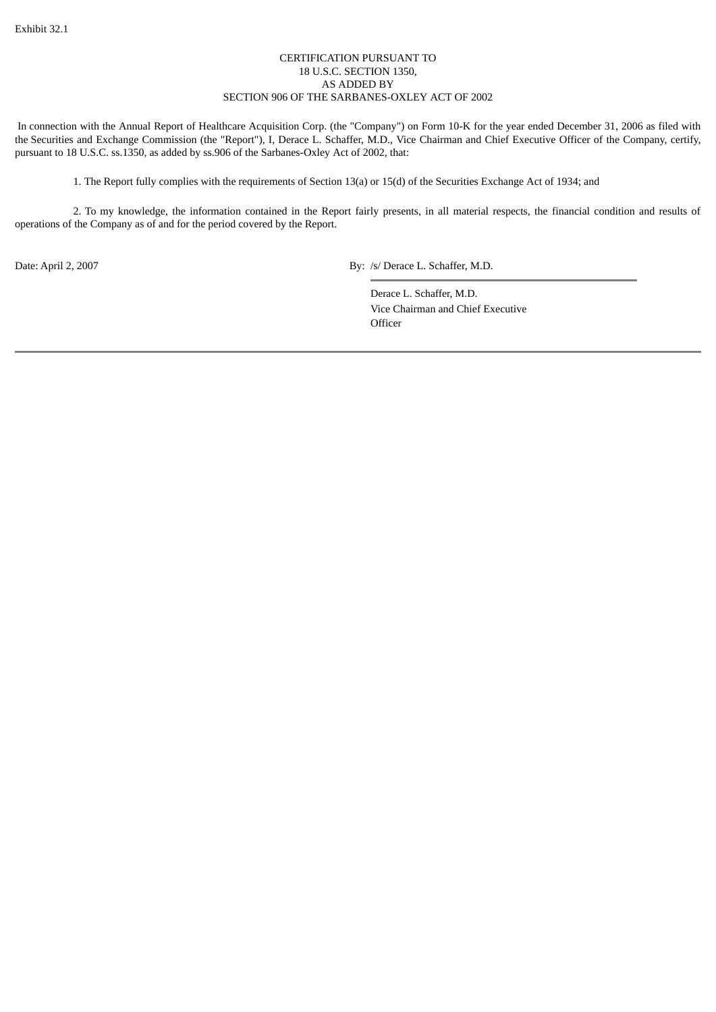## CERTIFICATION PURSUANT TO 18 U.S.C. SECTION 1350, AS ADDED BY SECTION 906 OF THE SARBANES-OXLEY ACT OF 2002

In connection with the Annual Report of Healthcare Acquisition Corp. (the "Company") on Form 10-K for the year ended December 31, 2006 as filed with the Securities and Exchange Commission (the "Report"), I, Derace L. Schaffer, M.D., Vice Chairman and Chief Executive Officer of the Company, certify, pursuant to 18 U.S.C. ss.1350, as added by ss.906 of the Sarbanes-Oxley Act of 2002, that:

1. The Report fully complies with the requirements of Section 13(a) or 15(d) of the Securities Exchange Act of 1934; and

2. To my knowledge, the information contained in the Report fairly presents, in all material respects, the financial condition and results of operations of the Company as of and for the period covered by the Report.

Date: April 2, 2007 By: /s/ Derace L. Schaffer, M.D.

Derace L. Schaffer, M.D. Vice Chairman and Chief Executive **Officer**